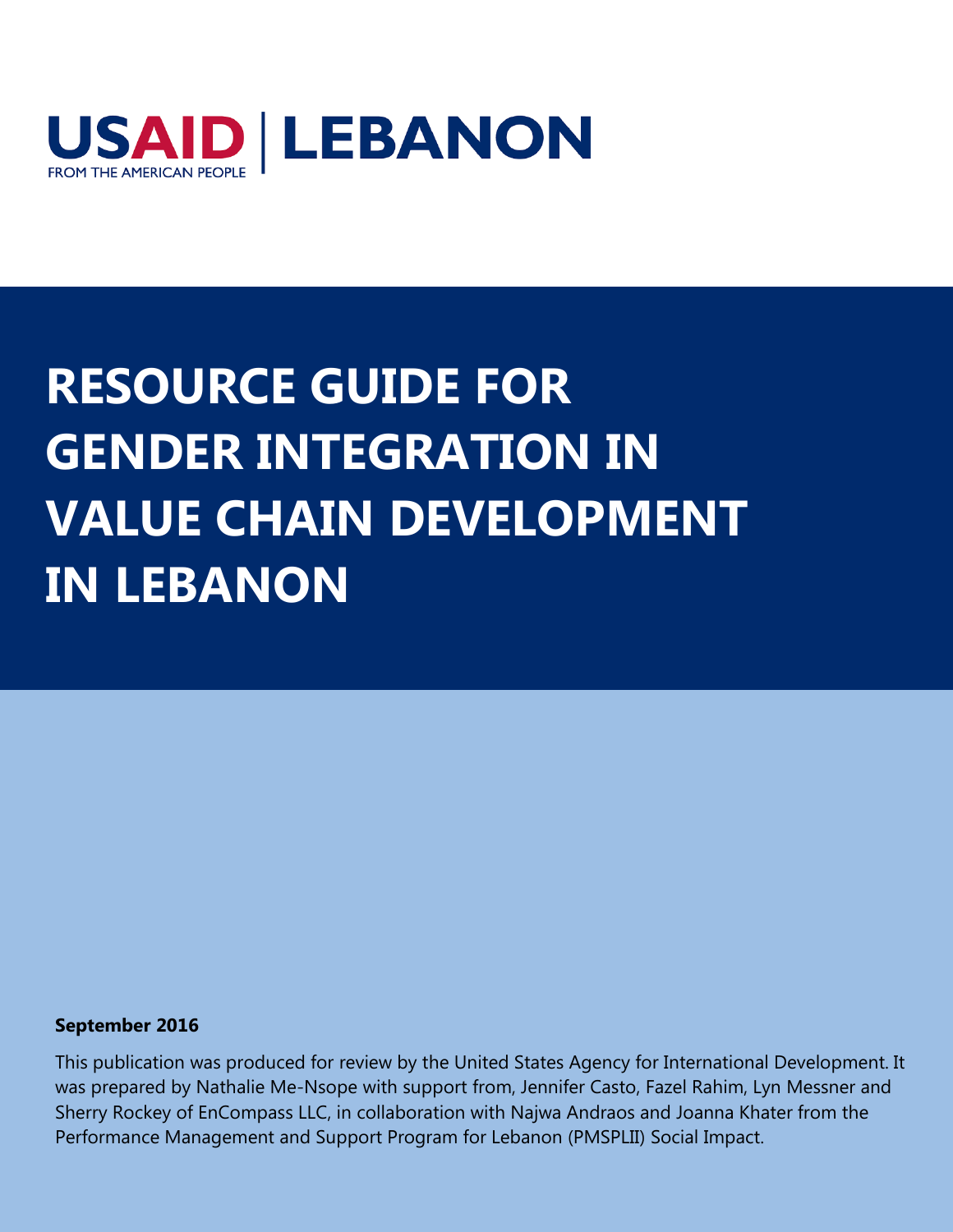

## **RESOURCE GUIDE FOR GENDER INTEGRATION IN VALUE CHAIN DEVELOPMENT IN LEBANON**

#### **September 2016**

This publication was produced for review by the United States Agency for International Development. It was prepared by Nathalie Me-Nsope with support from, Jennifer Casto, Fazel Rahim, Lyn Messner and Sherry Rockey of EnCompass LLC, in collaboration with Najwa Andraos and Joanna Khater from the Performance Management and Support Program for Lebanon (PMSPLII) Social Impact.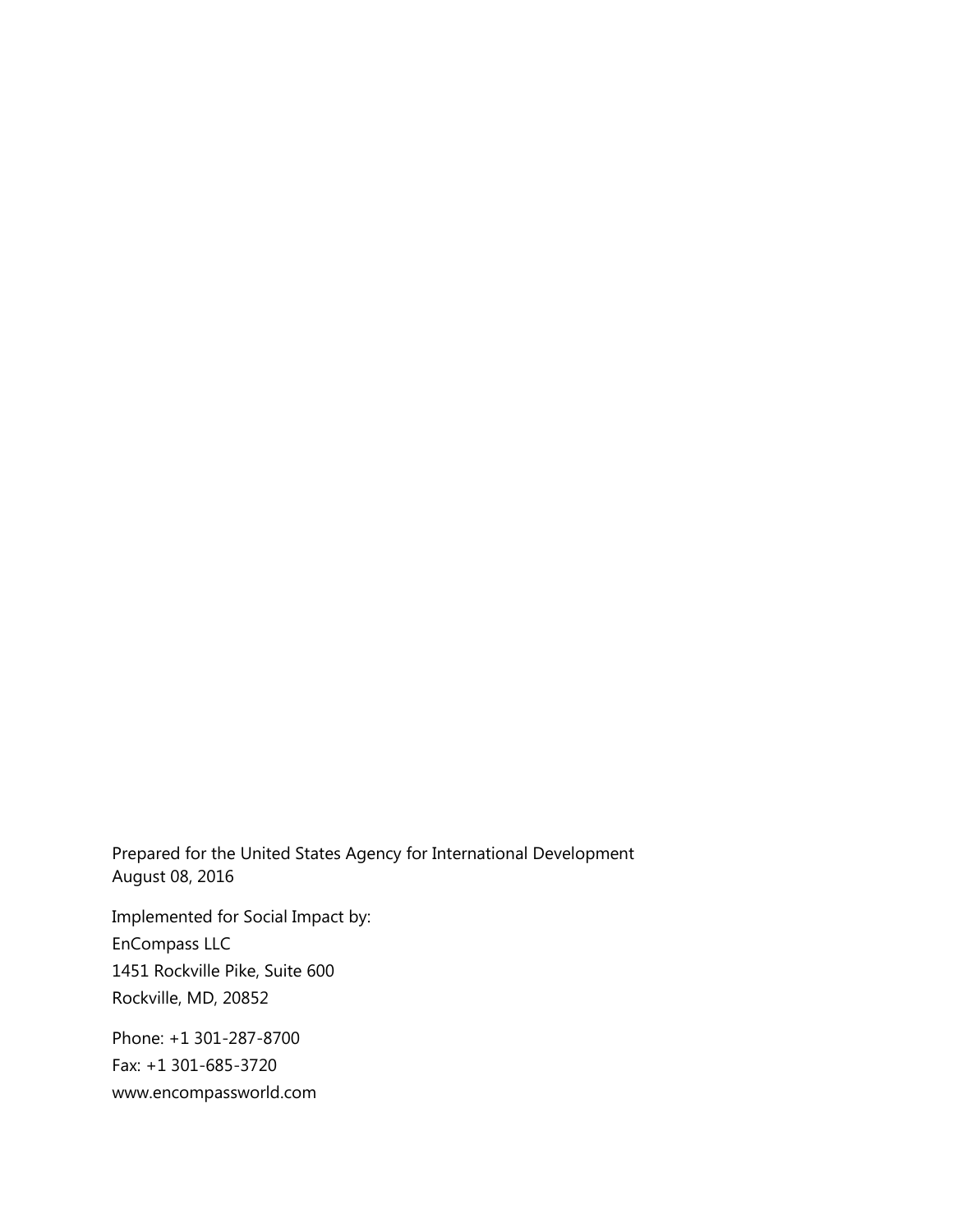Prepared for the United States Agency for International Development August 08, 2016

Implemented for Social Impact by: EnCompass LLC 1451 Rockville Pike, Suite 600 Rockville, MD, 20852

Phone: +1 301-287-8700 Fax: +1 301-685-3720 www.encompassworld.com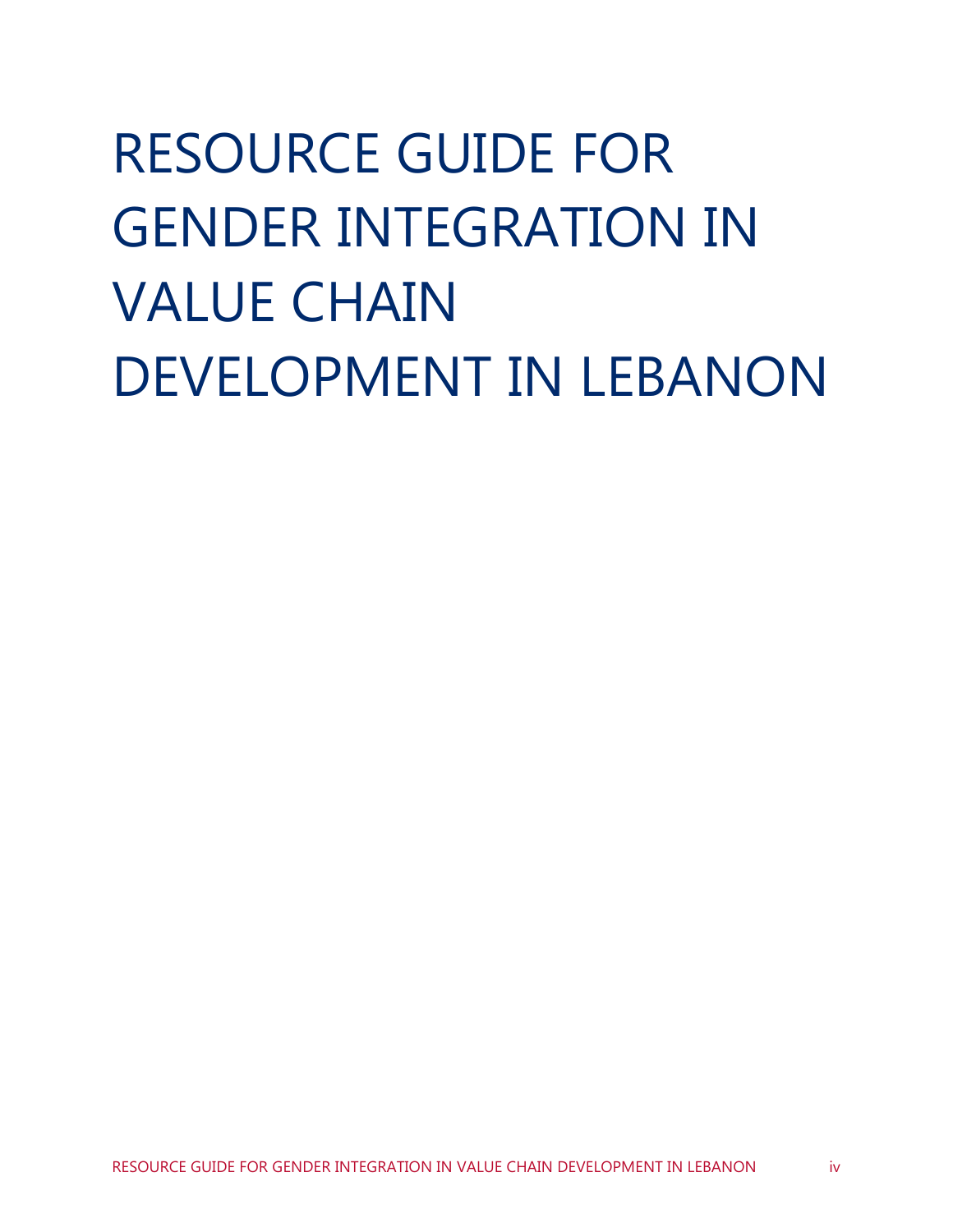# RESOURCE GUIDE FOR GENDER INTEGRATION IN VALUE CHAIN DEVELOPMENT IN LEBANON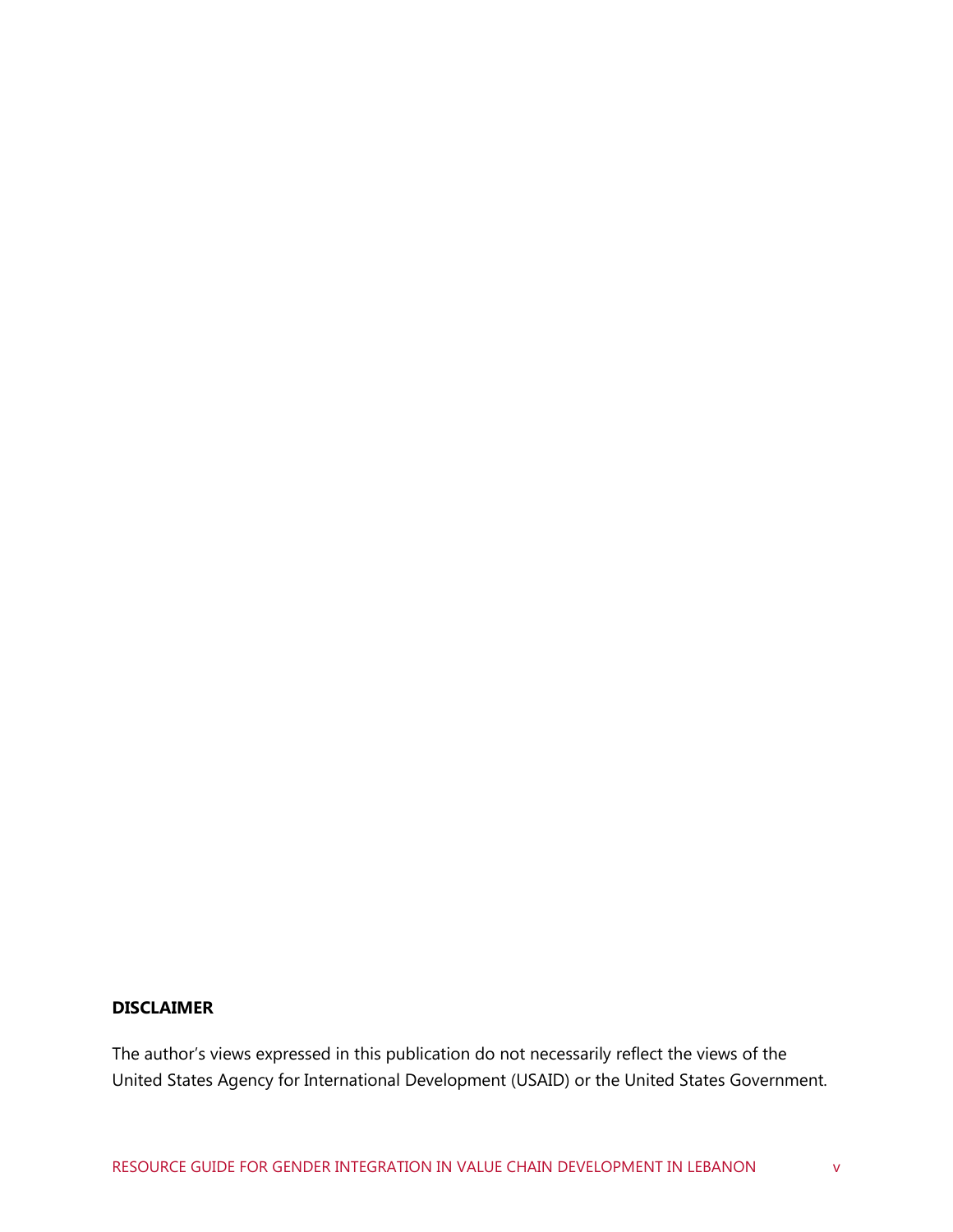#### **DISCLAIMER**

The author's views expressed in this publication do not necessarily reflect the views of the United States Agency for International Development (USAID) or the United States Government.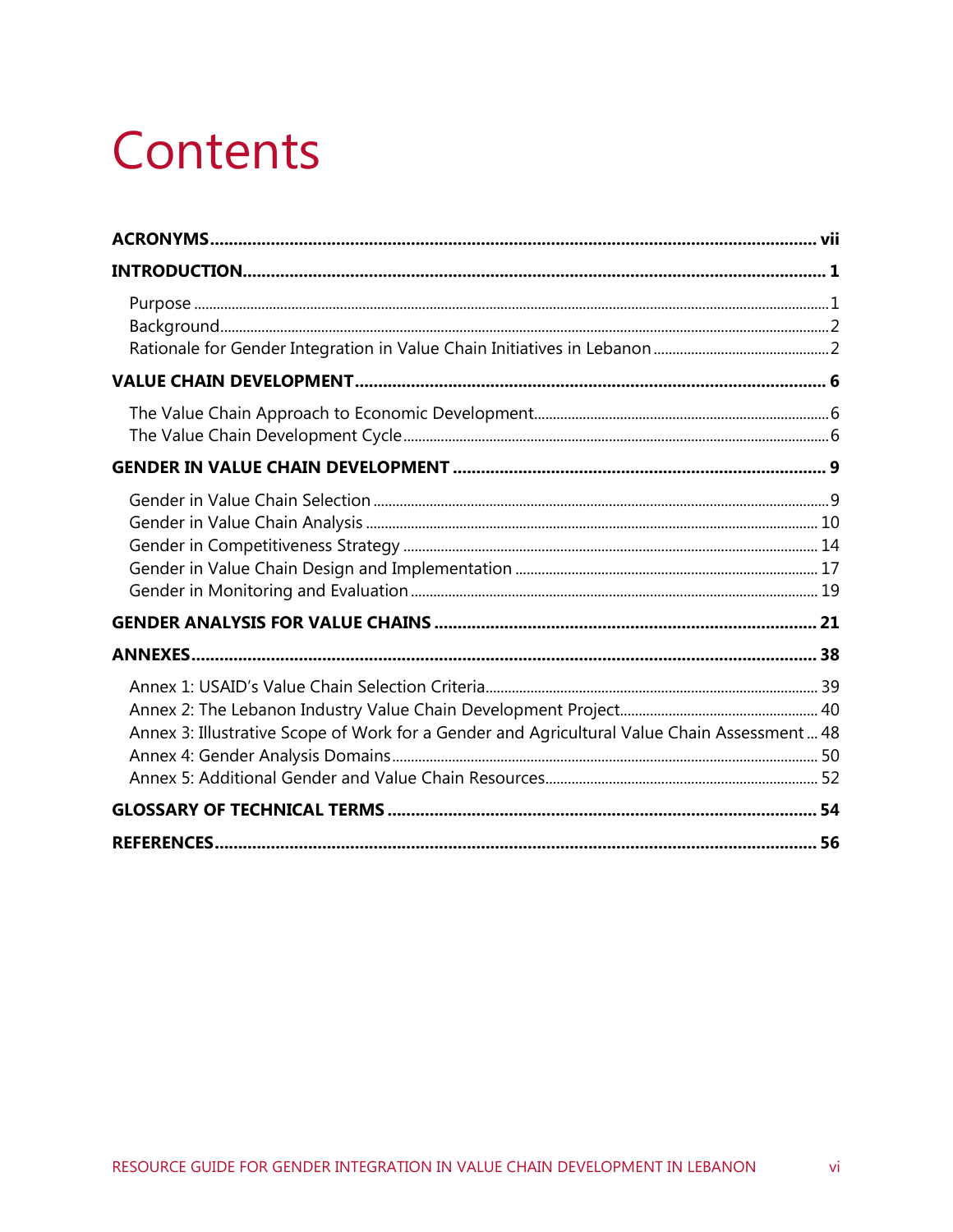## Contents

| Annex 3: Illustrative Scope of Work for a Gender and Agricultural Value Chain Assessment 48 |  |
|---------------------------------------------------------------------------------------------|--|
|                                                                                             |  |
|                                                                                             |  |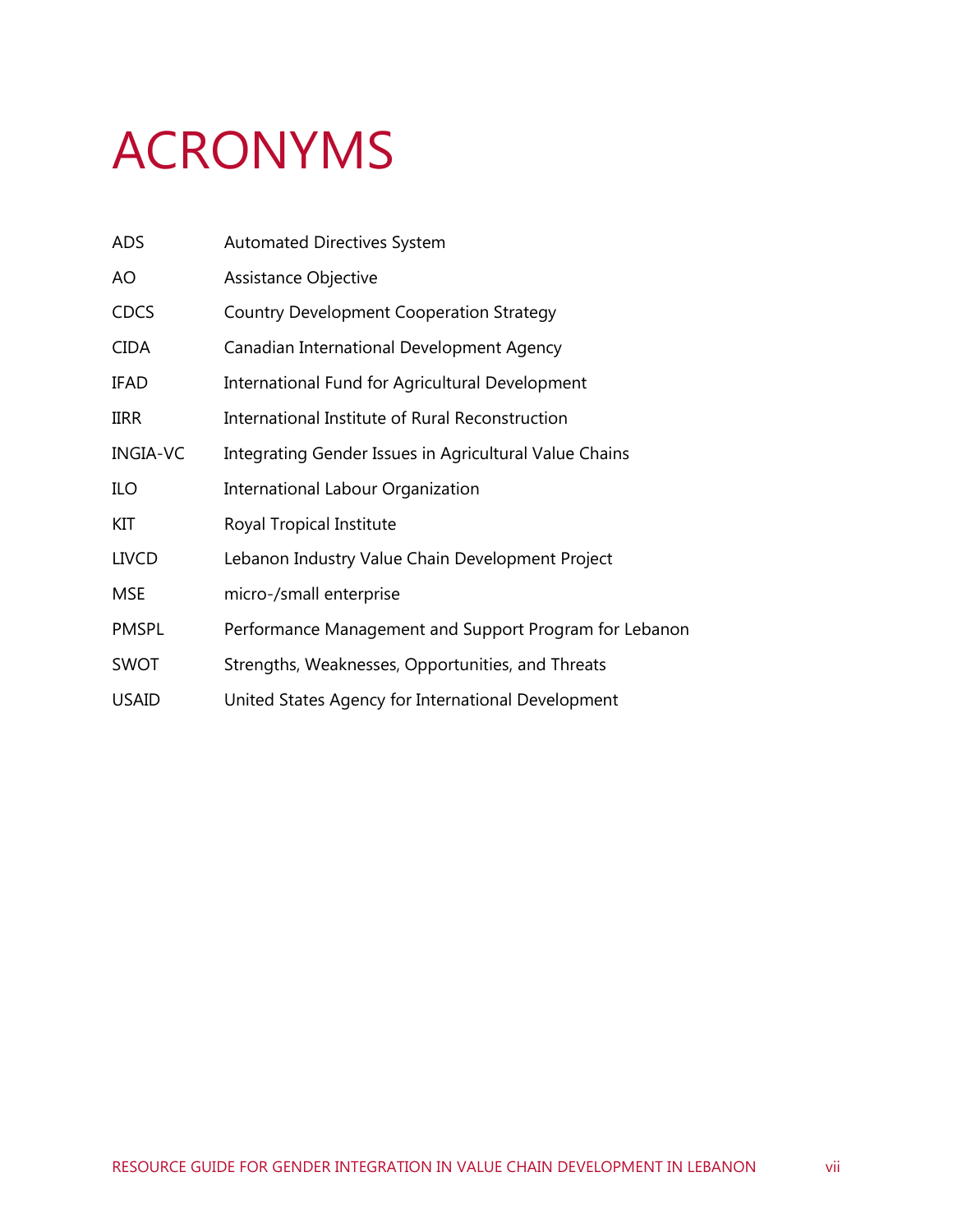## <span id="page-6-0"></span>ACRONYMS

| <b>ADS</b>      | <b>Automated Directives System</b>                     |
|-----------------|--------------------------------------------------------|
| AO              | Assistance Objective                                   |
| <b>CDCS</b>     | <b>Country Development Cooperation Strategy</b>        |
| <b>CIDA</b>     | Canadian International Development Agency              |
| <b>IFAD</b>     | International Fund for Agricultural Development        |
| <b>IIRR</b>     | International Institute of Rural Reconstruction        |
| <b>INGIA-VC</b> | Integrating Gender Issues in Agricultural Value Chains |
| ILO             | International Labour Organization                      |
| KIT             | Royal Tropical Institute                               |
| <b>LIVCD</b>    | Lebanon Industry Value Chain Development Project       |
| <b>MSE</b>      | micro-/small enterprise                                |
| <b>PMSPL</b>    | Performance Management and Support Program for Lebanon |
| <b>SWOT</b>     | Strengths, Weaknesses, Opportunities, and Threats      |
| <b>USAID</b>    | United States Agency for International Development     |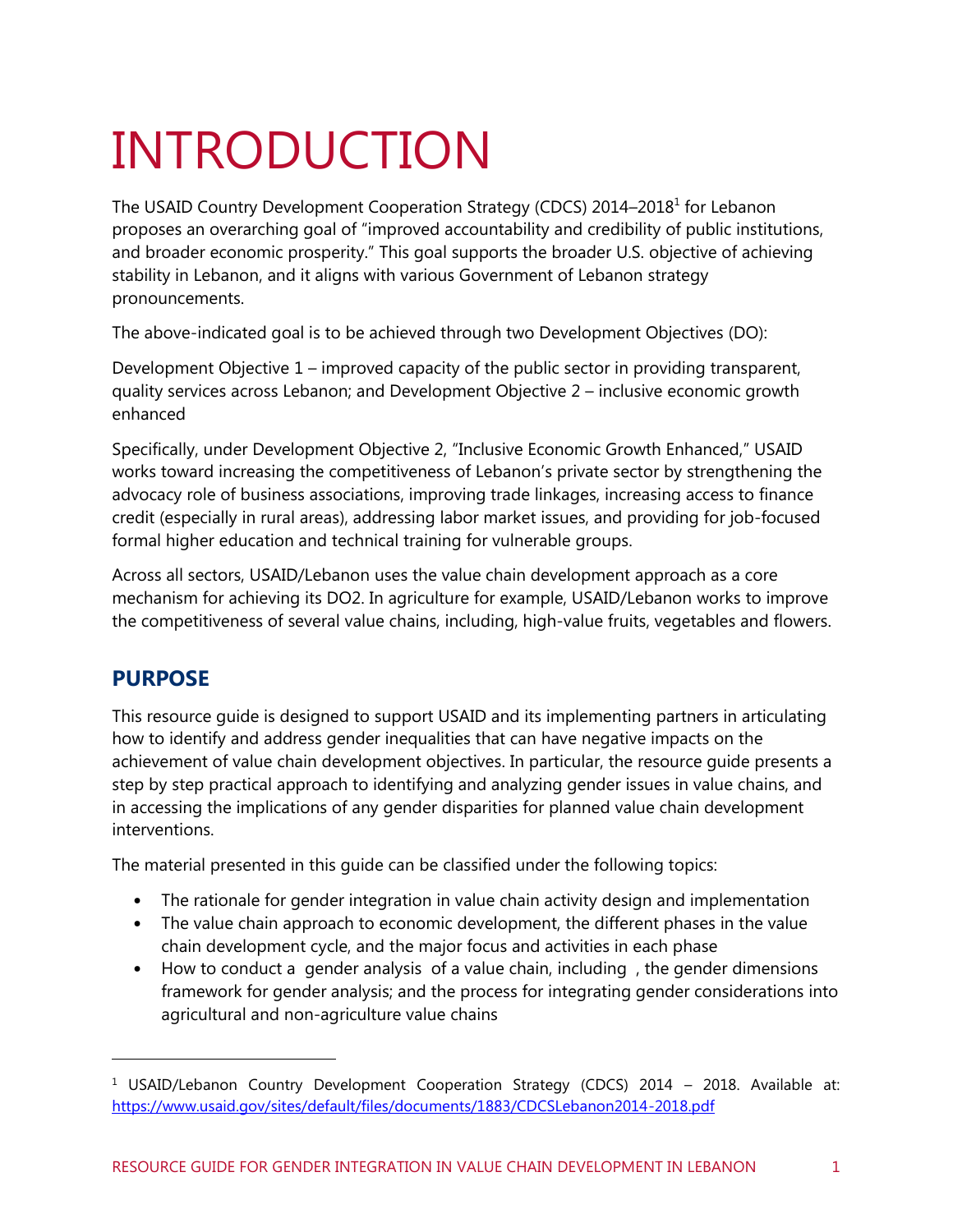## <span id="page-7-0"></span>INTRODUCTION

The USAID Country Development Cooperation Strategy (CDCS) 2014–2018<sup>1</sup> for Lebanon proposes an overarching goal of "improved accountability and credibility of public institutions, and broader economic prosperity." This goal supports the broader U.S. objective of achieving stability in Lebanon, and it aligns with various Government of Lebanon strategy pronouncements.

The above-indicated goal is to be achieved through two Development Objectives (DO):

Development Objective 1 – improved capacity of the public sector in providing transparent, quality services across Lebanon; and Development Objective 2 – inclusive economic growth enhanced

Specifically, under Development Objective 2, "Inclusive Economic Growth Enhanced," USAID works toward increasing the competitiveness of Lebanon's private sector by strengthening the advocacy role of business associations, improving trade linkages, increasing access to finance credit (especially in rural areas), addressing labor market issues, and providing for job-focused formal higher education and technical training for vulnerable groups.

Across all sectors, USAID/Lebanon uses the value chain development approach as a core mechanism for achieving its DO2. In agriculture for example, USAID/Lebanon works to improve the competitiveness of several value chains, including, high-value fruits, vegetables and flowers.

### <span id="page-7-1"></span>**PURPOSE**

This resource guide is designed to support USAID and its implementing partners in articulating how to identify and address gender inequalities that can have negative impacts on the achievement of value chain development objectives. In particular, the resource guide presents a step by step practical approach to identifying and analyzing gender issues in value chains, and in accessing the implications of any gender disparities for planned value chain development interventions.

The material presented in this guide can be classified under the following topics:

- The rationale for gender integration in value chain activity design and implementation
- The value chain approach to economic development, the different phases in the value chain development cycle, and the major focus and activities in each phase
- How to conduct a gender analysis of a value chain, including , the gender dimensions framework for gender analysis; and the process for integrating gender considerations into agricultural and non-agriculture value chains

<sup>&</sup>lt;sup>1</sup> USAID/Lebanon Country Development Cooperation Strategy (CDCS) 2014 - 2018. Available at: <https://www.usaid.gov/sites/default/files/documents/1883/CDCSLebanon2014-2018.pdf>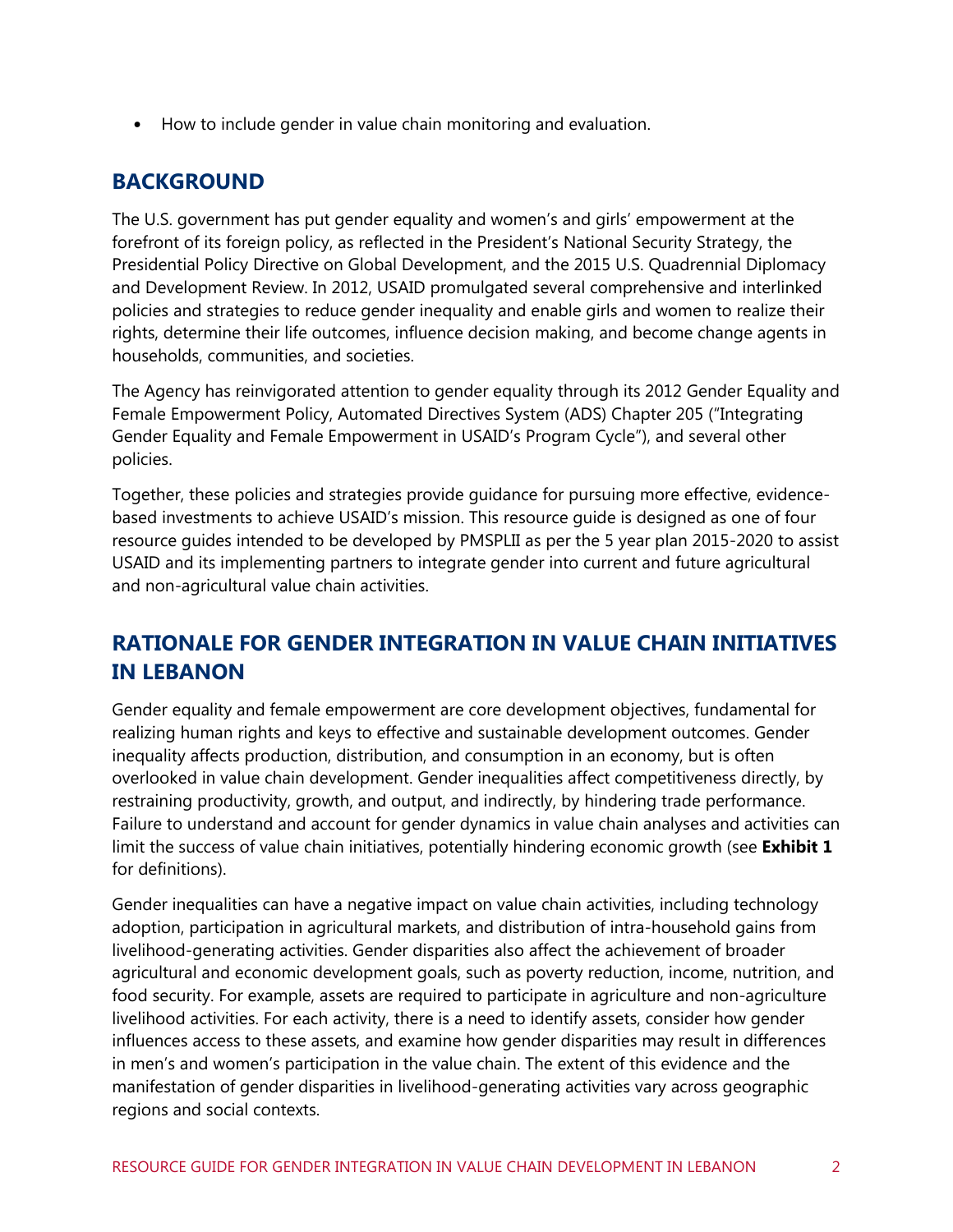<span id="page-8-0"></span>• How to include gender in value chain monitoring and evaluation.

### **BACKGROUND**

The U.S. government has put gender equality and women's and girls' empowerment at the forefront of its foreign policy, as reflected in the President's National Security Strategy, the Presidential Policy Directive on Global Development, and the 2015 U.S. Quadrennial Diplomacy and Development Review. In 2012, USAID promulgated several comprehensive and interlinked policies and strategies to reduce gender inequality and enable girls and women to realize their rights, determine their life outcomes, influence decision making, and become change agents in households, communities, and societies.

The Agency has reinvigorated attention to gender equality through its 2012 Gender Equality and Female Empowerment Policy, Automated Directives System (ADS) Chapter 205 ("Integrating Gender Equality and Female Empowerment in USAID's Program Cycle"), and several other policies.

Together, these policies and strategies provide guidance for pursuing more effective, evidencebased investments to achieve USAID's mission. This resource guide is designed as one of four resource guides intended to be developed by PMSPLII as per the 5 year plan 2015-2020 to assist USAID and its implementing partners to integrate gender into current and future agricultural and non-agricultural value chain activities.

### <span id="page-8-1"></span>**RATIONALE FOR GENDER INTEGRATION IN VALUE CHAIN INITIATIVES IN LEBANON**

Gender equality and female empowerment are core development objectives, fundamental for realizing human rights and keys to effective and sustainable development outcomes. Gender inequality affects production, distribution, and consumption in an economy, but is often overlooked in value chain development. Gender inequalities affect competitiveness directly, by restraining productivity, growth, and output, and indirectly, by hindering trade performance. Failure to understand and account for gender dynamics in value chain analyses and activities can limit the success of value chain initiatives, potentially hindering economic growth (see **[Exhibit 1](#page-9-0)** for definitions).

Gender inequalities can have a negative impact on value chain activities, including technology adoption, participation in agricultural markets, and distribution of intra-household gains from livelihood-generating activities. Gender disparities also affect the achievement of broader agricultural and economic development goals, such as poverty reduction, income, nutrition, and food security. For example, assets are required to participate in agriculture and non-agriculture livelihood activities. For each activity, there is a need to identify assets, consider how gender influences access to these assets, and examine how gender disparities may result in differences in men's and women's participation in the value chain. The extent of this evidence and the manifestation of gender disparities in livelihood-generating activities vary across geographic regions and social contexts.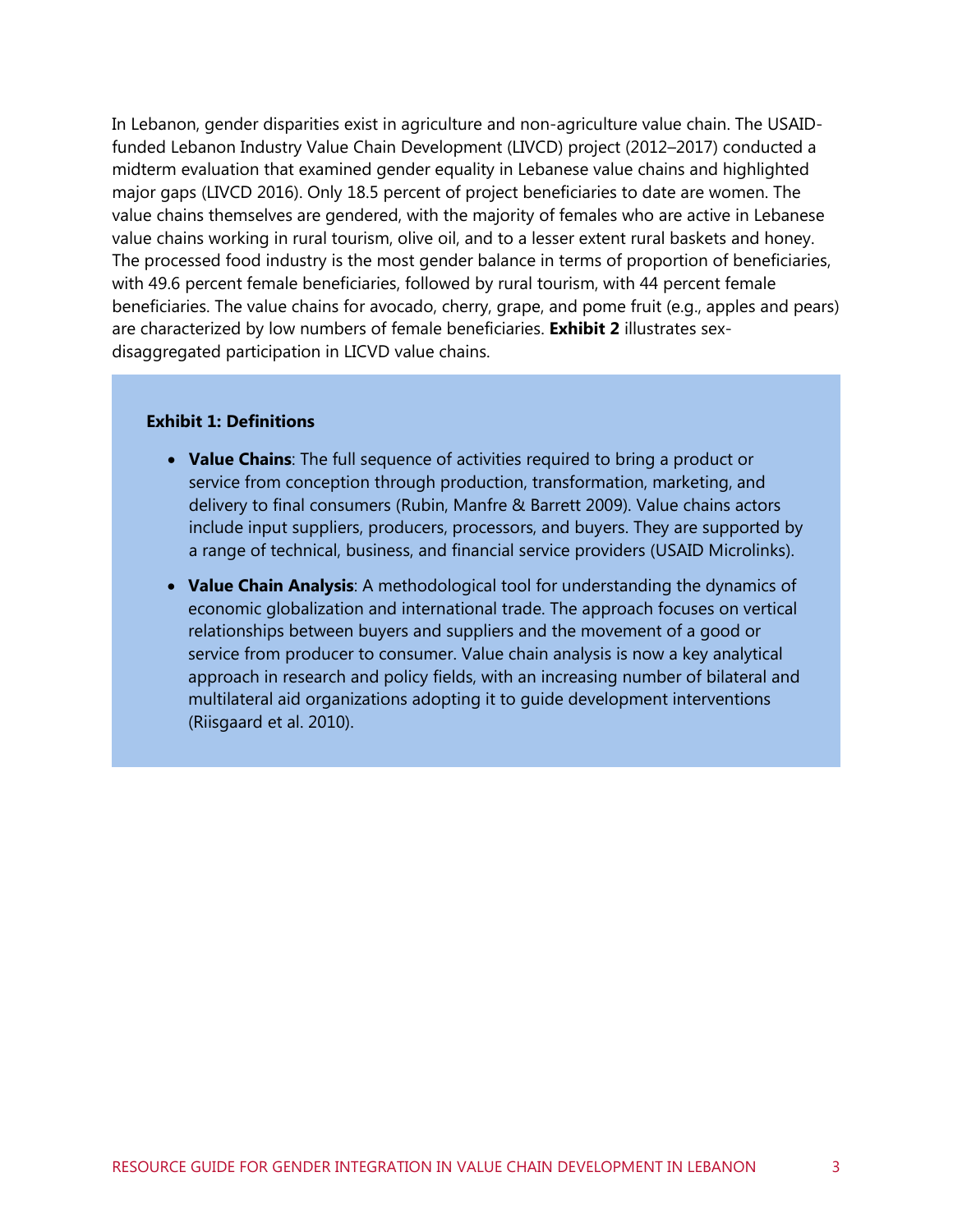In Lebanon, gender disparities exist in agriculture and non-agriculture value chain. The USAIDfunded Lebanon Industry Value Chain Development (LIVCD) project (2012–2017) conducted a midterm evaluation that examined gender equality in Lebanese value chains and highlighted major gaps (LIVCD 2016). Only 18.5 percent of project beneficiaries to date are women. The value chains themselves are gendered, with the majority of females who are active in Lebanese value chains working in rural tourism, olive oil, and to a lesser extent rural baskets and honey. The processed food industry is the most gender balance in terms of proportion of beneficiaries, with 49.6 percent female beneficiaries, followed by rural tourism, with 44 percent female beneficiaries. The value chains for avocado, cherry, grape, and pome fruit (e.g., apples and pears) are characterized by low numbers of female beneficiaries. **[Exhibit 2](#page-10-0)** illustrates sexdisaggregated participation in LICVD value chains.

#### <span id="page-9-0"></span>**Exhibit 1: Definitions**

- **Value Chains**: The full sequence of activities required to bring a product or service from conception through production, transformation, marketing, and delivery to final consumers (Rubin, Manfre & Barrett 2009). Value chains actors include input suppliers, producers, processors, and buyers. They are supported by a range of technical, business, and financial service providers (USAID Microlinks).
- **Value Chain Analysis**: A methodological tool for understanding the dynamics of economic globalization and international trade. The approach focuses on vertical relationships between buyers and suppliers and the movement of a good or service from producer to consumer. Value chain analysis is now a key analytical approach in research and policy fields, with an increasing number of bilateral and multilateral aid organizations adopting it to guide development interventions (Riisgaard et al. 2010).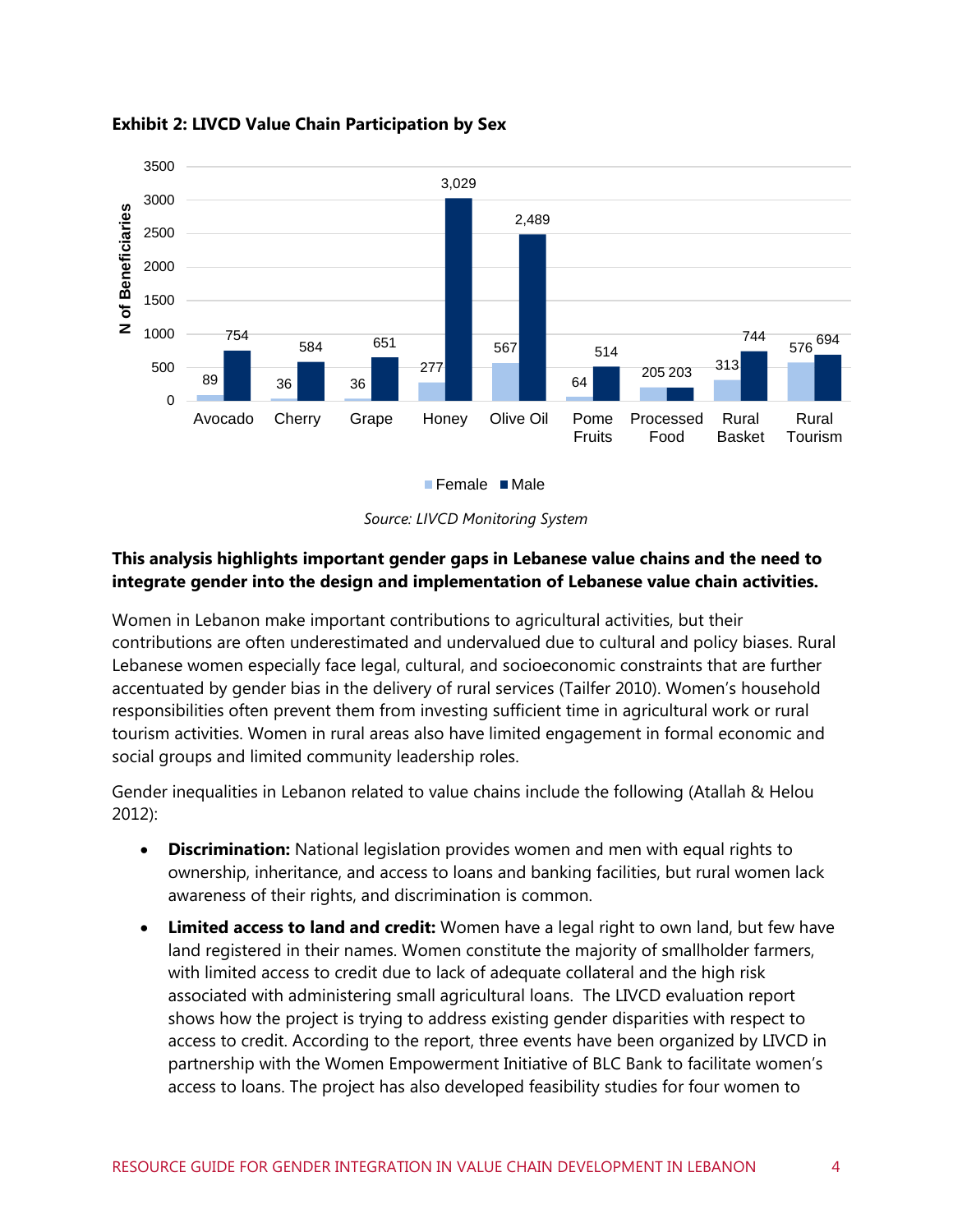

#### <span id="page-10-0"></span>**Exhibit 2: LIVCD Value Chain Participation by Sex**



#### **This analysis highlights important gender gaps in Lebanese value chains and the need to integrate gender into the design and implementation of Lebanese value chain activities.**

Women in Lebanon make important contributions to agricultural activities, but their contributions are often underestimated and undervalued due to cultural and policy biases. Rural Lebanese women especially face legal, cultural, and socioeconomic constraints that are further accentuated by gender bias in the delivery of rural services (Tailfer 2010). Women's household responsibilities often prevent them from investing sufficient time in agricultural work or rural tourism activities. Women in rural areas also have limited engagement in formal economic and social groups and limited community leadership roles.

Gender inequalities in Lebanon related to value chains include the following (Atallah & Helou 2012):

- **Discrimination:** National legislation provides women and men with equal rights to ownership, inheritance, and access to loans and banking facilities, but rural women lack awareness of their rights, and discrimination is common.
- **Limited access to land and credit:** Women have a legal right to own land, but few have land registered in their names. Women constitute the majority of smallholder farmers, with limited access to credit due to lack of adequate collateral and the high risk associated with administering small agricultural loans. The LIVCD evaluation report shows how the project is trying to address existing gender disparities with respect to access to credit. According to the report, three events have been organized by LIVCD in partnership with the Women Empowerment Initiative of BLC Bank to facilitate women's access to loans. The project has also developed feasibility studies for four women to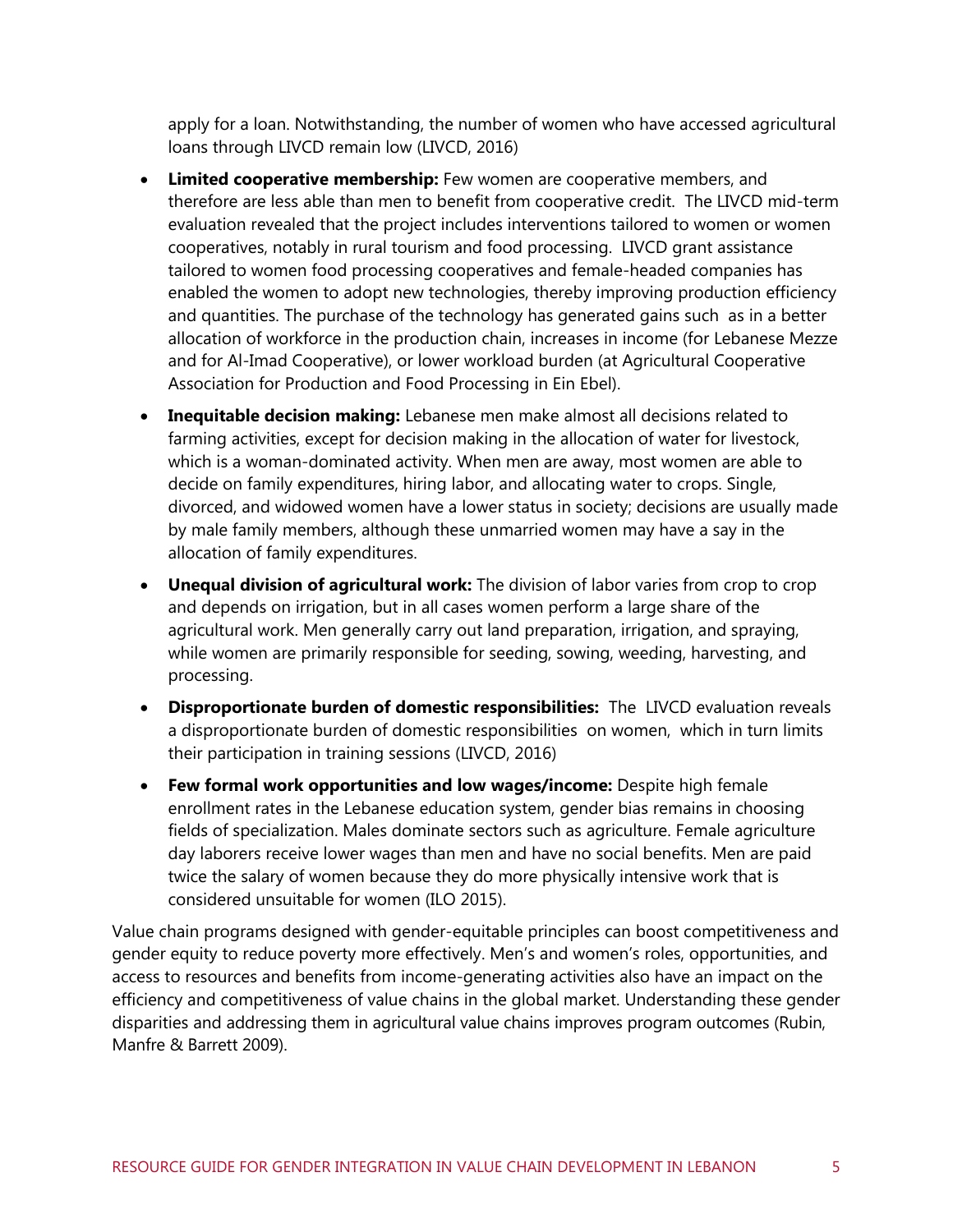apply for a loan. Notwithstanding, the number of women who have accessed agricultural loans through LIVCD remain low (LIVCD, 2016)

- **Limited cooperative membership:** Few women are cooperative members, and therefore are less able than men to benefit from cooperative credit. The LIVCD mid-term evaluation revealed that the project includes interventions tailored to women or women cooperatives, notably in rural tourism and food processing. LIVCD grant assistance tailored to women food processing cooperatives and female-headed companies has enabled the women to adopt new technologies, thereby improving production efficiency and quantities. The purchase of the technology has generated gains such as in a better allocation of workforce in the production chain, increases in income (for Lebanese Mezze and for Al-Imad Cooperative), or lower workload burden (at Agricultural Cooperative Association for Production and Food Processing in Ein Ebel).
- **Inequitable decision making:** Lebanese men make almost all decisions related to farming activities, except for decision making in the allocation of water for livestock, which is a woman-dominated activity. When men are away, most women are able to decide on family expenditures, hiring labor, and allocating water to crops. Single, divorced, and widowed women have a lower status in society; decisions are usually made by male family members, although these unmarried women may have a say in the allocation of family expenditures.
- **Unequal division of agricultural work:** The division of labor varies from crop to crop and depends on irrigation, but in all cases women perform a large share of the agricultural work. Men generally carry out land preparation, irrigation, and spraying, while women are primarily responsible for seeding, sowing, weeding, harvesting, and processing.
- **Disproportionate burden of domestic responsibilities:** The LIVCD evaluation reveals a disproportionate burden of domestic responsibilities on women, which in turn limits their participation in training sessions (LIVCD, 2016)
- **Few formal work opportunities and low wages/income:** Despite high female enrollment rates in the Lebanese education system, gender bias remains in choosing fields of specialization. Males dominate sectors such as agriculture. Female agriculture day laborers receive lower wages than men and have no social benefits. Men are paid twice the salary of women because they do more physically intensive work that is considered unsuitable for women (ILO 2015).

Value chain programs designed with gender-equitable principles can boost competitiveness and gender equity to reduce poverty more effectively. Men's and women's roles, opportunities, and access to resources and benefits from income-generating activities also have an impact on the efficiency and competitiveness of value chains in the global market. Understanding these gender disparities and addressing them in agricultural value chains improves program outcomes (Rubin, Manfre & Barrett 2009).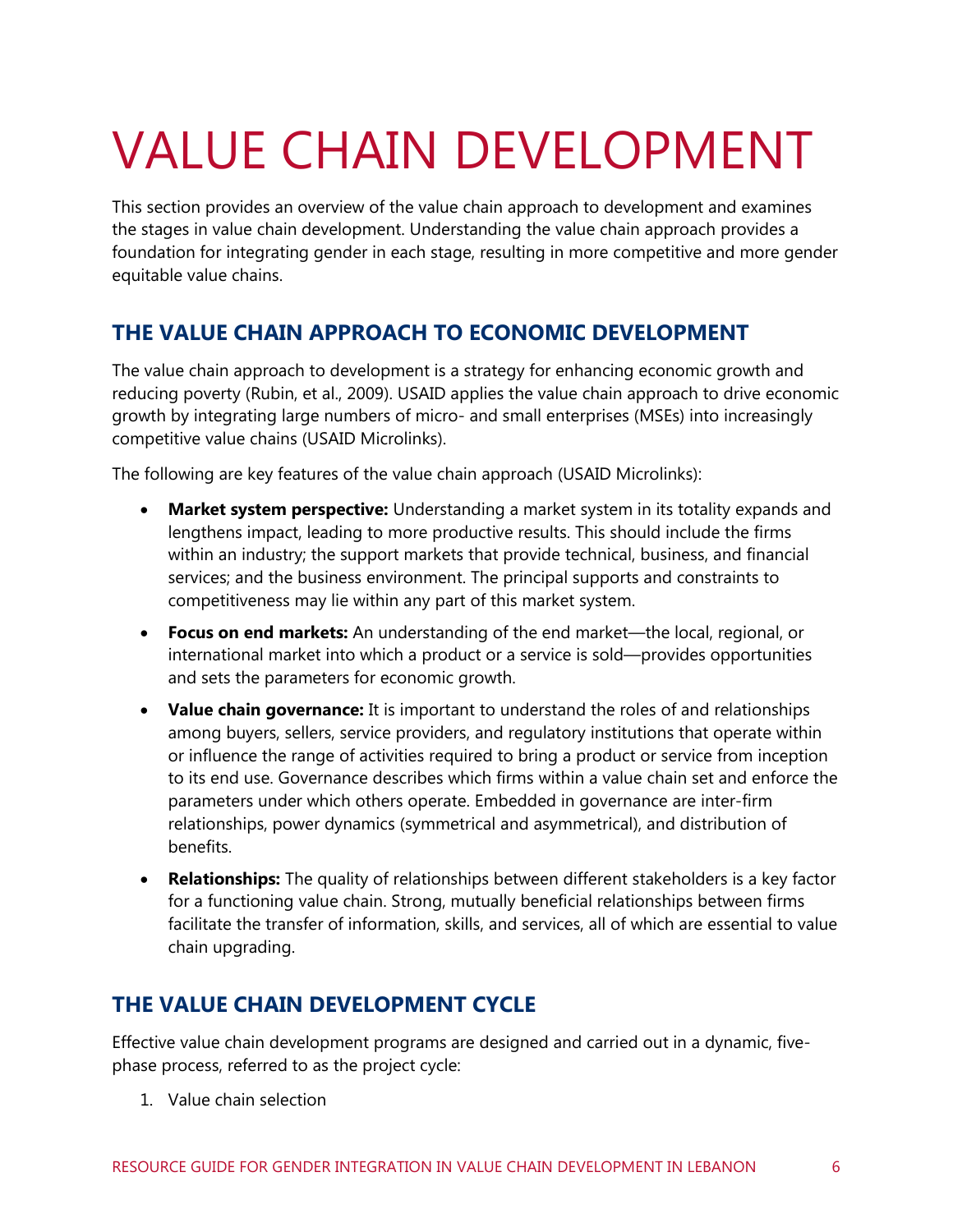## <span id="page-12-0"></span>VALUE CHAIN DEVELOPMENT

This section provides an overview of the value chain approach to development and examines the stages in value chain development. Understanding the value chain approach provides a foundation for integrating gender in each stage, resulting in more competitive and more gender equitable value chains.

### <span id="page-12-1"></span>**THE VALUE CHAIN APPROACH TO ECONOMIC DEVELOPMENT**

The value chain approach to development is a strategy for enhancing economic growth and reducing poverty (Rubin, et al., 2009). USAID applies the value chain approach to drive economic growth by integrating large numbers of micro- and small enterprises (MSEs) into increasingly competitive value chains (USAID Microlinks).

The following are key features of the value chain approach (USAID Microlinks):

- **Market system perspective:** Understanding a market system in its totality expands and lengthens impact, leading to more productive results. This should include the firms within an industry; the support markets that provide technical, business, and financial services; and the business environment. The principal supports and constraints to competitiveness may lie within any part of this market system.
- **Focus on end markets:** An understanding of the end market—the local, regional, or international market into which a product or a service is sold—provides opportunities and sets the parameters for economic growth.
- **Value chain governance:** It is important to understand the roles of and relationships among buyers, sellers, service providers, and regulatory institutions that operate within or influence the range of activities required to bring a product or service from inception to its end use. Governance describes which firms within a value chain set and enforce the parameters under which others operate. Embedded in governance are inter-firm relationships, power dynamics (symmetrical and asymmetrical), and distribution of benefits.
- **Relationships:** The quality of relationships between different stakeholders is a key factor for a functioning value chain. Strong, mutually beneficial relationships between firms facilitate the transfer of information, skills, and services, all of which are essential to value chain upgrading.

### <span id="page-12-2"></span>**THE VALUE CHAIN DEVELOPMENT CYCLE**

Effective value chain development programs are designed and carried out in a dynamic, fivephase process, referred to as the project cycle:

1. Value chain selection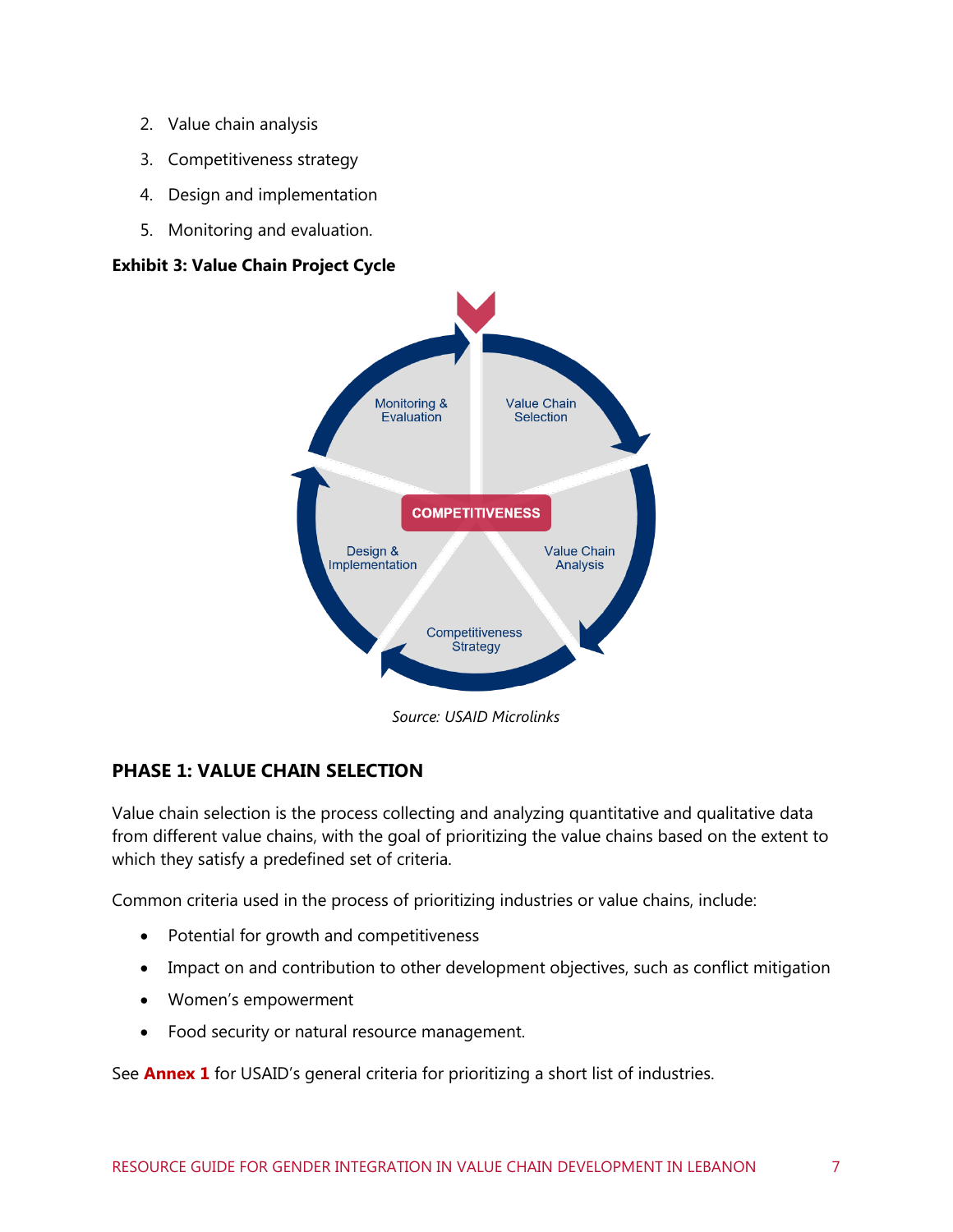- 2. Value chain analysis
- 3. Competitiveness strategy
- 4. Design and implementation
- 5. Monitoring and evaluation.

#### **Exhibit 3: Value Chain Project Cycle**



*Source: USAID Microlinks*

#### **PHASE 1: VALUE CHAIN SELECTION**

Value chain selection is the process collecting and analyzing quantitative and qualitative data from different value chains, with the goal of prioritizing the value chains based on the extent to which they satisfy a predefined set of criteria.

Common criteria used in the process of prioritizing industries or value chains, include:

- Potential for growth and competitiveness
- Impact on and contribution to other development objectives, such as conflict mitigation
- Women's empowerment
- Food security or natural resource management.

See **Annex 1** for USAID's general criteria for prioritizing a short list of industries.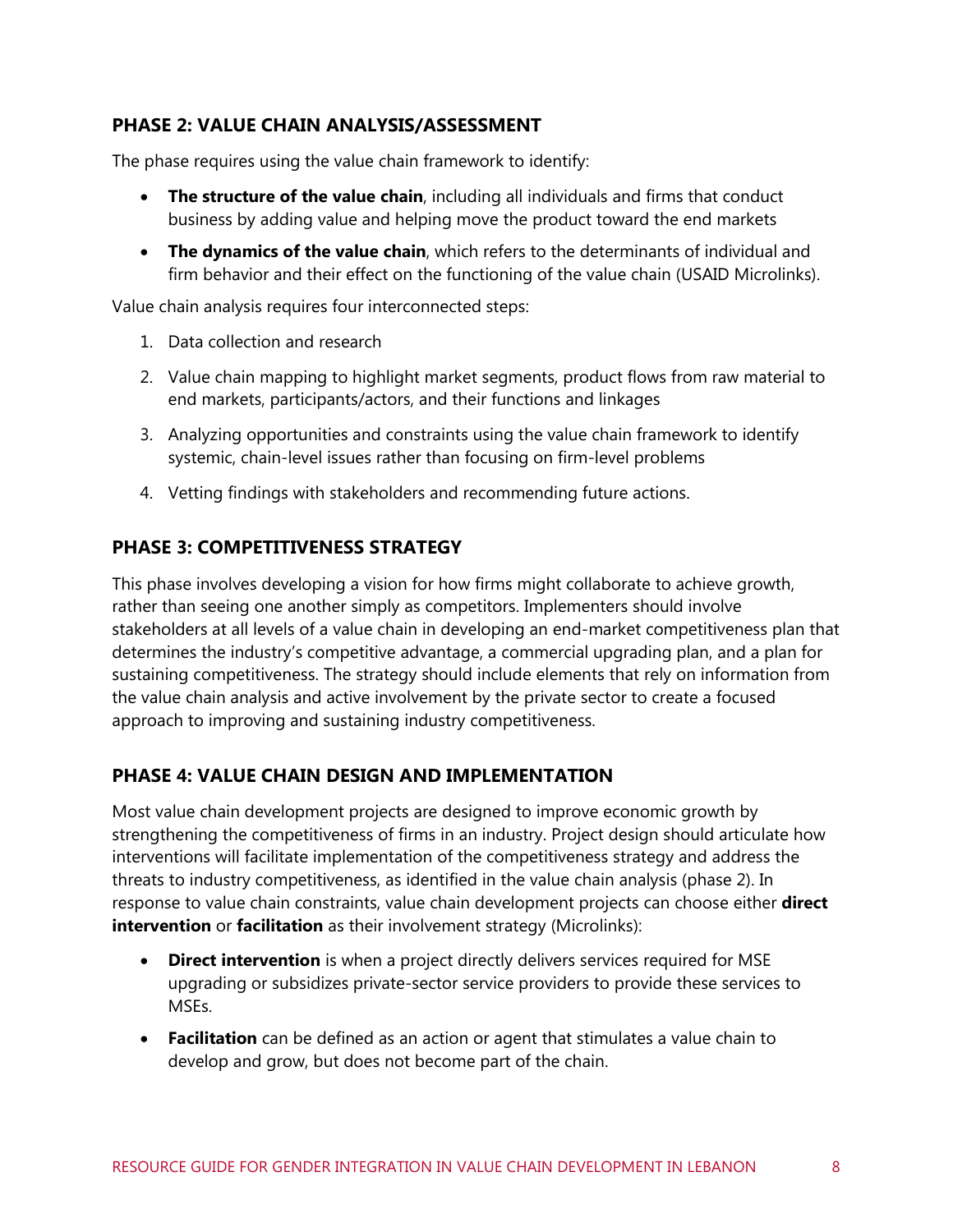#### **PHASE 2: VALUE CHAIN ANALYSIS/ASSESSMENT**

The phase requires using the value chain framework to identify:

- **The structure of the value chain**, including all individuals and firms that conduct business by adding value and helping move the product toward the end markets
- **The dynamics of the value chain**, which refers to the determinants of individual and firm behavior and their effect on the functioning of the value chain (USAID Microlinks).

Value chain analysis requires four interconnected steps:

- 1. Data collection and research
- 2. Value chain mapping to highlight market segments, product flows from raw material to end markets, participants/actors, and their functions and linkages
- 3. Analyzing opportunities and constraints using the value chain framework to identify systemic, chain-level issues rather than focusing on firm-level problems
- 4. Vetting findings with stakeholders and recommending future actions.

#### **PHASE 3: COMPETITIVENESS STRATEGY**

This phase involves developing a vision for how firms might collaborate to achieve growth, rather than seeing one another simply as competitors. Implementers should involve stakeholders at all levels of a value chain in developing an end-market competitiveness plan that determines the industry's competitive advantage, a commercial upgrading plan, and a plan for sustaining competitiveness. The strategy should include elements that rely on information from the value chain analysis and active involvement by the private sector to create a focused approach to improving and sustaining industry competitiveness.

#### **PHASE 4: VALUE CHAIN DESIGN AND IMPLEMENTATION**

Most value chain development projects are designed to improve economic growth by strengthening the competitiveness of firms in an industry. Project design should articulate how interventions will facilitate implementation of the competitiveness strategy and address the threats to industry competitiveness, as identified in the value chain analysis (phase 2). In response to value chain constraints, value chain development projects can choose either **direct intervention** or **facilitation** as their involvement strategy (Microlinks):

- **Direct intervention** is when a project directly delivers services required for MSE upgrading or subsidizes private-sector service providers to provide these services to MSEs.
- **Facilitation** can be defined as an action or agent that stimulates a value chain to develop and grow, but does not become part of the chain.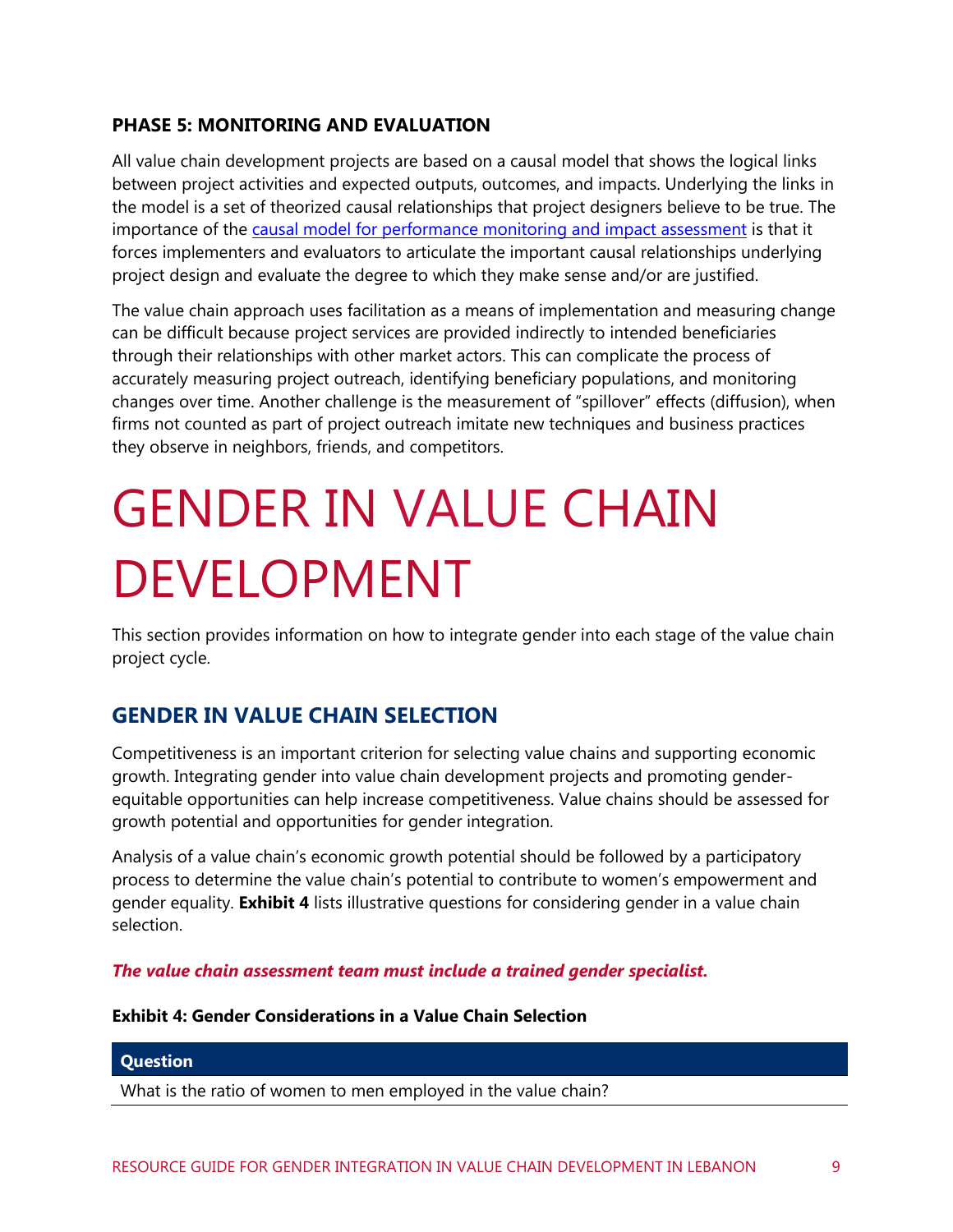#### **PHASE 5: MONITORING AND EVALUATION**

All value chain development projects are based on a causal model that shows the logical links between project activities and expected outputs, outcomes, and impacts. Underlying the links in the model is a set of theorized causal relationships that project designers believe to be true. The importance of the [causal model for performance monitoring and impact assessment](http://www.microlinks.org/good-practice-center/value-chain-wiki/role-causal-model-performance-monitoring-and-impact-assessme) is that it forces implementers and evaluators to articulate the important causal relationships underlying project design and evaluate the degree to which they make sense and/or are justified.

The value chain approach uses facilitation as a means of implementation and measuring change can be difficult because project services are provided indirectly to intended beneficiaries through their relationships with other market actors. This can complicate the process of accurately measuring project outreach, identifying beneficiary populations, and monitoring changes over time. Another challenge is the measurement of "spillover" effects (diffusion), when firms not counted as part of project outreach imitate new techniques and business practices they observe in neighbors, friends, and competitors.

## <span id="page-15-0"></span>GENDER IN VALUE CHAIN DEVELOPMENT

This section provides information on how to integrate gender into each stage of the value chain project cycle.

### <span id="page-15-1"></span>**GENDER IN VALUE CHAIN SELECTION**

Competitiveness is an important criterion for selecting value chains and supporting economic growth. Integrating gender into value chain development projects and promoting genderequitable opportunities can help increase competitiveness. Value chains should be assessed for growth potential and opportunities for gender integration.

Analysis of a value chain's economic growth potential should be followed by a participatory process to determine the value chain's potential to contribute to women's empowerment and gender equality. **[Exhibit 4](#page-15-2)** lists illustrative questions for considering gender in a value chain selection.

*The value chain assessment team must include a trained gender specialist.*

<span id="page-15-2"></span>**Exhibit 4: Gender Considerations in a Value Chain Selection**

#### **Question**

What is the ratio of women to men employed in the value chain?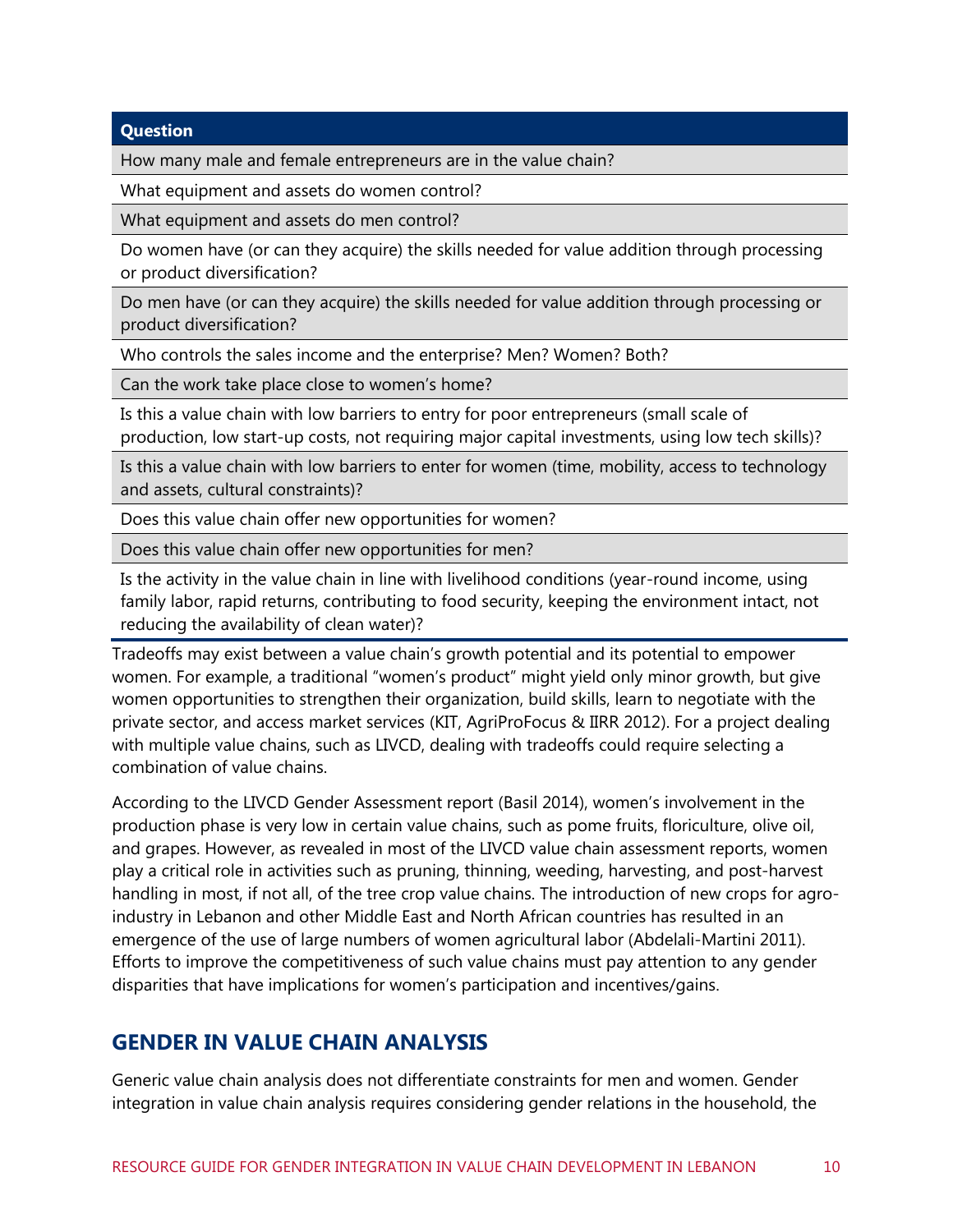#### **Question**

How many male and female entrepreneurs are in the value chain?

What equipment and assets do women control?

What equipment and assets do men control?

Do women have (or can they acquire) the skills needed for value addition through processing or product diversification?

Do men have (or can they acquire) the skills needed for value addition through processing or product diversification?

Who controls the sales income and the enterprise? Men? Women? Both?

Can the work take place close to women's home?

Is this a value chain with low barriers to entry for poor entrepreneurs (small scale of production, low start-up costs, not requiring major capital investments, using low tech skills)?

Is this a value chain with low barriers to enter for women (time, mobility, access to technology and assets, cultural constraints)?

Does this value chain offer new opportunities for women?

Does this value chain offer new opportunities for men?

Is the activity in the value chain in line with livelihood conditions (year-round income, using family labor, rapid returns, contributing to food security, keeping the environment intact, not reducing the availability of clean water)?

Tradeoffs may exist between a value chain's growth potential and its potential to empower women. For example, a traditional "women's product" might yield only minor growth, but give women opportunities to strengthen their organization, build skills, learn to negotiate with the private sector, and access market services (KIT, AgriProFocus & IIRR 2012). For a project dealing with multiple value chains, such as LIVCD, dealing with tradeoffs could require selecting a combination of value chains.

According to the LIVCD Gender Assessment report (Basil 2014), women's involvement in the production phase is very low in certain value chains, such as pome fruits, floriculture, olive oil, and grapes. However, as revealed in most of the LIVCD value chain assessment reports, women play a critical role in activities such as pruning, thinning, weeding, harvesting, and post-harvest handling in most, if not all, of the tree crop value chains. The introduction of new crops for agroindustry in Lebanon and other Middle East and North African countries has resulted in an emergence of the use of large numbers of women agricultural labor (Abdelali-Martini 2011). Efforts to improve the competitiveness of such value chains must pay attention to any gender disparities that have implications for women's participation and incentives/gains.

### <span id="page-16-0"></span>**GENDER IN VALUE CHAIN ANALYSIS**

Generic value chain analysis does not differentiate constraints for men and women. Gender integration in value chain analysis requires considering gender relations in the household, the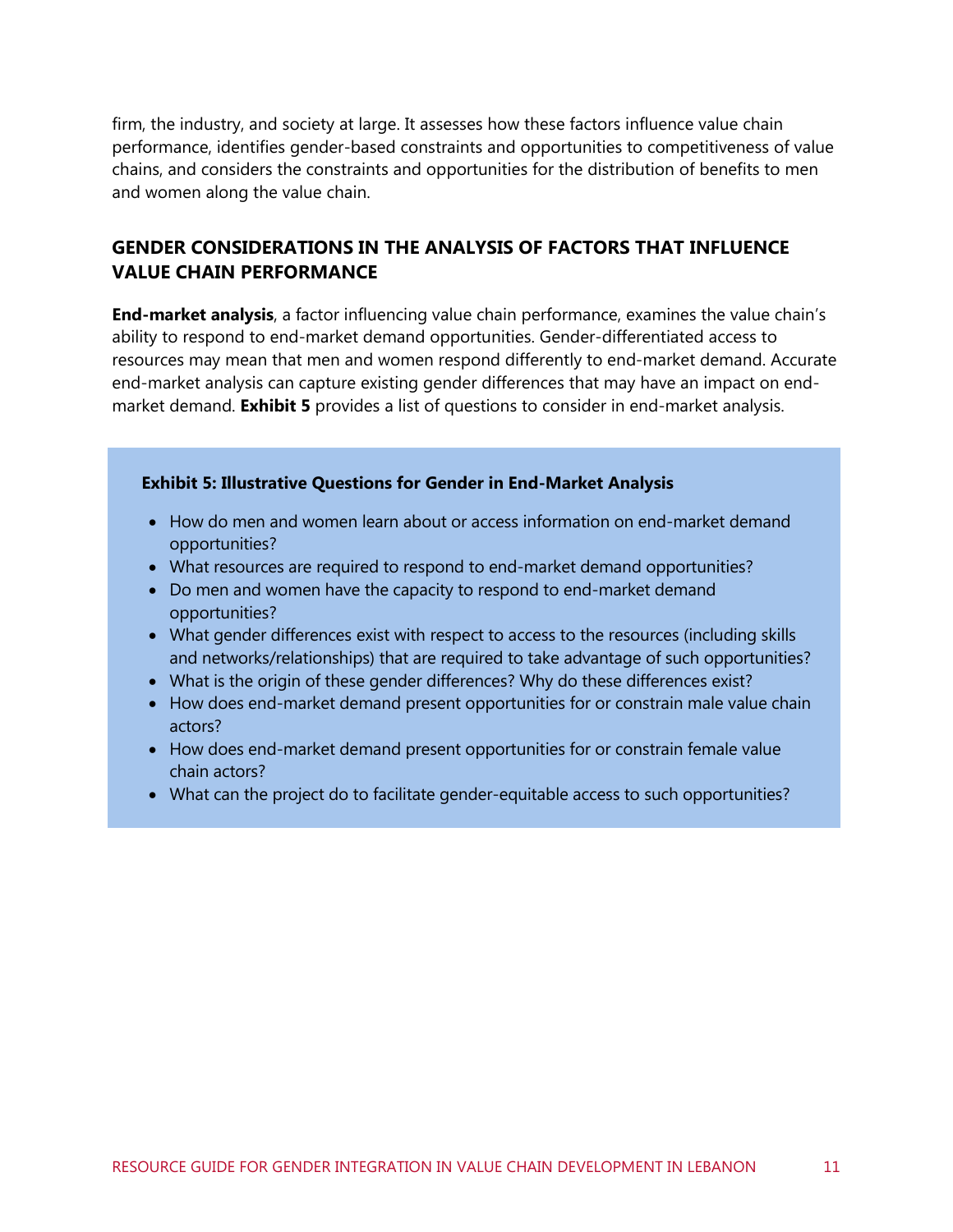firm, the industry, and society at large. It assesses how these factors influence value chain performance, identifies gender-based constraints and opportunities to competitiveness of value chains, and considers the constraints and opportunities for the distribution of benefits to men and women along the value chain.

#### **GENDER CONSIDERATIONS IN THE ANALYSIS OF FACTORS THAT INFLUENCE VALUE CHAIN PERFORMANCE**

**End-market analysis**, a factor influencing value chain performance, examines the value chain's ability to respond to end-market demand opportunities. Gender-differentiated access to resources may mean that men and women respond differently to end-market demand. Accurate end-market analysis can capture existing gender differences that may have an impact on endmarket demand. **[Exhibit 5](#page-17-0)** provides a list of questions to consider in end-market analysis.

#### <span id="page-17-0"></span>**Exhibit 5: Illustrative Questions for Gender in End-Market Analysis**

- How do men and women learn about or access information on end-market demand opportunities?
- What resources are required to respond to end-market demand opportunities?
- Do men and women have the capacity to respond to end-market demand opportunities?
- What gender differences exist with respect to access to the resources (including skills and networks/relationships) that are required to take advantage of such opportunities?
- What is the origin of these gender differences? Why do these differences exist?
- How does end-market demand present opportunities for or constrain male value chain actors?
- How does end-market demand present opportunities for or constrain female value chain actors?
- What can the project do to facilitate gender-equitable access to such opportunities?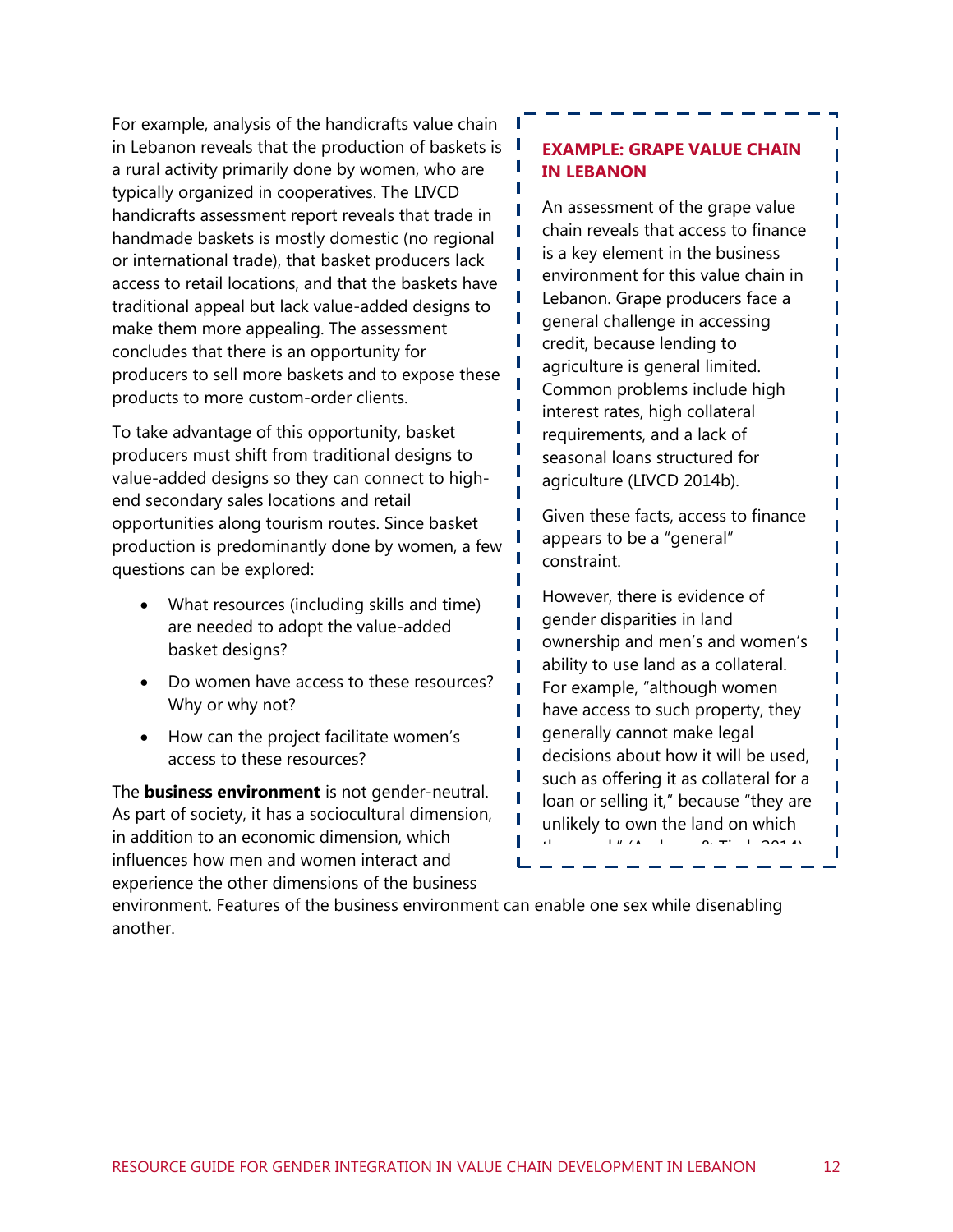For example, analysis of the handicrafts value chain in Lebanon reveals that the production of baskets is  $\blacksquare$ a rural activity primarily done by women, who are typically organized in cooperatives. The LIVCD handicrafts assessment report reveals that trade in handmade baskets is mostly domestic (no regional or international trade), that basket producers lack access to retail locations, and that the baskets have traditional appeal but lack value-added designs to make them more appealing. The assessment concludes that there is an opportunity for producers to sell more baskets and to expose these products to more custom-order clients.

To take advantage of this opportunity, basket producers must shift from traditional designs to value-added designs so they can connect to highend secondary sales locations and retail opportunities along tourism routes. Since basket production is predominantly done by women, a few questions can be explored:

- What resources (including skills and time) are needed to adopt the value-added basket designs?
- Do women have access to these resources? Why or why not?
- How can the project facilitate women's access to these resources?

The **business environment** is not gender-neutral. As part of society, it has a sociocultural dimension, in addition to an economic dimension, which influences how men and women interact and experience the other dimensions of the business

#### **EXAMPLE: GRAPE VALUE CHAIN IN LEBANON**

П

П П

П

П

П

П

П T

П П п П

> Г П

ī I

Π

I П T

I

п

П

An assessment of the grape value chain reveals that access to finance is a key element in the business environment for this value chain in Lebanon. Grape producers face a general challenge in accessing credit, because lending to agriculture is general limited. Common problems include high interest rates, high collateral requirements, and a lack of seasonal loans structured for agriculture (LIVCD 2014b).

Given these facts, access to finance appears to be a "general" constraint.

However, there is evidence of gender disparities in land ownership and men's and women's ability to use land as a collateral. For example, "although women have access to such property, they generally cannot make legal decisions about how it will be used, such as offering it as collateral for a loan or selling it," because "they are unlikely to own the land on which they work" (Andraos & Tisch 2014).

environment. Features of the business environment can enable one sex while disenabling another.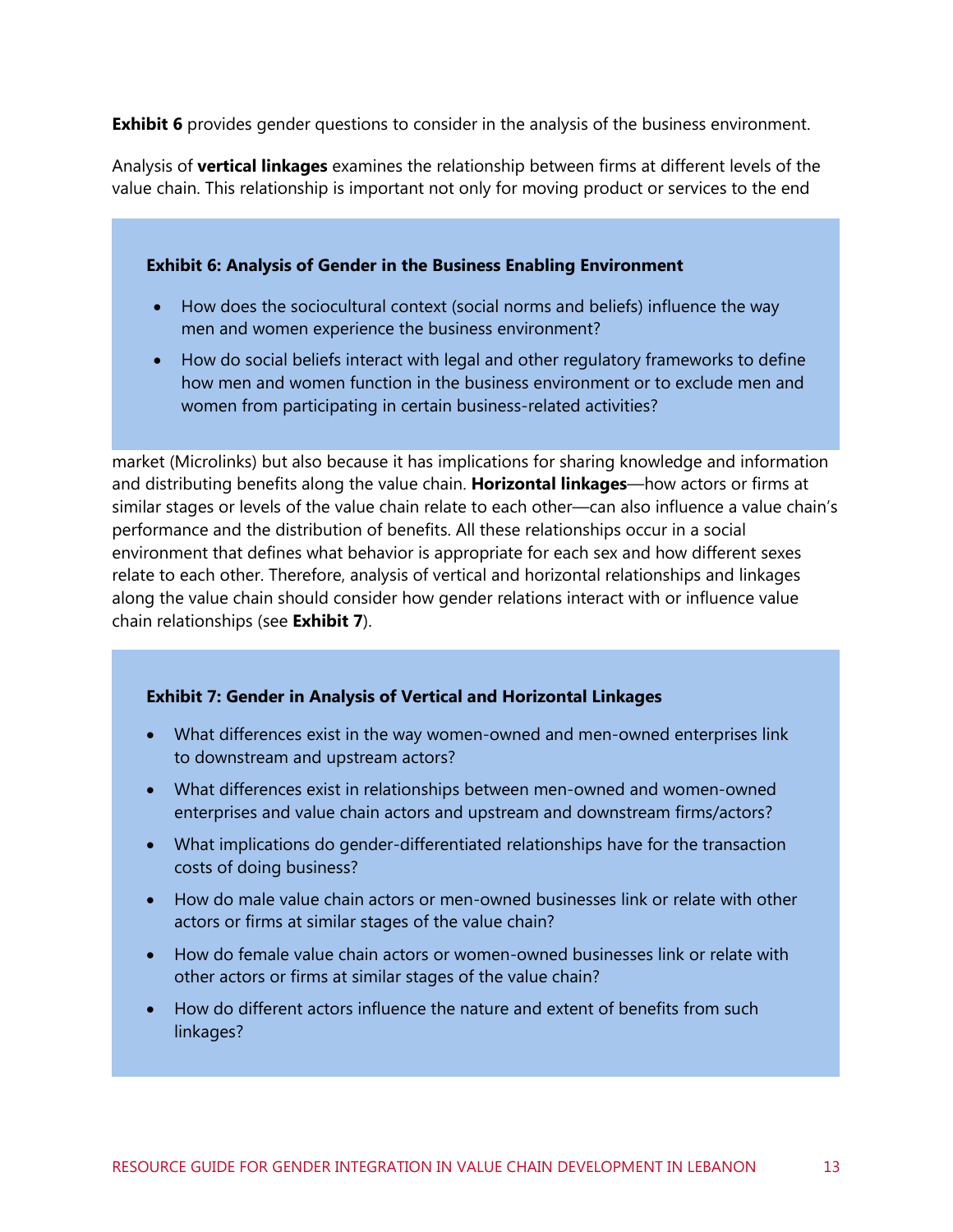**[Exhibit 6](#page-19-0)** provides gender questions to consider in the analysis of the business environment.

Analysis of **vertical linkages** examines the relationship between firms at different levels of the value chain. This relationship is important not only for moving product or services to the end

<span id="page-19-0"></span>**Exhibit 6: Analysis of Gender in the Business Enabling Environment**

- How does the sociocultural context (social norms and beliefs) influence the way men and women experience the business environment?
- How do social beliefs interact with legal and other regulatory frameworks to define how men and women function in the business environment or to exclude men and women from participating in certain business-related activities?

market (Microlinks) but also because it has implications for sharing knowledge and information and distributing benefits along the value chain. **Horizontal linkages**—how actors or firms at similar stages or levels of the value chain relate to each other—can also influence a value chain's performance and the distribution of benefits. All these relationships occur in a social environment that defines what behavior is appropriate for each sex and how different sexes relate to each other. Therefore, analysis of vertical and horizontal relationships and linkages along the value chain should consider how gender relations interact with or influence value chain relationships (see **[Exhibit 7](#page-19-1)**).

#### <span id="page-19-1"></span>**Exhibit 7: Gender in Analysis of Vertical and Horizontal Linkages**

- What differences exist in the way women-owned and men-owned enterprises link to downstream and upstream actors?
- What differences exist in relationships between men-owned and women-owned enterprises and value chain actors and upstream and downstream firms/actors?
- What implications do gender-differentiated relationships have for the transaction costs of doing business?
- How do male value chain actors or men-owned businesses link or relate with other actors or firms at similar stages of the value chain?
- How do female value chain actors or women-owned businesses link or relate with other actors or firms at similar stages of the value chain?
- How do different actors influence the nature and extent of benefits from such linkages?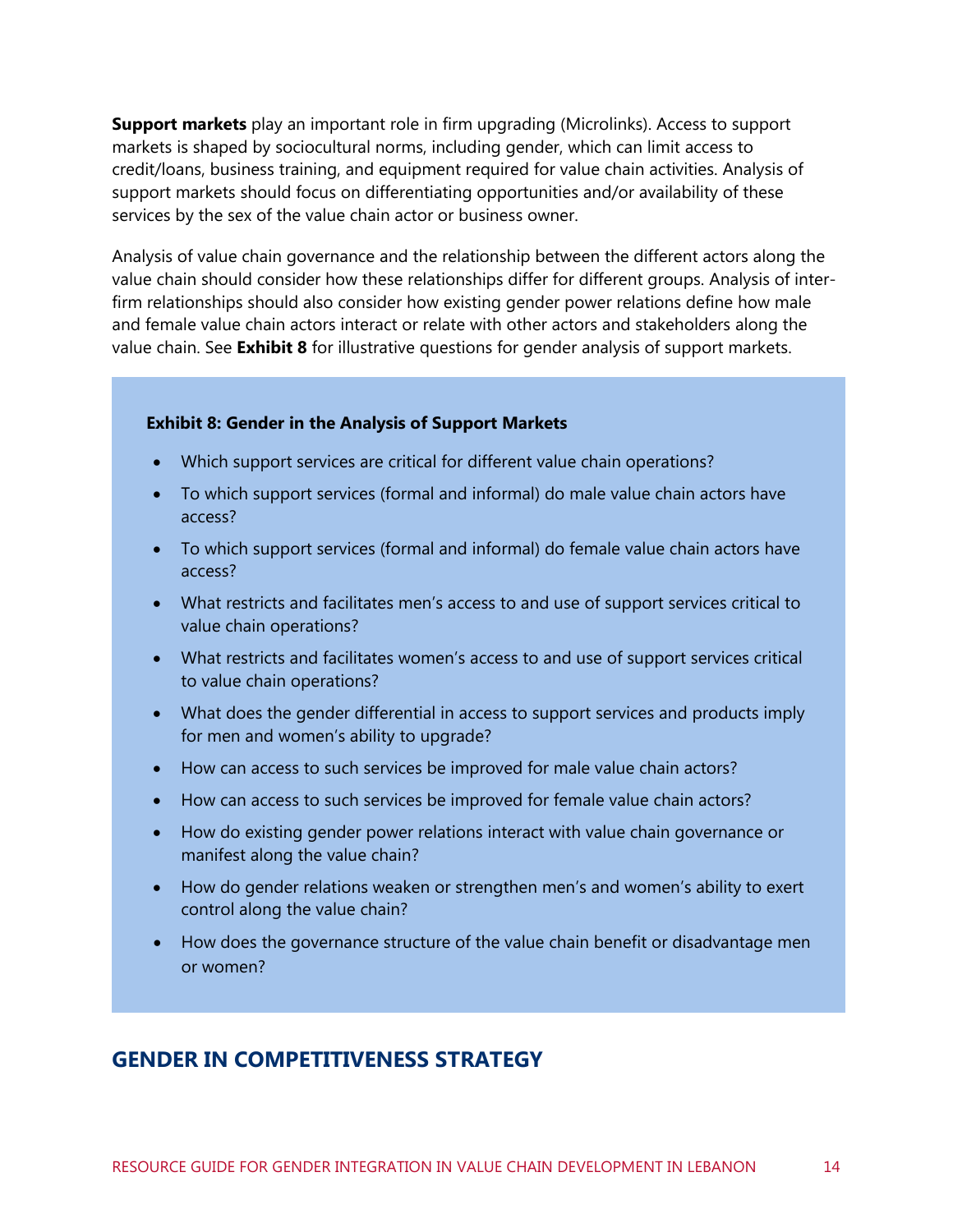**Support markets** play an important role in firm upgrading (Microlinks). Access to support markets is shaped by sociocultural norms, including gender, which can limit access to credit/loans, business training, and equipment required for value chain activities. Analysis of support markets should focus on differentiating opportunities and/or availability of these services by the sex of the value chain actor or business owner.

Analysis of value chain governance and the relationship between the different actors along the value chain should consider how these relationships differ for different groups. Analysis of interfirm relationships should also consider how existing gender power relations define how male and female value chain actors interact or relate with other actors and stakeholders along the value chain. See **[Exhibit 8](#page-20-1)** for illustrative questions for gender analysis of support markets.

#### <span id="page-20-1"></span>**Exhibit 8: Gender in the Analysis of Support Markets**

- Which support services are critical for different value chain operations?
- To which support services (formal and informal) do male value chain actors have access?
- To which support services (formal and informal) do female value chain actors have access?
- What restricts and facilitates men's access to and use of support services critical to value chain operations?
- What restricts and facilitates women's access to and use of support services critical to value chain operations?
- What does the gender differential in access to support services and products imply for men and women's ability to upgrade?
- How can access to such services be improved for male value chain actors?
- How can access to such services be improved for female value chain actors?
- How do existing gender power relations interact with value chain governance or manifest along the value chain?
- How do gender relations weaken or strengthen men's and women's ability to exert control along the value chain?
- How does the governance structure of the value chain benefit or disadvantage men or women?

### <span id="page-20-0"></span>**GENDER IN COMPETITIVENESS STRATEGY**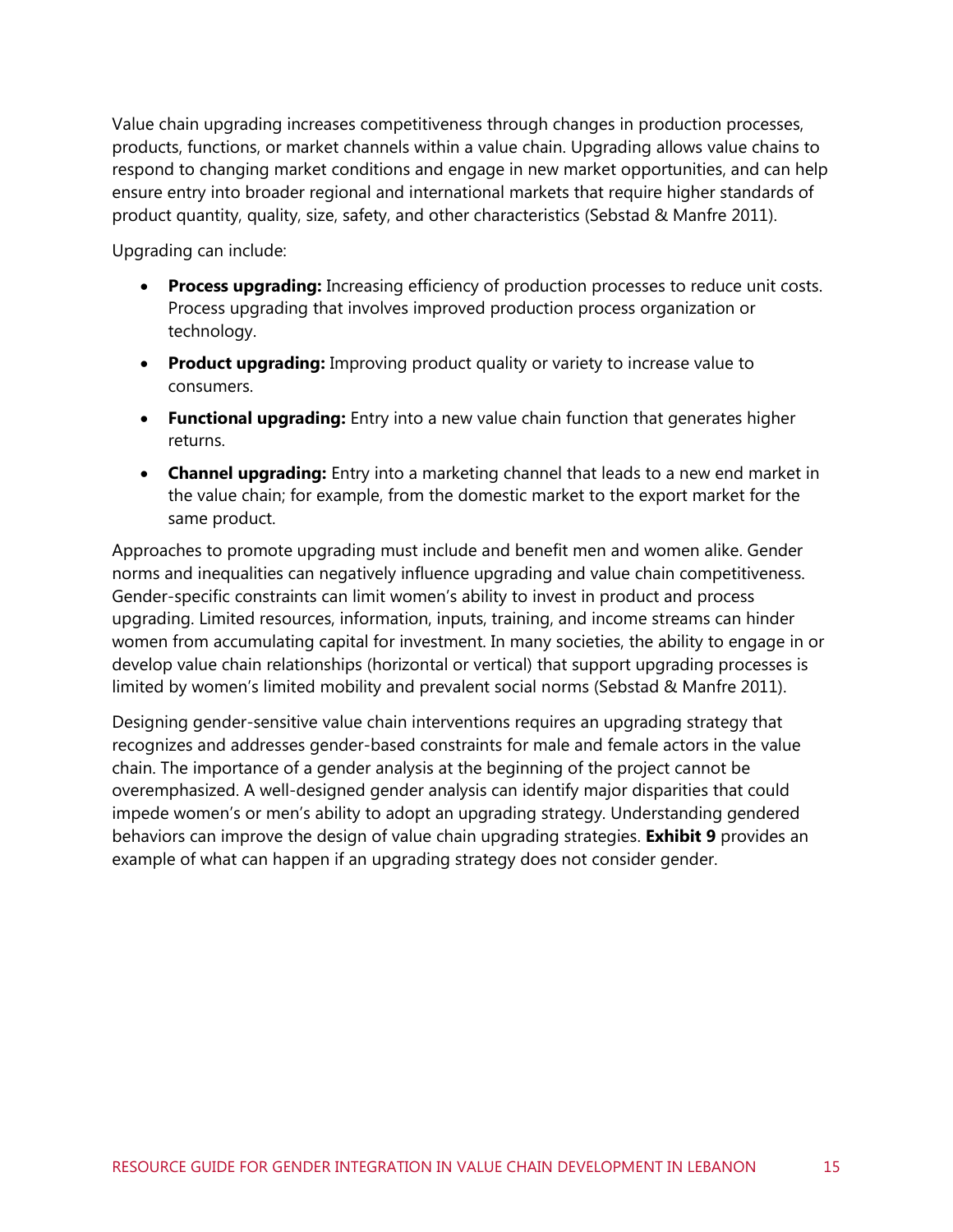Value chain upgrading increases competitiveness through changes in production processes, products, functions, or market channels within a value chain. Upgrading allows value chains to respond to changing market conditions and engage in new market opportunities, and can help ensure entry into broader regional and international markets that require higher standards of product quantity, quality, size, safety, and other characteristics (Sebstad & Manfre 2011).

Upgrading can include:

- **Process upgrading:** Increasing efficiency of production processes to reduce unit costs. Process upgrading that involves improved production process organization or technology.
- **Product upgrading:** Improving product quality or variety to increase value to consumers.
- **Functional upgrading:** Entry into a new value chain function that generates higher returns.
- **Channel upgrading:** Entry into a marketing channel that leads to a new end market in the value chain; for example, from the domestic market to the export market for the same product.

Approaches to promote upgrading must include and benefit men and women alike. Gender norms and inequalities can negatively influence upgrading and value chain competitiveness. Gender-specific constraints can limit women's ability to invest in product and process upgrading. Limited resources, information, inputs, training, and income streams can hinder women from accumulating capital for investment. In many societies, the ability to engage in or develop value chain relationships (horizontal or vertical) that support upgrading processes is limited by women's limited mobility and prevalent social norms (Sebstad & Manfre 2011).

Designing gender-sensitive value chain interventions requires an upgrading strategy that recognizes and addresses gender-based constraints for male and female actors in the value chain. The importance of a gender analysis at the beginning of the project cannot be overemphasized. A well-designed gender analysis can identify major disparities that could impede women's or men's ability to adopt an upgrading strategy. Understanding gendered behaviors can improve the design of value chain upgrading strategies. **[Exhibit 9](#page-22-0)** provides an example of what can happen if an upgrading strategy does not consider gender.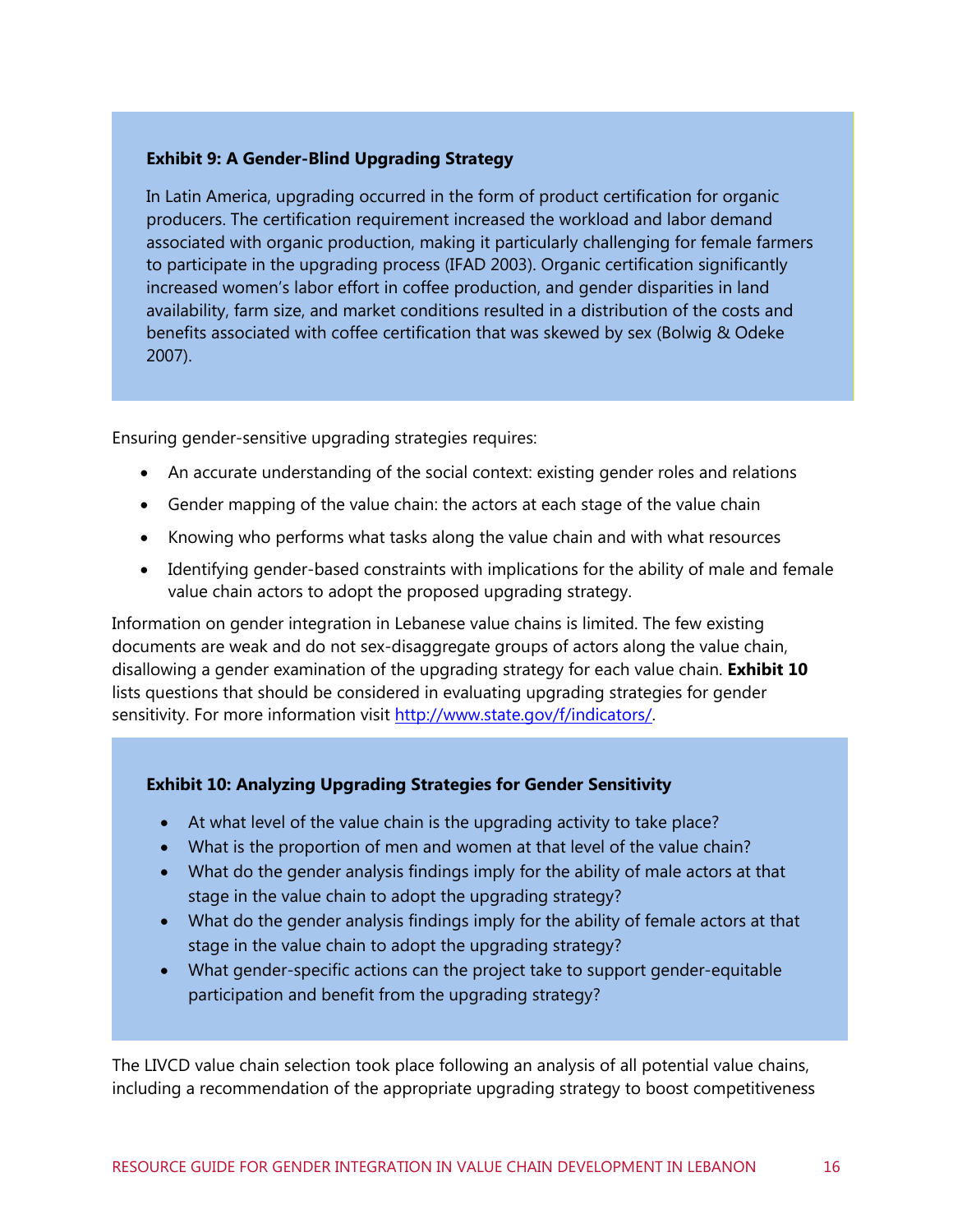#### <span id="page-22-0"></span>**Exhibit 9: A Gender-Blind Upgrading Strategy**

In Latin America, upgrading occurred in the form of product certification for organic producers. The certification requirement increased the workload and labor demand associated with organic production, making it particularly challenging for female farmers to participate in the upgrading process (IFAD 2003). Organic certification significantly increased women's labor effort in coffee production, and gender disparities in land availability, farm size, and market conditions resulted in a distribution of the costs and benefits associated with coffee certification that was skewed by sex (Bolwig & Odeke 2007).

Ensuring gender-sensitive upgrading strategies requires:

- An accurate understanding of the social context: existing gender roles and relations
- Gender mapping of the value chain: the actors at each stage of the value chain
- Knowing who performs what tasks along the value chain and with what resources
- Identifying gender-based constraints with implications for the ability of male and female value chain actors to adopt the proposed upgrading strategy.

Information on gender integration in Lebanese value chains is limited. The few existing documents are weak and do not sex-disaggregate groups of actors along the value chain, disallowing a gender examination of the upgrading strategy for each value chain. **[Exhibit 10](#page-22-1)** lists questions that should be considered in evaluating upgrading strategies for gender sensitivity. For more information visit [http://www.state.gov/f/indicators/.](http://www.state.gov/f/indicators/)

#### <span id="page-22-1"></span>**Exhibit 10: Analyzing Upgrading Strategies for Gender Sensitivity**

- At what level of the value chain is the upgrading activity to take place?
- What is the proportion of men and women at that level of the value chain?
- What do the gender analysis findings imply for the ability of male actors at that stage in the value chain to adopt the upgrading strategy?
- What do the gender analysis findings imply for the ability of female actors at that stage in the value chain to adopt the upgrading strategy?
- What gender-specific actions can the project take to support gender-equitable participation and benefit from the upgrading strategy?

The LIVCD value chain selection took place following an analysis of all potential value chains, including a recommendation of the appropriate upgrading strategy to boost competitiveness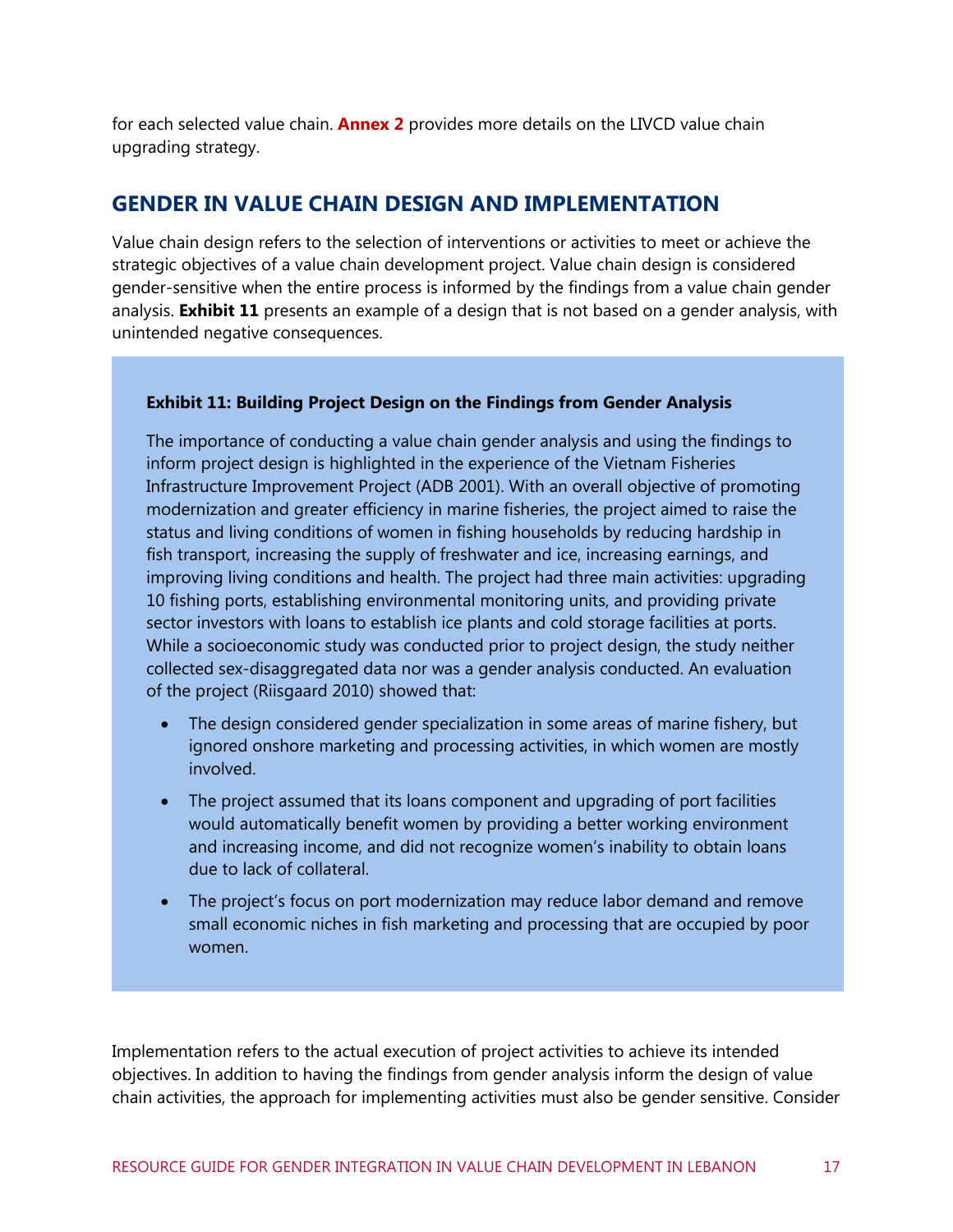for each selected value chain. **Annex 2** provides more details on the LIVCD value chain upgrading strategy.

#### <span id="page-23-0"></span>**GENDER IN VALUE CHAIN DESIGN AND IMPLEMENTATION**

Value chain design refers to the selection of interventions or activities to meet or achieve the strategic objectives of a value chain development project. Value chain design is considered gender-sensitive when the entire process is informed by the findings from a value chain gender analysis. **[Exhibit 11](#page-23-1)** presents an example of a design that is not based on a gender analysis, with unintended negative consequences.

#### <span id="page-23-1"></span>**Exhibit 11: Building Project Design on the Findings from Gender Analysis**

The importance of conducting a value chain gender analysis and using the findings to inform project design is highlighted in the experience of the Vietnam Fisheries Infrastructure Improvement Project (ADB 2001). With an overall objective of promoting modernization and greater efficiency in marine fisheries, the project aimed to raise the status and living conditions of women in fishing households by reducing hardship in fish transport, increasing the supply of freshwater and ice, increasing earnings, and improving living conditions and health. The project had three main activities: upgrading 10 fishing ports, establishing environmental monitoring units, and providing private sector investors with loans to establish ice plants and cold storage facilities at ports. While a socioeconomic study was conducted prior to project design, the study neither collected sex-disaggregated data nor was a gender analysis conducted. An evaluation of the project (Riisgaard 2010) showed that:

- The design considered gender specialization in some areas of marine fishery, but ignored onshore marketing and processing activities, in which women are mostly involved.
- The project assumed that its loans component and upgrading of port facilities would automatically benefit women by providing a better working environment and increasing income, and did not recognize women's inability to obtain loans due to lack of collateral.
- The project's focus on port modernization may reduce labor demand and remove small economic niches in fish marketing and processing that are occupied by poor women.

Implementation refers to the actual execution of project activities to achieve its intended objectives. In addition to having the findings from gender analysis inform the design of value chain activities, the approach for implementing activities must also be gender sensitive. Consider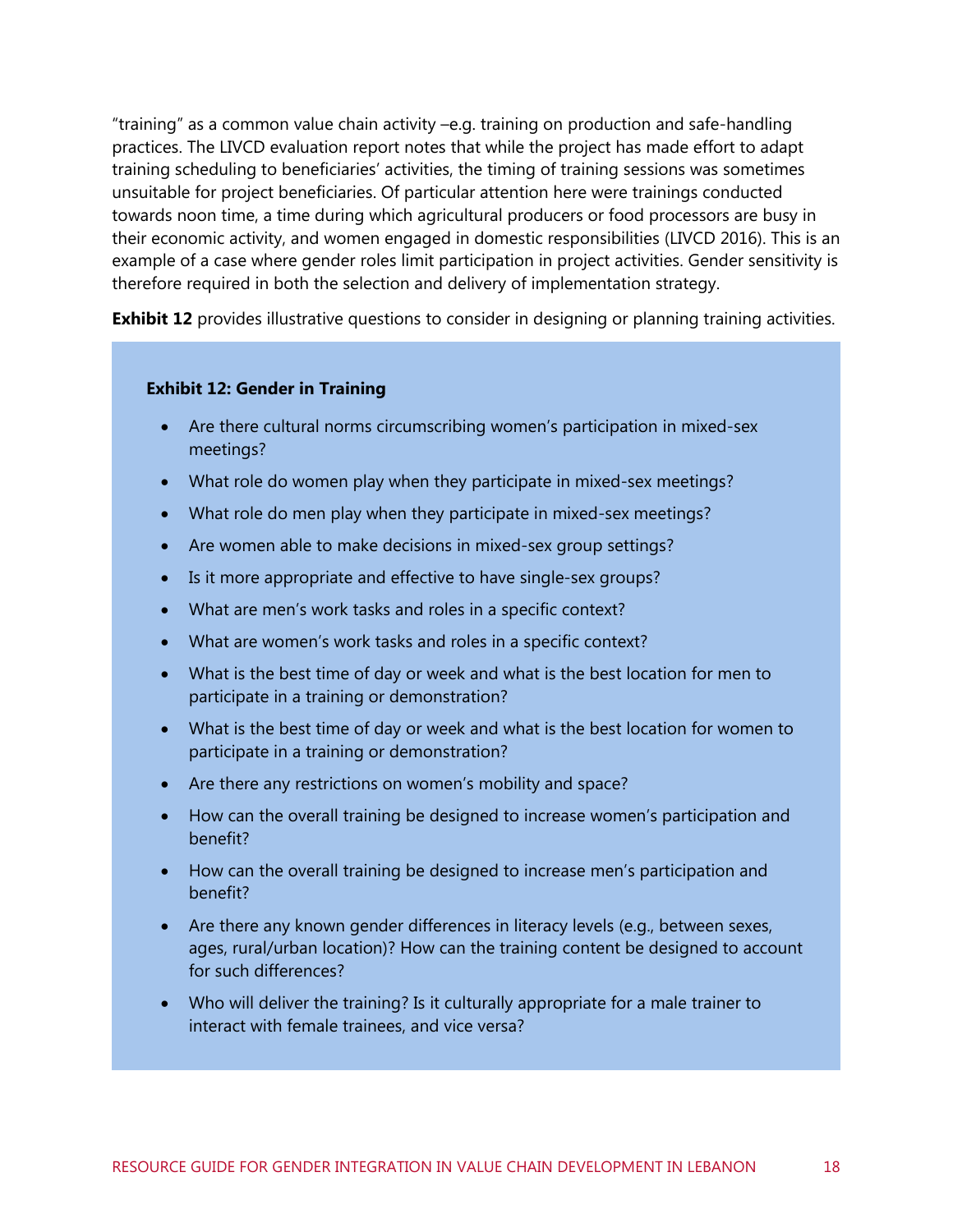"training" as a common value chain activity –e.g. training on production and safe-handling practices. The LIVCD evaluation report notes that while the project has made effort to adapt training scheduling to beneficiaries' activities, the timing of training sessions was sometimes unsuitable for project beneficiaries. Of particular attention here were trainings conducted towards noon time, a time during which agricultural producers or food processors are busy in their economic activity, and women engaged in domestic responsibilities (LIVCD 2016). This is an example of a case where gender roles limit participation in project activities. Gender sensitivity is therefore required in both the selection and delivery of implementation strategy.

**[Exhibit 12](#page-24-0)** provides illustrative questions to consider in designing or planning training activities.

#### <span id="page-24-0"></span>**Exhibit 12: Gender in Training**

- Are there cultural norms circumscribing women's participation in mixed-sex meetings?
- What role do women play when they participate in mixed-sex meetings?
- What role do men play when they participate in mixed-sex meetings?
- Are women able to make decisions in mixed-sex group settings?
- Is it more appropriate and effective to have single-sex groups?
- What are men's work tasks and roles in a specific context?
- What are women's work tasks and roles in a specific context?
- What is the best time of day or week and what is the best location for men to participate in a training or demonstration?
- What is the best time of day or week and what is the best location for women to participate in a training or demonstration?
- Are there any restrictions on women's mobility and space?
- How can the overall training be designed to increase women's participation and benefit?
- How can the overall training be designed to increase men's participation and benefit?
- Are there any known gender differences in literacy levels (e.g., between sexes, ages, rural/urban location)? How can the training content be designed to account for such differences?
- Who will deliver the training? Is it culturally appropriate for a male trainer to interact with female trainees, and vice versa?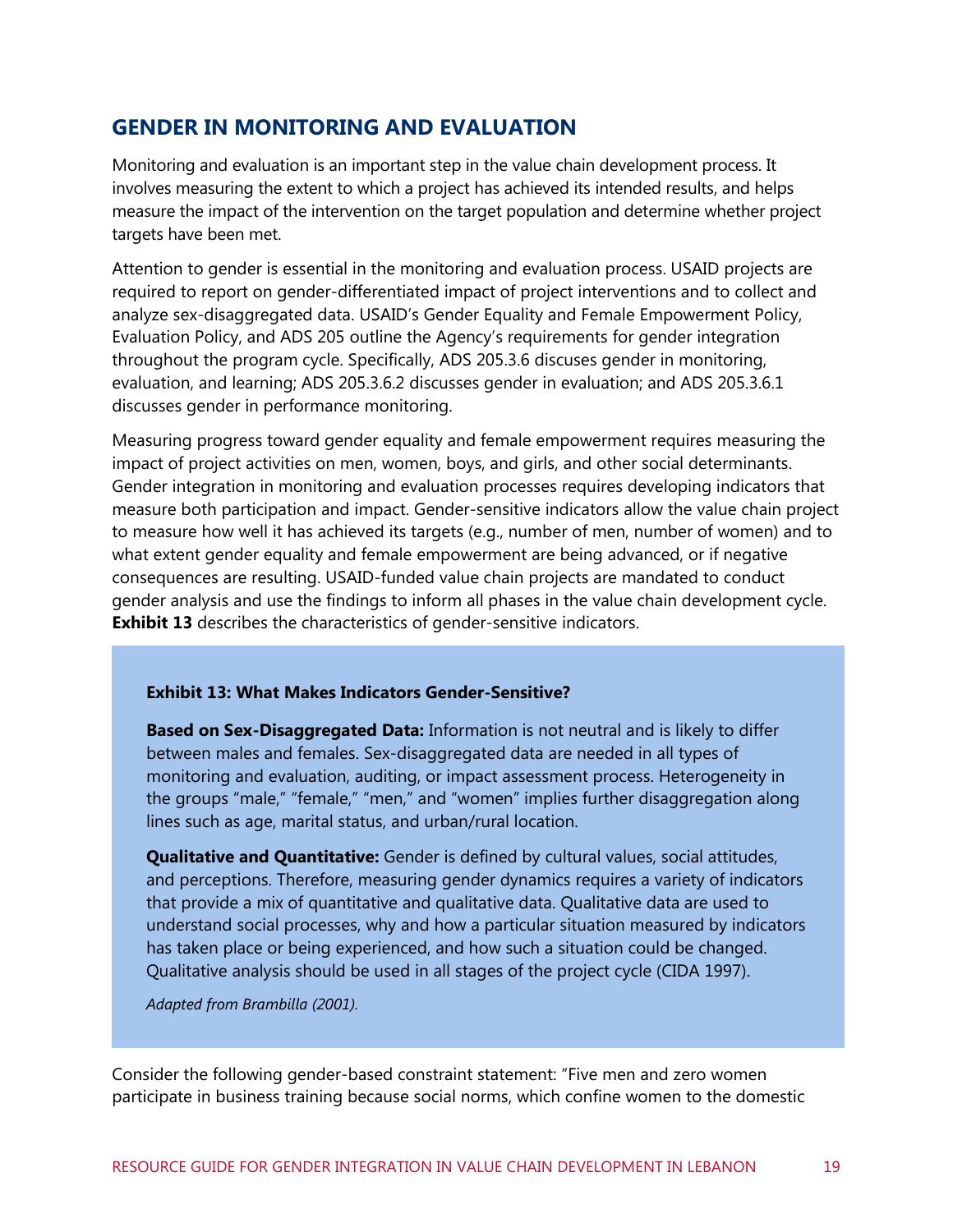### <span id="page-25-0"></span>**GENDER IN MONITORING AND EVALUATION**

Monitoring and evaluation is an important step in the value chain development process. It involves measuring the extent to which a project has achieved its intended results, and helps measure the impact of the intervention on the target population and determine whether project targets have been met.

Attention to gender is essential in the monitoring and evaluation process. USAID projects are required to report on gender-differentiated impact of project interventions and to collect and analyze sex-disaggregated data. USAID's Gender Equality and Female Empowerment Policy, Evaluation Policy, and ADS 205 outline the Agency's requirements for gender integration throughout the program cycle. Specifically, ADS 205.3.6 discuses gender in monitoring, evaluation, and learning; ADS 205.3.6.2 discusses gender in evaluation; and ADS 205.3.6.1 discusses gender in performance monitoring.

Measuring progress toward gender equality and female empowerment requires measuring the impact of project activities on men, women, boys, and girls, and other social determinants. Gender integration in monitoring and evaluation processes requires developing indicators that measure both participation and impact. Gender-sensitive indicators allow the value chain project to measure how well it has achieved its targets (e.g., number of men, number of women) and to what extent gender equality and female empowerment are being advanced, or if negative consequences are resulting. USAID-funded value chain projects are mandated to conduct gender analysis and use the findings to inform all phases in the value chain development cycle. **[Exhibit 13](#page-25-1)** describes the characteristics of gender-sensitive indicators.

#### <span id="page-25-1"></span>**Exhibit 13: What Makes Indicators Gender-Sensitive?**

**Based on Sex-Disaggregated Data:** Information is not neutral and is likely to differ between males and females. Sex-disaggregated data are needed in all types of monitoring and evaluation, auditing, or impact assessment process. Heterogeneity in the groups "male," "female," "men," and "women" implies further disaggregation along lines such as age, marital status, and urban/rural location.

**Qualitative and Quantitative:** Gender is defined by cultural values, social attitudes, and perceptions. Therefore, measuring gender dynamics requires a variety of indicators that provide a mix of quantitative and qualitative data. Qualitative data are used to understand social processes, why and how a particular situation measured by indicators has taken place or being experienced, and how such a situation could be changed. Qualitative analysis should be used in all stages of the project cycle (CIDA 1997).

*Adapted from Brambilla (2001).*

Consider the following gender-based constraint statement: "Five men and zero women participate in business training because social norms, which confine women to the domestic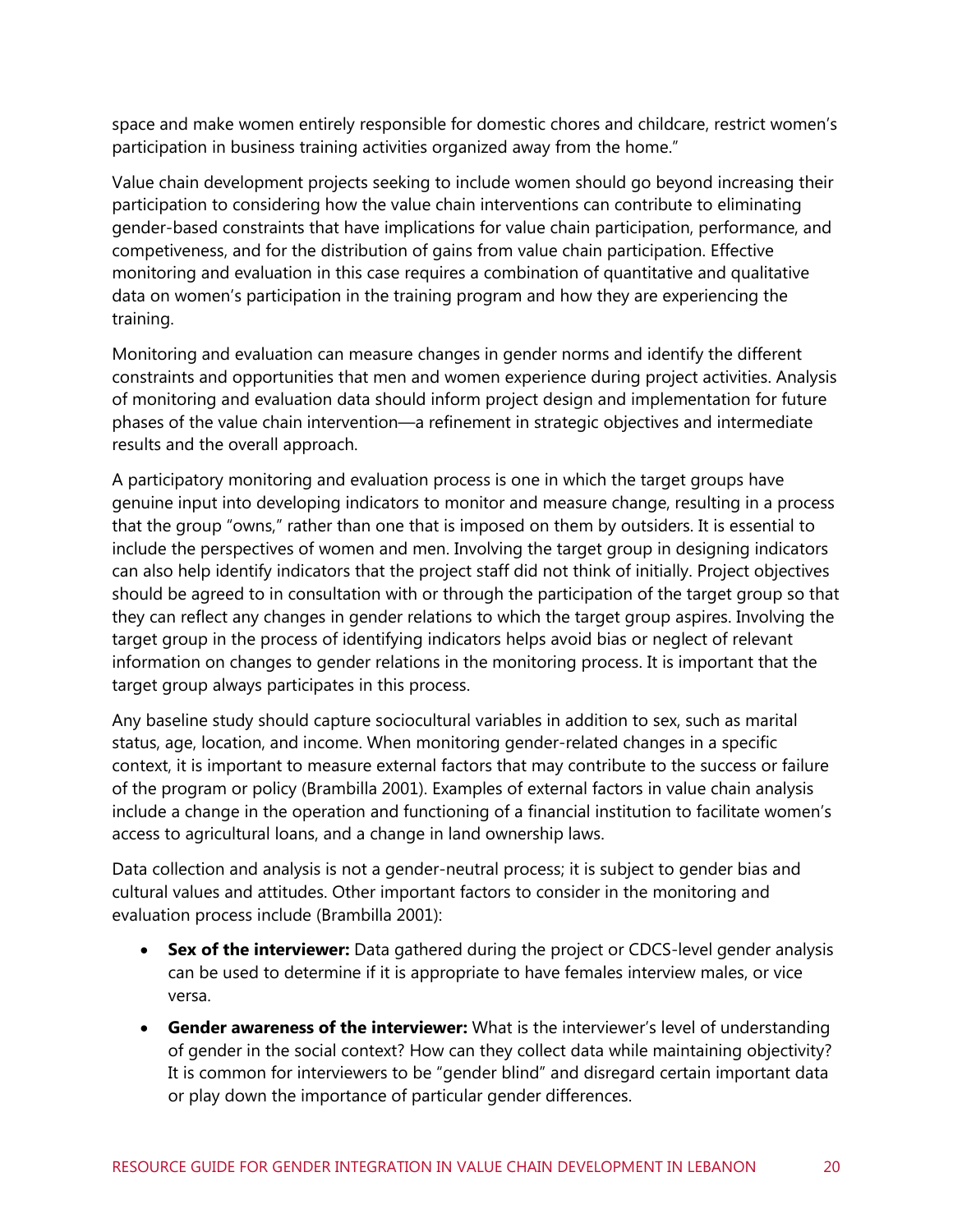space and make women entirely responsible for domestic chores and childcare, restrict women's participation in business training activities organized away from the home."

Value chain development projects seeking to include women should go beyond increasing their participation to considering how the value chain interventions can contribute to eliminating gender-based constraints that have implications for value chain participation, performance, and competiveness, and for the distribution of gains from value chain participation. Effective monitoring and evaluation in this case requires a combination of quantitative and qualitative data on women's participation in the training program and how they are experiencing the training.

Monitoring and evaluation can measure changes in gender norms and identify the different constraints and opportunities that men and women experience during project activities. Analysis of monitoring and evaluation data should inform project design and implementation for future phases of the value chain intervention—a refinement in strategic objectives and intermediate results and the overall approach.

A participatory monitoring and evaluation process is one in which the target groups have genuine input into developing indicators to monitor and measure change, resulting in a process that the group "owns," rather than one that is imposed on them by outsiders. It is essential to include the perspectives of women and men. Involving the target group in designing indicators can also help identify indicators that the project staff did not think of initially. Project objectives should be agreed to in consultation with or through the participation of the target group so that they can reflect any changes in gender relations to which the target group aspires. Involving the target group in the process of identifying indicators helps avoid bias or neglect of relevant information on changes to gender relations in the monitoring process. It is important that the target group always participates in this process.

Any baseline study should capture sociocultural variables in addition to sex, such as marital status, age, location, and income. When monitoring gender-related changes in a specific context, it is important to measure external factors that may contribute to the success or failure of the program or policy (Brambilla 2001). Examples of external factors in value chain analysis include a change in the operation and functioning of a financial institution to facilitate women's access to agricultural loans, and a change in land ownership laws.

Data collection and analysis is not a gender-neutral process; it is subject to gender bias and cultural values and attitudes. Other important factors to consider in the monitoring and evaluation process include (Brambilla 2001):

- **Sex of the interviewer:** Data gathered during the project or CDCS-level gender analysis can be used to determine if it is appropriate to have females interview males, or vice versa.
- **Gender awareness of the interviewer:** What is the interviewer's level of understanding of gender in the social context? How can they collect data while maintaining objectivity? It is common for interviewers to be "gender blind" and disregard certain important data or play down the importance of particular gender differences.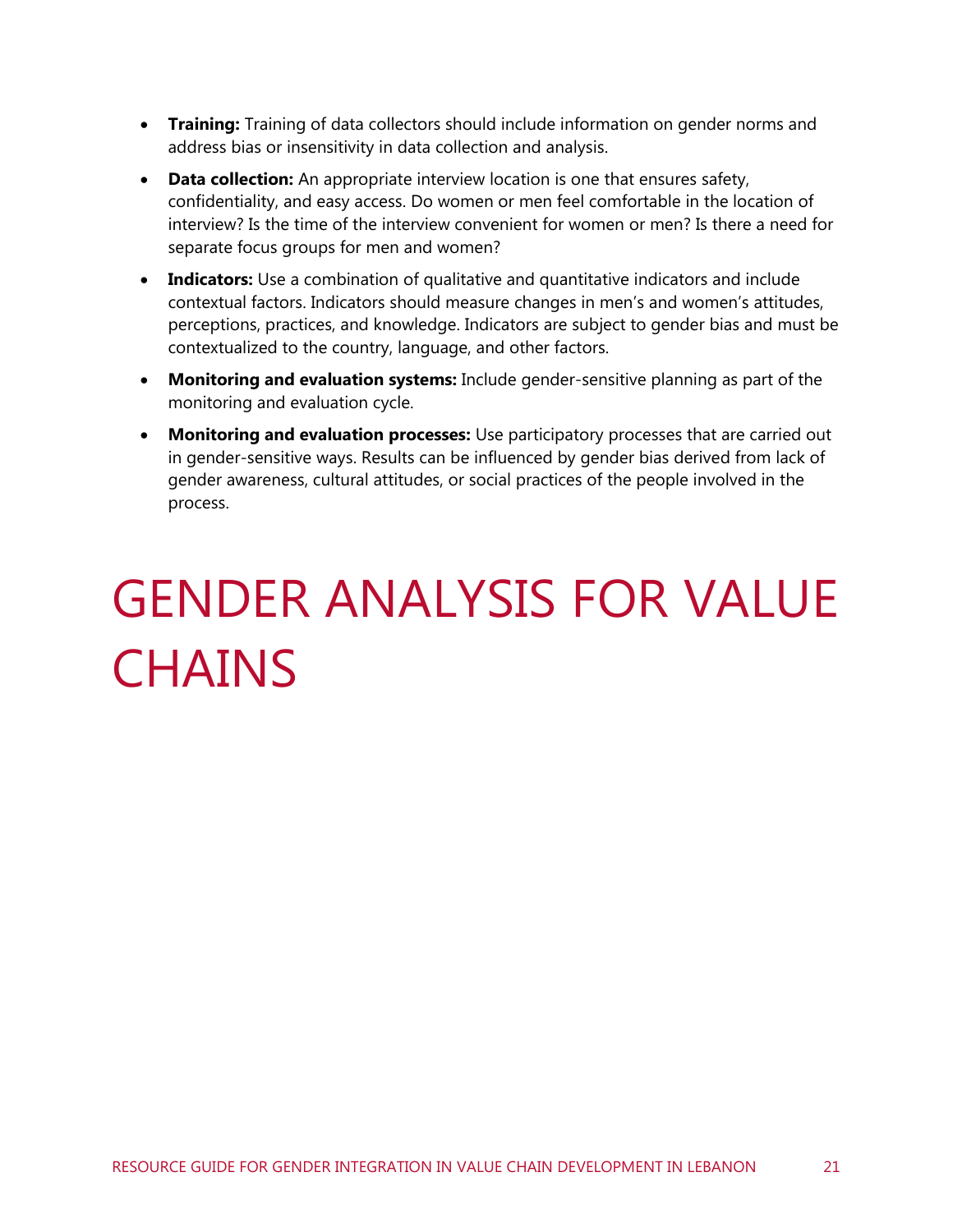- **Training:** Training of data collectors should include information on gender norms and address bias or insensitivity in data collection and analysis.
- **Data collection:** An appropriate interview location is one that ensures safety, confidentiality, and easy access. Do women or men feel comfortable in the location of interview? Is the time of the interview convenient for women or men? Is there a need for separate focus groups for men and women?
- **Indicators:** Use a combination of qualitative and quantitative indicators and include contextual factors. Indicators should measure changes in men's and women's attitudes, perceptions, practices, and knowledge. Indicators are subject to gender bias and must be contextualized to the country, language, and other factors.
- **Monitoring and evaluation systems:** Include gender-sensitive planning as part of the monitoring and evaluation cycle.
- **Monitoring and evaluation processes:** Use participatory processes that are carried out in gender-sensitive ways. Results can be influenced by gender bias derived from lack of gender awareness, cultural attitudes, or social practices of the people involved in the process.

## <span id="page-27-0"></span>GENDER ANALYSIS FOR VALUE **CHAINS**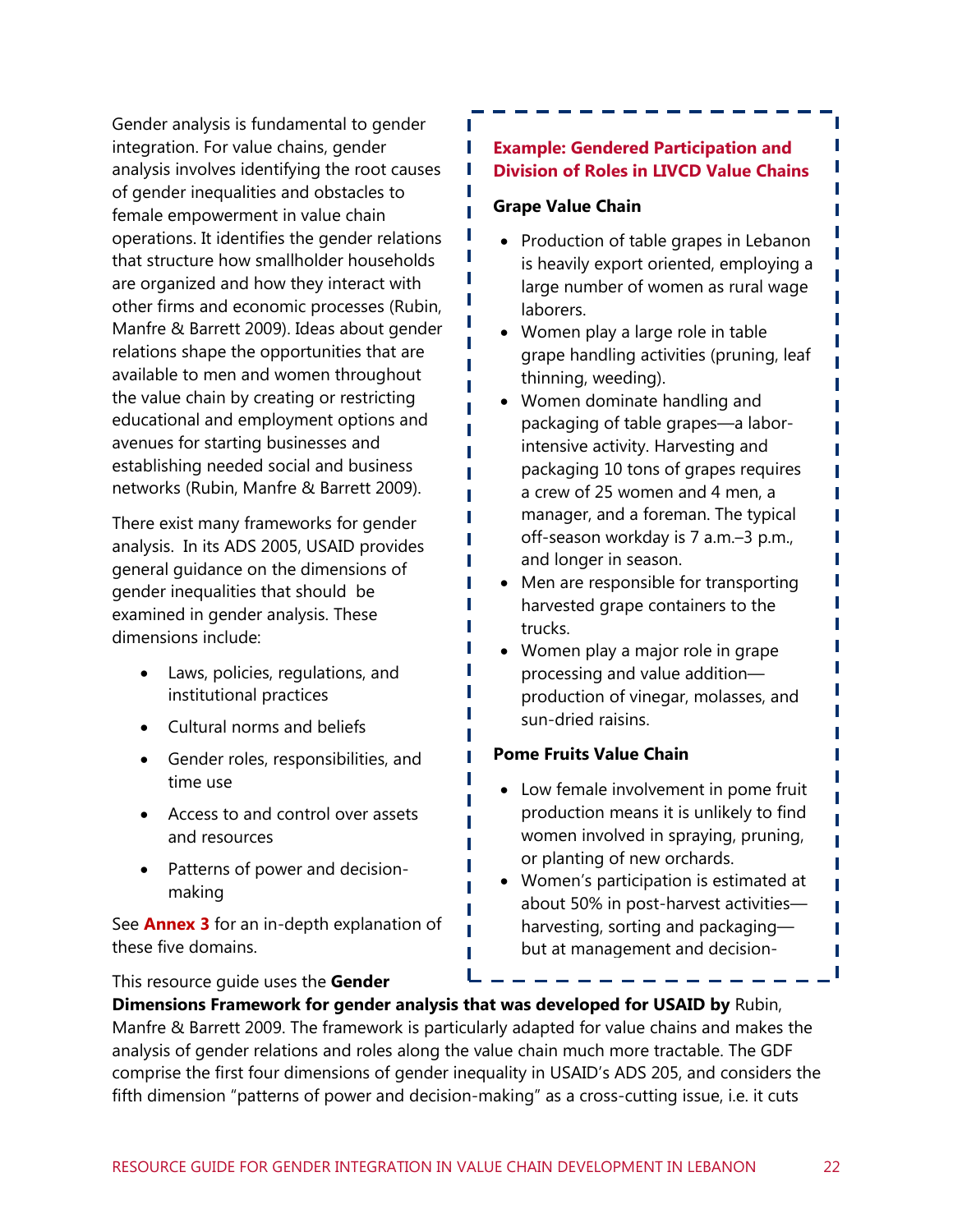Gender analysis is fundamental to gender integration. For value chains, gender analysis involves identifying the root causes of gender inequalities and obstacles to female empowerment in value chain operations. It identifies the gender relations that structure how smallholder households are organized and how they interact with other firms and economic processes (Rubin, Manfre & Barrett 2009). Ideas about gender relations shape the opportunities that are available to men and women throughout the value chain by creating or restricting educational and employment options and avenues for starting businesses and establishing needed social and business networks (Rubin, Manfre & Barrett 2009).

There exist many frameworks for gender analysis. In its ADS 2005, USAID provides general guidance on the dimensions of gender inequalities that should be examined in gender analysis. These dimensions include:

- Laws, policies, regulations, and institutional practices
- Cultural norms and beliefs
- Gender roles, responsibilities, and time use
- Access to and control over assets and resources
- Patterns of power and decisionmaking

See **Annex 3** for an in-depth explanation of these five domains.

#### This resource guide uses the **Gender**

#### **Example: Gendered Participation and Division of Roles in LIVCD Value Chains**

#### **Grape Value Chain**

• Production of table grapes in Lebanon is heavily export oriented, employing a large number of women as rural wage laborers.

П

П

П

- Women play a large role in table grape handling activities (pruning, leaf thinning, weeding).
- Women dominate handling and packaging of table grapes—a laborintensive activity. Harvesting and packaging 10 tons of grapes requires a crew of 25 women and 4 men, a manager, and a foreman. The typical off-season workday is 7 a.m.–3 p.m., and longer in season.
- Men are responsible for transporting harvested grape containers to the trucks.
- Women play a major role in grape processing and value addition production of vinegar, molasses, and sun-dried raisins.

#### **Pome Fruits Value Chain**

- Low female involvement in pome fruit production means it is unlikely to find women involved in spraying, pruning, or planting of new orchards.
- Women's participation is estimated at about 50% in post-harvest activities harvesting, sorting and packaging but at management and decision-

making levels, women's participation

**This resource galact ases the Centic:**<br>Dimensions Framework for gender analysis that was developed for USAID by Rubin, **EXECUTE 11 IN EXECUTE 12. SUBSET CHAINS IS THE USE ACTED** FOR THE MANUST CONSIDER THE MANUST MANUST MANUST MANUS<br>Manfre & Barrett 2009. The framework is particularly adapted for value chains and makes the manne a Barrett 2009. The namework is particularly duapted for value chains and makes to analysis of gender relations and roles along the value chain much more tractable. The GDF analysis of gender relations and roles diong the value endirmident more tradidate. The ODT comprise the first four dimensions of gender inequality in USAID's ADS 205, and considers the fifth dimension "patterns of power and decision-making" as a cross-cutting issue, i.e. it cuts

П ī

П П

П П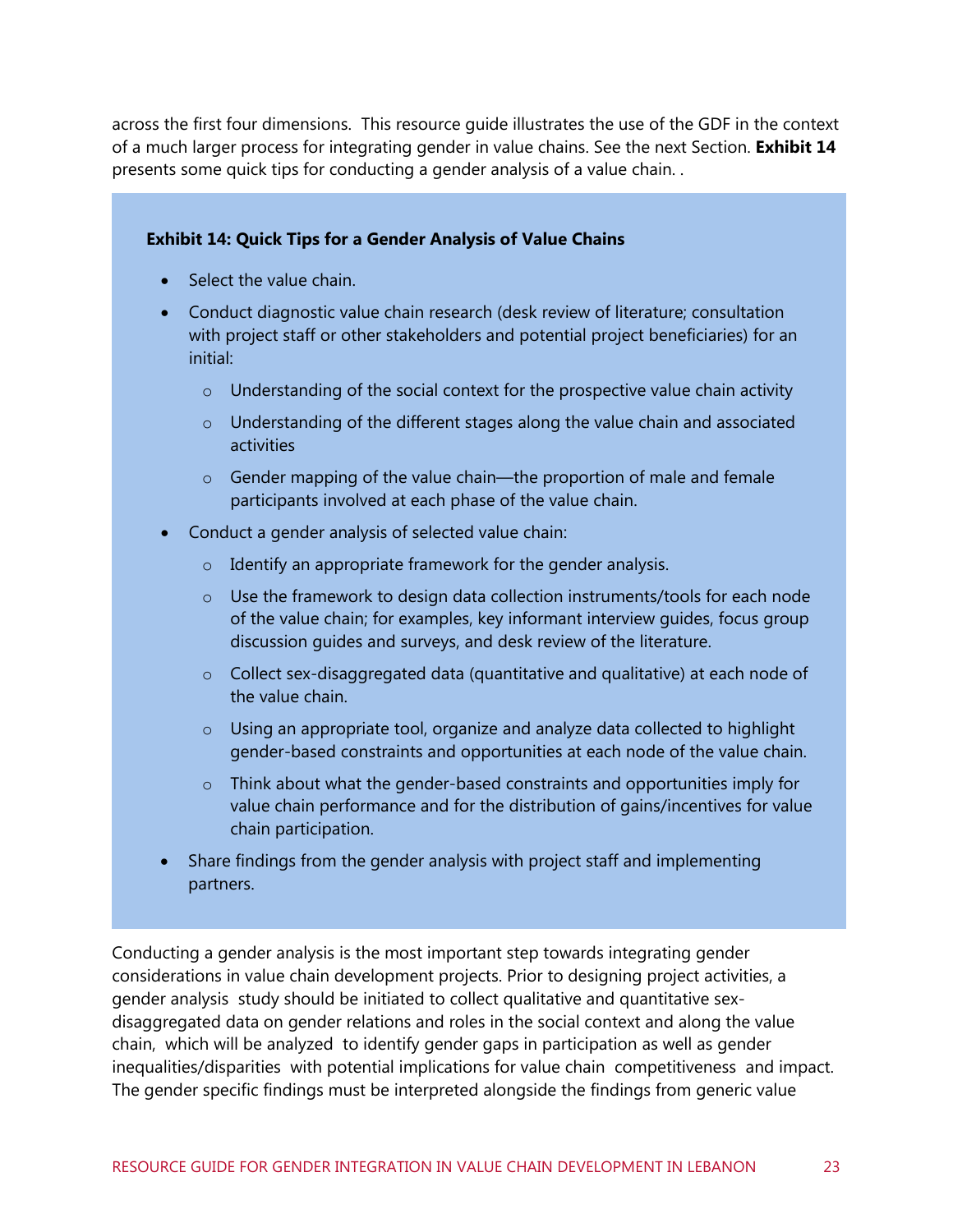across the first four dimensions. This resource guide illustrates the use of the GDF in the context of a much larger process for integrating gender in value chains. See the next Section. **[Exhibit 14](#page-29-0)** presents some quick tips for conducting a gender analysis of a value chain. .

#### <span id="page-29-0"></span>**Exhibit 14: Quick Tips for a Gender Analysis of Value Chains**

- Select the value chain.
- Conduct diagnostic value chain research (desk review of literature; consultation with project staff or other stakeholders and potential project beneficiaries) for an initial:
	- o Understanding of the social context for the prospective value chain activity
	- o Understanding of the different stages along the value chain and associated activities
	- o Gender mapping of the value chain—the proportion of male and female participants involved at each phase of the value chain.
- Conduct a gender analysis of selected value chain:
	- o Identify an appropriate framework for the gender analysis.
	- o Use the framework to design data collection instruments/tools for each node of the value chain; for examples, key informant interview guides, focus group discussion guides and surveys, and desk review of the literature.
	- $\circ$  Collect sex-disaggregated data (quantitative and qualitative) at each node of the value chain.
	- $\circ$  Using an appropriate tool, organize and analyze data collected to highlight gender-based constraints and opportunities at each node of the value chain.
	- $\circ$  Think about what the gender-based constraints and opportunities imply for value chain performance and for the distribution of gains/incentives for value chain participation.
- Share findings from the gender analysis with project staff and implementing partners.

Conducting a gender analysis is the most important step towards integrating gender considerations in value chain development projects. Prior to designing project activities, a gender analysis study should be initiated to collect qualitative and quantitative sexdisaggregated data on gender relations and roles in the social context and along the value chain, which will be analyzed to identify gender gaps in participation as well as gender inequalities/disparities with potential implications for value chain competitiveness and impact. The gender specific findings must be interpreted alongside the findings from generic value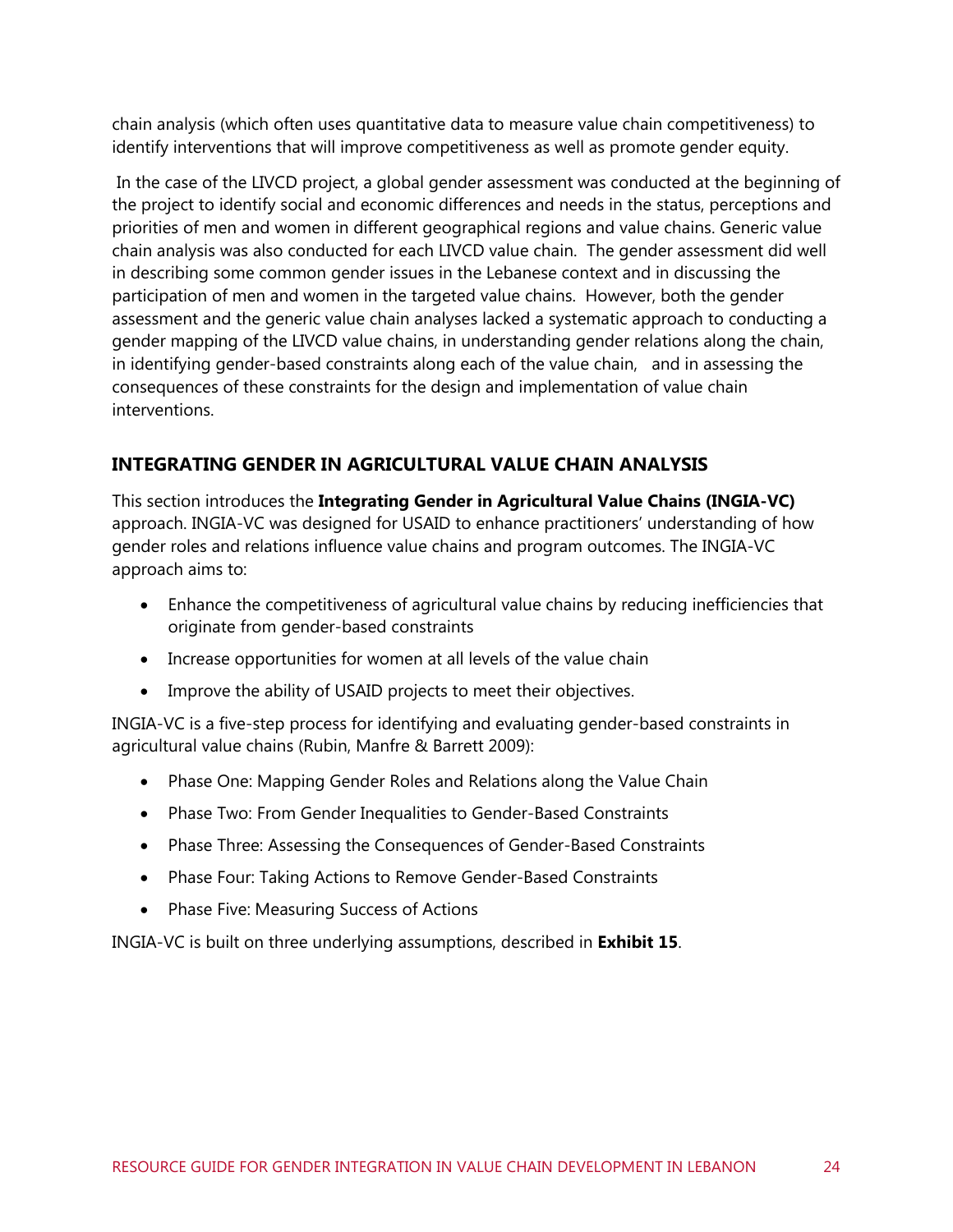chain analysis (which often uses quantitative data to measure value chain competitiveness) to identify interventions that will improve competitiveness as well as promote gender equity.

In the case of the LIVCD project, a global gender assessment was conducted at the beginning of the project to identify social and economic differences and needs in the status, perceptions and priorities of men and women in different geographical regions and value chains. Generic value chain analysis was also conducted for each LIVCD value chain. The gender assessment did well in describing some common gender issues in the Lebanese context and in discussing the participation of men and women in the targeted value chains. However, both the gender assessment and the generic value chain analyses lacked a systematic approach to conducting a gender mapping of the LIVCD value chains, in understanding gender relations along the chain, in identifying gender-based constraints along each of the value chain, and in assessing the consequences of these constraints for the design and implementation of value chain interventions.

### **INTEGRATING GENDER IN AGRICULTURAL VALUE CHAIN ANALYSIS**

This section introduces the **Integrating Gender in Agricultural Value Chains (INGIA-VC)** approach. INGIA-VC was designed for USAID to enhance practitioners' understanding of how gender roles and relations influence value chains and program outcomes. The INGIA-VC approach aims to:

- Enhance the competitiveness of agricultural value chains by reducing inefficiencies that originate from gender-based constraints
- Increase opportunities for women at all levels of the value chain
- Improve the ability of USAID projects to meet their objectives.

INGIA-VC is a five-step process for identifying and evaluating gender-based constraints in agricultural value chains (Rubin, Manfre & Barrett 2009):

- Phase One: Mapping Gender Roles and Relations along the Value Chain
- Phase Two: From Gender Inequalities to Gender-Based Constraints
- Phase Three: Assessing the Consequences of Gender-Based Constraints
- Phase Four: Taking Actions to Remove Gender-Based Constraints
- Phase Five: Measuring Success of Actions

INGIA-VC is built on three underlying assumptions, described in **[Exhibit 15](#page-31-0)**.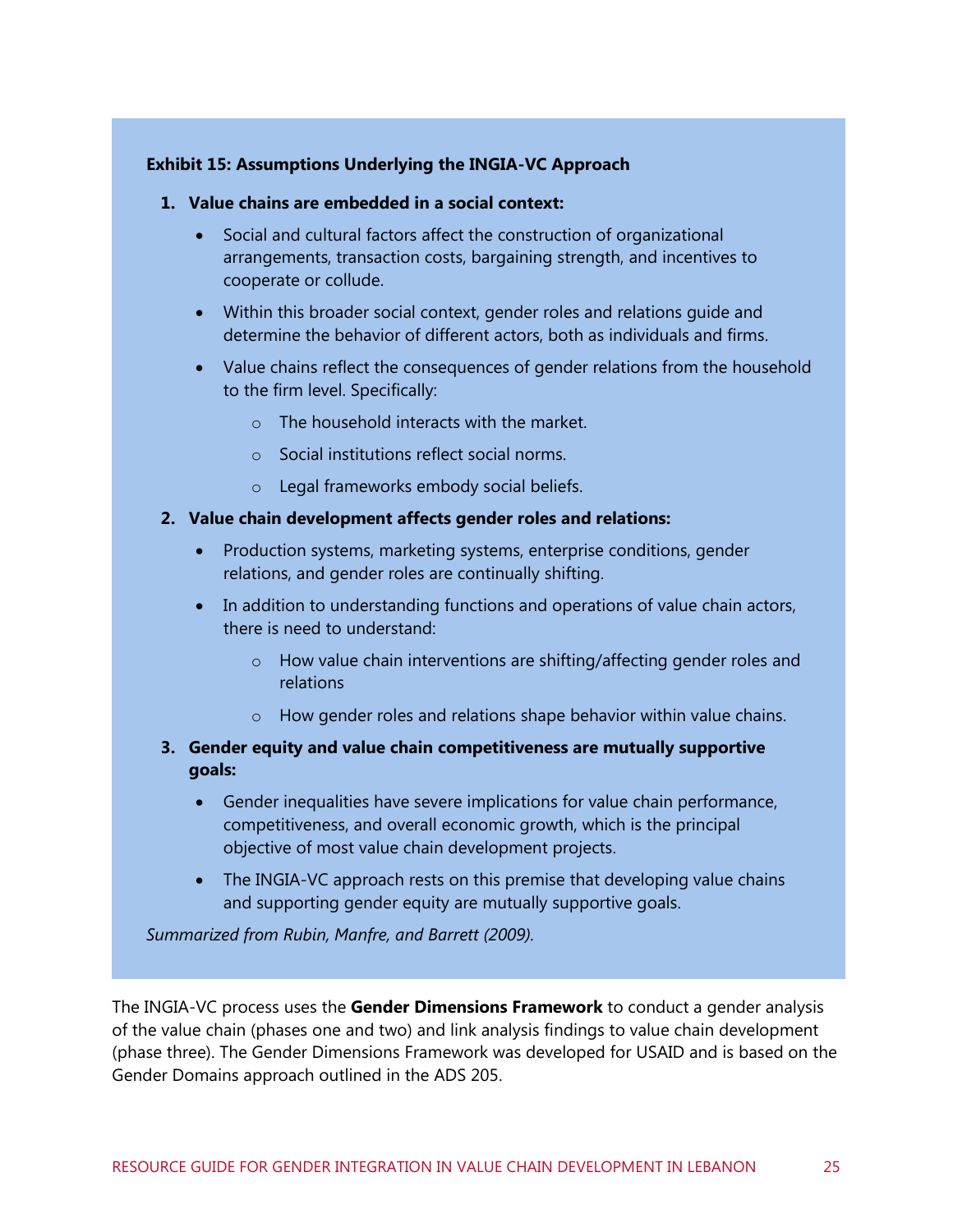#### <span id="page-31-0"></span>**Exhibit 15: Assumptions Underlying the INGIA-VC Approach**

- **1. Value chains are embedded in a social context:**
	- Social and cultural factors affect the construction of organizational arrangements, transaction costs, bargaining strength, and incentives to cooperate or collude.
	- Within this broader social context, gender roles and relations guide and determine the behavior of different actors, both as individuals and firms.
	- Value chains reflect the consequences of gender relations from the household to the firm level. Specifically:
		- $\circ$  The household interacts with the market.
		- o Social institutions reflect social norms.
		- o Legal frameworks embody social beliefs.

#### **2. Value chain development affects gender roles and relations:**

- Production systems, marketing systems, enterprise conditions, gender relations, and gender roles are continually shifting.
- In addition to understanding functions and operations of value chain actors, there is need to understand:
	- o How value chain interventions are shifting/affecting gender roles and relations
	- o How gender roles and relations shape behavior within value chains.

#### **3. Gender equity and value chain competitiveness are mutually supportive goals:**

- Gender inequalities have severe implications for value chain performance, competitiveness, and overall economic growth, which is the principal objective of most value chain development projects.
- The INGIA-VC approach rests on this premise that developing value chains and supporting gender equity are mutually supportive goals.

*Summarized from Rubin, Manfre, and Barrett (2009).*

The INGIA-VC process uses the **Gender Dimensions Framework** to conduct a gender analysis of the value chain (phases one and two) and link analysis findings to value chain development (phase three). The Gender Dimensions Framework was developed for USAID and is based on the Gender Domains approach outlined in the ADS 205.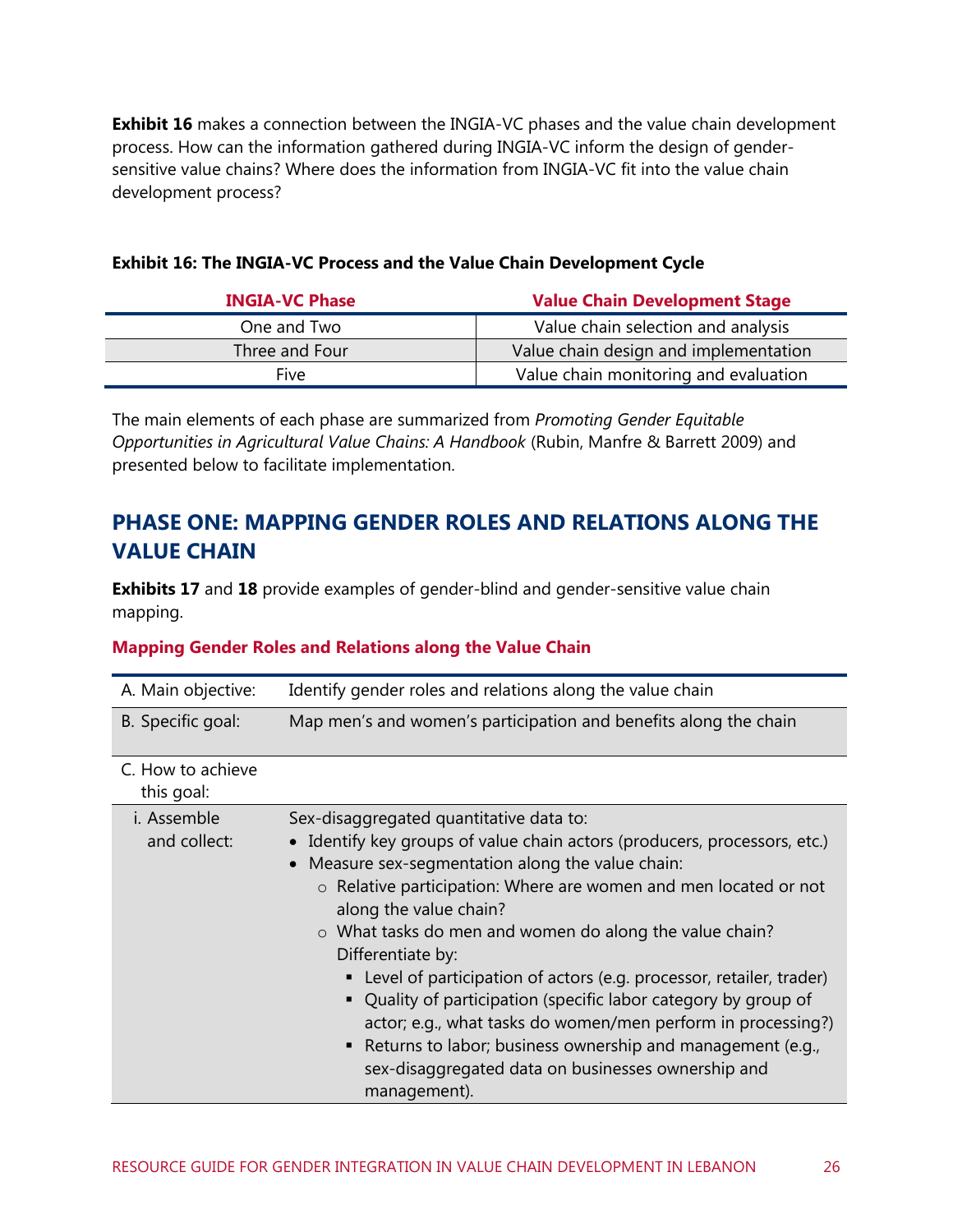**[Exhibit 16](#page-32-0)** makes a connection between the INGIA-VC phases and the value chain development process. How can the information gathered during INGIA-VC inform the design of gendersensitive value chains? Where does the information from INGIA-VC fit into the value chain development process?

| <b>INGIA-VC Phase</b> | <b>Value Chain Development Stage</b>  |
|-----------------------|---------------------------------------|
| One and Two           | Value chain selection and analysis    |
| Three and Four        | Value chain design and implementation |
| Five                  | Value chain monitoring and evaluation |

#### <span id="page-32-0"></span>**Exhibit 16: The INGIA-VC Process and the Value Chain Development Cycle**

The main elements of each phase are summarized from *Promoting Gender Equitable Opportunities in Agricultural Value Chains: A Handbook* (Rubin, Manfre & Barrett 2009) and presented below to facilitate implementation.

### **PHASE ONE: MAPPING GENDER ROLES AND RELATIONS ALONG THE VALUE CHAIN**

**Exhibits 17** and **18** provide examples of gender-blind and gender-sensitive value chain mapping.

#### **Mapping Gender Roles and Relations along the Value Chain**

| A. Main objective:              | Identify gender roles and relations along the value chain                                                                                                                                                                                                                                                                                                                                                                                                                                                                                                                                                                                                                                             |
|---------------------------------|-------------------------------------------------------------------------------------------------------------------------------------------------------------------------------------------------------------------------------------------------------------------------------------------------------------------------------------------------------------------------------------------------------------------------------------------------------------------------------------------------------------------------------------------------------------------------------------------------------------------------------------------------------------------------------------------------------|
| B. Specific goal:               | Map men's and women's participation and benefits along the chain                                                                                                                                                                                                                                                                                                                                                                                                                                                                                                                                                                                                                                      |
| C. How to achieve<br>this goal: |                                                                                                                                                                                                                                                                                                                                                                                                                                                                                                                                                                                                                                                                                                       |
| i. Assemble<br>and collect:     | Sex-disaggregated quantitative data to:<br>• Identify key groups of value chain actors (producers, processors, etc.)<br>• Measure sex-segmentation along the value chain:<br>o Relative participation: Where are women and men located or not<br>along the value chain?<br>o What tasks do men and women do along the value chain?<br>Differentiate by:<br>Level of participation of actors (e.g. processor, retailer, trader)<br>Quality of participation (specific labor category by group of<br>actor; e.g., what tasks do women/men perform in processing?)<br>■ Returns to labor; business ownership and management (e.g.,<br>sex-disaggregated data on businesses ownership and<br>management). |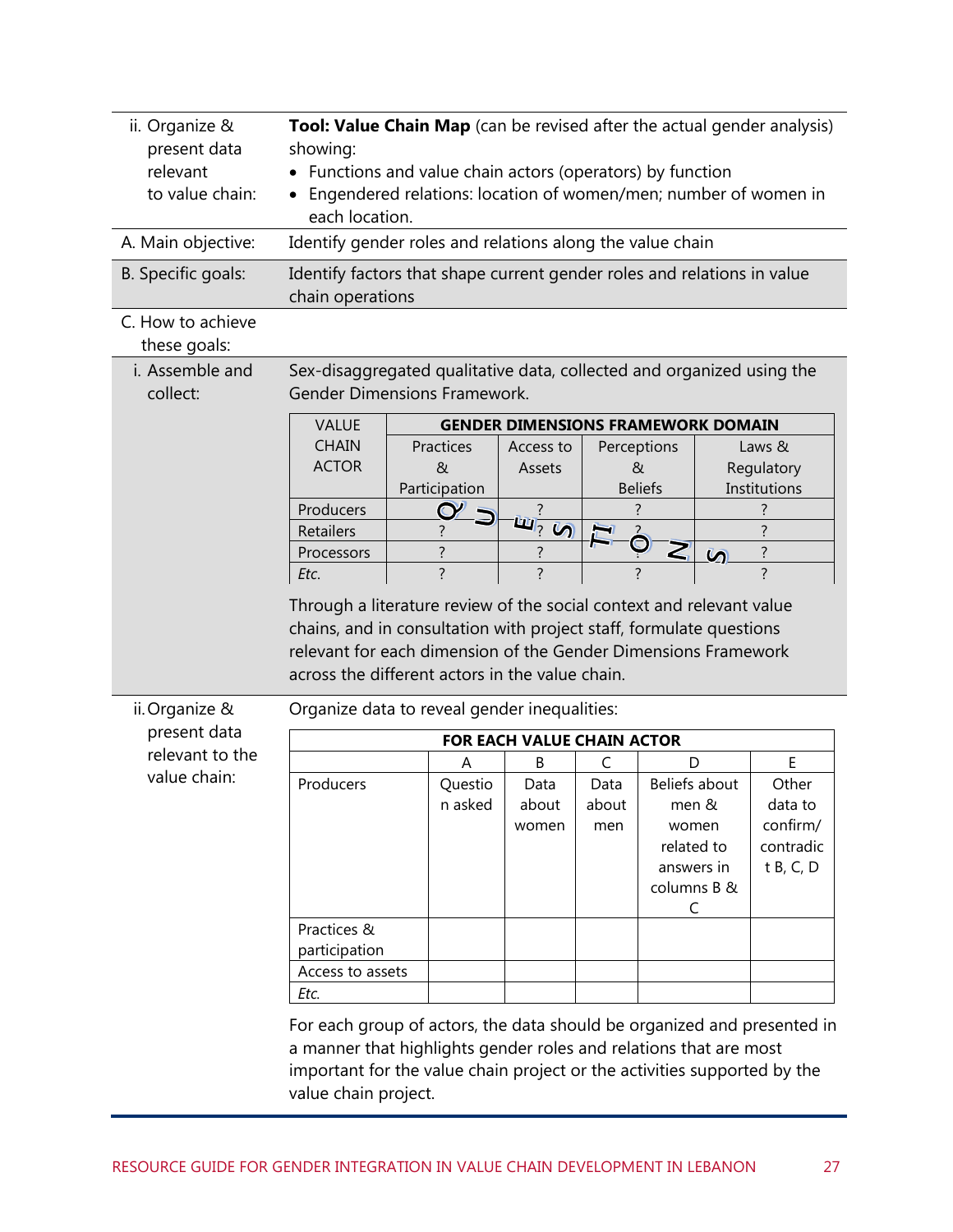| ii. Organize &<br>present data<br>relevant<br>to value chain: | Tool: Value Chain Map (can be revised after the actual gender analysis)<br>showing:<br>Functions and value chain actors (operators) by function<br>Engendered relations: location of women/men; number of women in<br>each location.     |                |                                           |              |                                                                |           |                                               |
|---------------------------------------------------------------|------------------------------------------------------------------------------------------------------------------------------------------------------------------------------------------------------------------------------------------|----------------|-------------------------------------------|--------------|----------------------------------------------------------------|-----------|-----------------------------------------------|
| A. Main objective:                                            | Identify gender roles and relations along the value chain                                                                                                                                                                                |                |                                           |              |                                                                |           |                                               |
| B. Specific goals:                                            | Identify factors that shape current gender roles and relations in value<br>chain operations                                                                                                                                              |                |                                           |              |                                                                |           |                                               |
| C. How to achieve<br>these goals:                             |                                                                                                                                                                                                                                          |                |                                           |              |                                                                |           |                                               |
| i. Assemble and<br>collect:                                   | Sex-disaggregated qualitative data, collected and organized using the<br><b>Gender Dimensions Framework.</b>                                                                                                                             |                |                                           |              |                                                                |           |                                               |
|                                                               | <b>VALUE</b>                                                                                                                                                                                                                             |                | <b>GENDER DIMENSIONS FRAMEWORK DOMAIN</b> |              |                                                                |           |                                               |
|                                                               | <b>CHAIN</b>                                                                                                                                                                                                                             | Practices      | Access to                                 |              | Perceptions                                                    |           | Laws &                                        |
|                                                               | <b>ACTOR</b>                                                                                                                                                                                                                             | $\alpha$       | Assets                                    |              | &                                                              |           | Regulatory                                    |
|                                                               |                                                                                                                                                                                                                                          | Participation  |                                           |              | <b>Beliefs</b>                                                 |           | Institutions                                  |
|                                                               | Producers                                                                                                                                                                                                                                |                | $\mathbf{w}_2$<br>$\mathcal{D}$           |              |                                                                |           | 7                                             |
|                                                               | Retailers                                                                                                                                                                                                                                | ?              |                                           |              | Z                                                              |           | ?<br>?                                        |
|                                                               | Processors<br>Etc.                                                                                                                                                                                                                       | $\overline{?}$ | ?<br>$\overline{?}$                       |              |                                                                | $\bar{v}$ | $\overline{?}$                                |
| ii. Organize &                                                | chains, and in consultation with project staff, formulate questions<br>relevant for each dimension of the Gender Dimensions Framework<br>across the different actors in the value chain.<br>Organize data to reveal gender inequalities: |                |                                           |              |                                                                |           |                                               |
| present data                                                  | FOR EACH VALUE CHAIN ACTOR                                                                                                                                                                                                               |                |                                           |              |                                                                |           |                                               |
| relevant to the                                               |                                                                                                                                                                                                                                          | Α              | B                                         | C            | D                                                              |           | E                                             |
| value chain:                                                  | Producers                                                                                                                                                                                                                                | Questio        | Data                                      | Data         | Beliefs about                                                  |           | Other                                         |
|                                                               |                                                                                                                                                                                                                                          | n asked        | about<br>women                            | about<br>men | men &<br>women<br>related to<br>answers in<br>columns B &<br>C |           | data to<br>confirm/<br>contradic<br>t B, C, D |
|                                                               | Practices &<br>participation                                                                                                                                                                                                             |                |                                           |              |                                                                |           |                                               |
|                                                               | Access to assets                                                                                                                                                                                                                         |                |                                           |              |                                                                |           |                                               |
|                                                               | Etc.                                                                                                                                                                                                                                     |                |                                           |              |                                                                |           |                                               |
|                                                               | For each group of actors, the data should be organized and presented in<br>a manner that highlights gender roles and relations that are most<br>important for the value chain project or the activities supported by the                 |                |                                           |              |                                                                |           |                                               |

value chain project.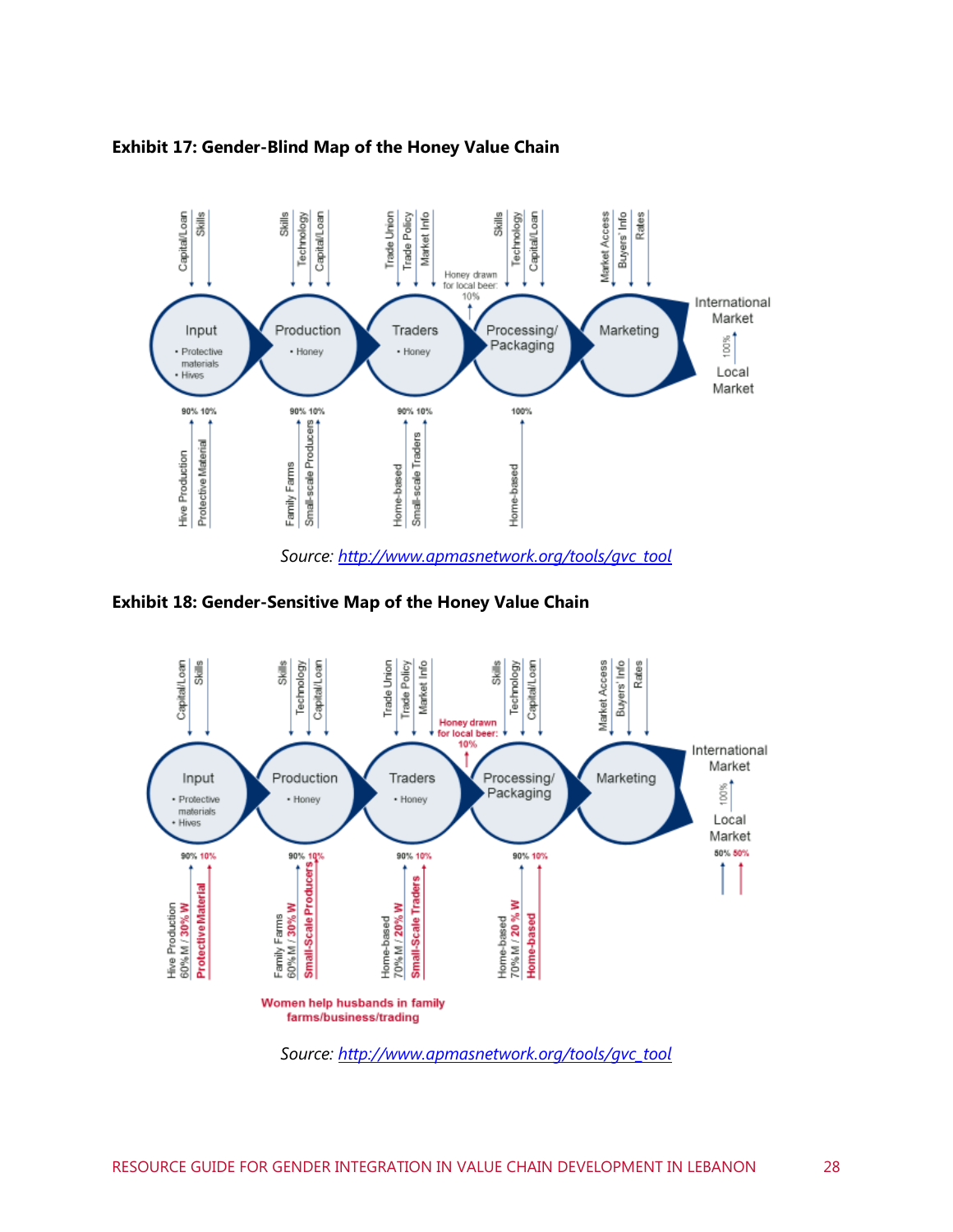

#### **Exhibit 17: Gender-Blind Map of the Honey Value Chain**

*Source: [http://www.apmasnetwork.org/tools/gvc\\_tool](http://www.apmasnetwork.org/tools/gvc_tool)*

**Exhibit 18: Gender-Sensitive Map of the Honey Value Chain** 



*Source: [http://www.apmasnetwork.org/tools/gvc\\_tool](http://www.apmasnetwork.org/tools/gvc_tool)*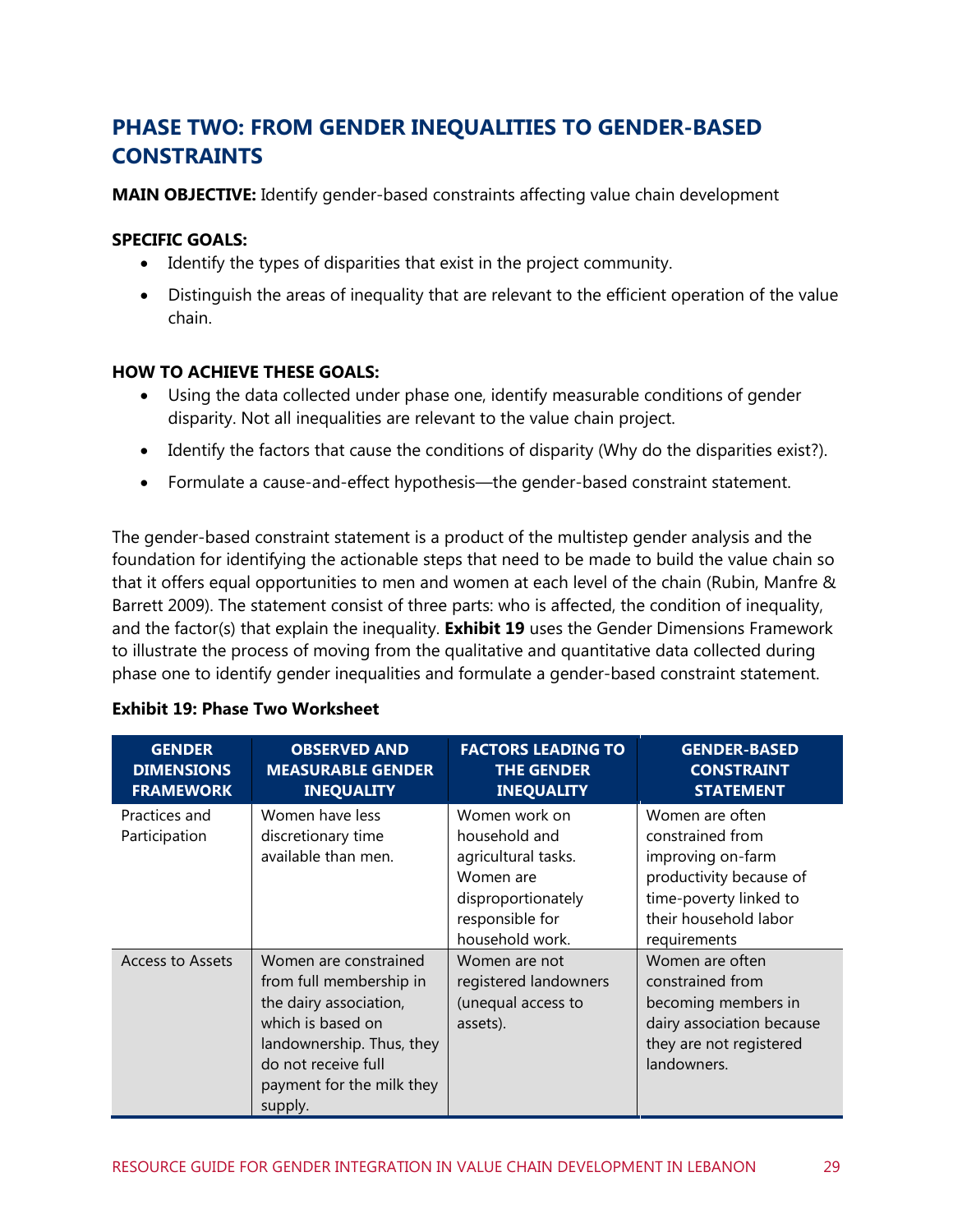## **PHASE TWO: FROM GENDER INEQUALITIES TO GENDER-BASED CONSTRAINTS**

**MAIN OBJECTIVE:** Identify gender-based constraints affecting value chain development

#### **SPECIFIC GOALS:**

- Identify the types of disparities that exist in the project community.
- Distinguish the areas of inequality that are relevant to the efficient operation of the value chain.

#### **HOW TO ACHIEVE THESE GOALS:**

- Using the data collected under phase one, identify measurable conditions of gender disparity. Not all inequalities are relevant to the value chain project.
- Identify the factors that cause the conditions of disparity (Why do the disparities exist?).
- Formulate a cause-and-effect hypothesis—the gender-based constraint statement.

The gender-based constraint statement is a product of the multistep gender analysis and the foundation for identifying the actionable steps that need to be made to build the value chain so that it offers equal opportunities to men and women at each level of the chain (Rubin, Manfre & Barrett 2009). The statement consist of three parts: who is affected, the condition of inequality, and the factor(s) that explain the inequality. **[Exhibit 19](#page-35-0)** uses the Gender Dimensions Framework to illustrate the process of moving from the qualitative and quantitative data collected during phase one to identify gender inequalities and formulate a gender-based constraint statement.

| <b>GENDER</b><br><b>DIMENSIONS</b><br><b>FRAMEWORK</b> | <b>OBSERVED AND</b><br><b>MEASURABLE GENDER</b><br><b>INEQUALITY</b>                                                                                                                        | <b>FACTORS LEADING TO</b><br><b>THE GENDER</b><br><b>INEQUALITY</b>                                                            | <b>GENDER-BASED</b><br><b>CONSTRAINT</b><br><b>STATEMENT</b>                                                                                           |
|--------------------------------------------------------|---------------------------------------------------------------------------------------------------------------------------------------------------------------------------------------------|--------------------------------------------------------------------------------------------------------------------------------|--------------------------------------------------------------------------------------------------------------------------------------------------------|
| Practices and<br>Participation                         | Women have less<br>discretionary time<br>available than men.                                                                                                                                | Women work on<br>household and<br>agricultural tasks.<br>Women are<br>disproportionately<br>responsible for<br>household work. | Women are often<br>constrained from<br>improving on-farm<br>productivity because of<br>time-poverty linked to<br>their household labor<br>requirements |
| Access to Assets                                       | Women are constrained<br>from full membership in<br>the dairy association,<br>which is based on<br>landownership. Thus, they<br>do not receive full<br>payment for the milk they<br>supply. | Women are not<br>registered landowners<br>(unequal access to<br>assets).                                                       | Women are often<br>constrained from<br>becoming members in<br>dairy association because<br>they are not registered<br>landowners.                      |

#### <span id="page-35-0"></span>**Exhibit 19: Phase Two Worksheet**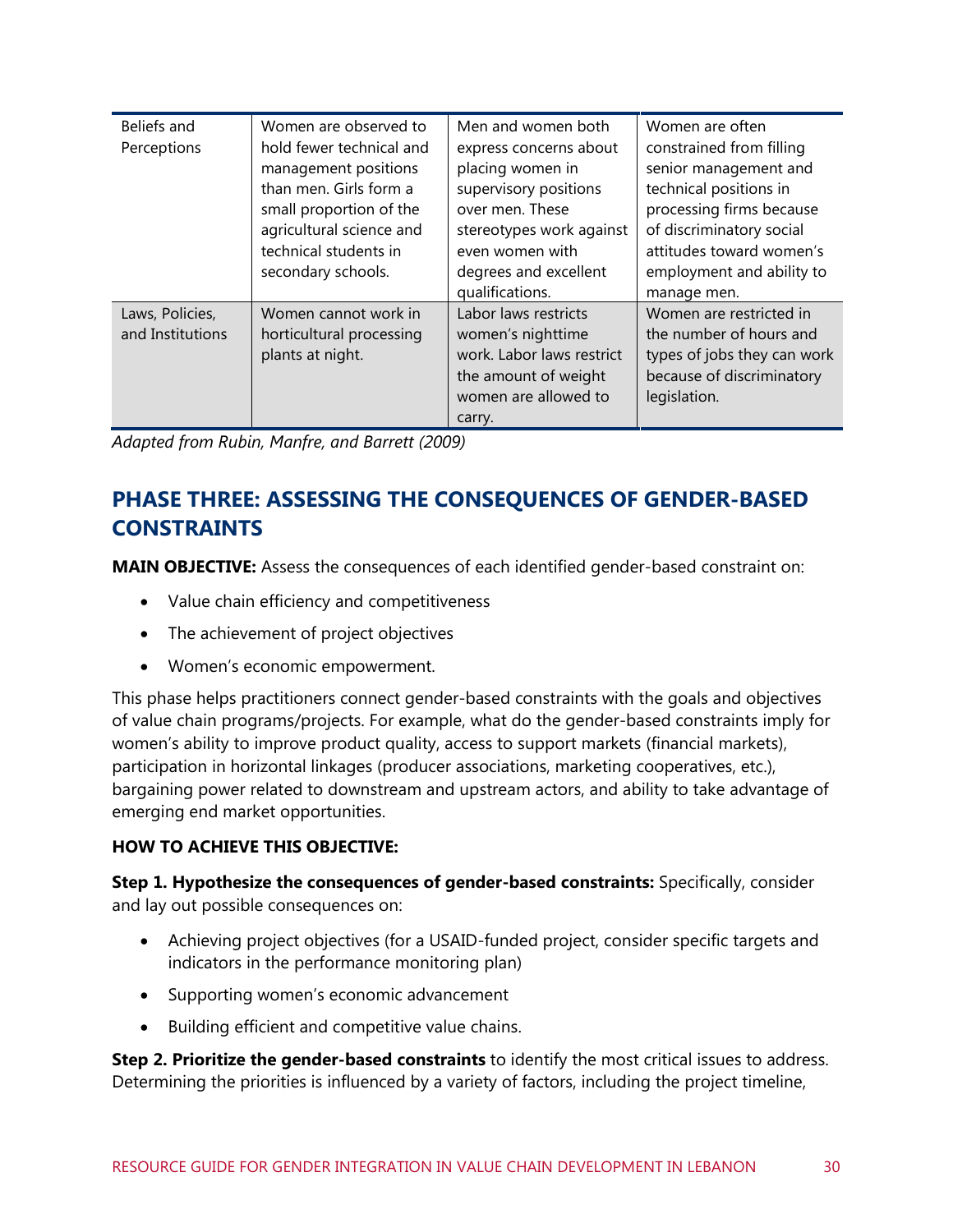| Beliefs and<br>Perceptions          | Women are observed to<br>hold fewer technical and<br>management positions<br>than men. Girls form a<br>small proportion of the<br>agricultural science and<br>technical students in<br>secondary schools. | Men and women both<br>express concerns about<br>placing women in<br>supervisory positions<br>over men. These<br>stereotypes work against<br>even women with<br>degrees and excellent<br>qualifications. | Women are often<br>constrained from filling<br>senior management and<br>technical positions in<br>processing firms because<br>of discriminatory social<br>attitudes toward women's<br>employment and ability to<br>manage men. |
|-------------------------------------|-----------------------------------------------------------------------------------------------------------------------------------------------------------------------------------------------------------|---------------------------------------------------------------------------------------------------------------------------------------------------------------------------------------------------------|--------------------------------------------------------------------------------------------------------------------------------------------------------------------------------------------------------------------------------|
| Laws, Policies,<br>and Institutions | Women cannot work in<br>horticultural processing<br>plants at night.                                                                                                                                      | Labor laws restricts<br>women's nighttime<br>work. Labor laws restrict<br>the amount of weight<br>women are allowed to<br>carry.                                                                        | Women are restricted in<br>the number of hours and<br>types of jobs they can work<br>because of discriminatory<br>legislation.                                                                                                 |

*Adapted from Rubin, Manfre, and Barrett (2009)*

## **PHASE THREE: ASSESSING THE CONSEQUENCES OF GENDER-BASED CONSTRAINTS**

**MAIN OBJECTIVE:** Assess the consequences of each identified gender-based constraint on:

- Value chain efficiency and competitiveness
- The achievement of project objectives
- Women's economic empowerment.

This phase helps practitioners connect gender-based constraints with the goals and objectives of value chain programs/projects. For example, what do the gender-based constraints imply for women's ability to improve product quality, access to support markets (financial markets), participation in horizontal linkages (producer associations, marketing cooperatives, etc.), bargaining power related to downstream and upstream actors, and ability to take advantage of emerging end market opportunities.

#### **HOW TO ACHIEVE THIS OBJECTIVE:**

**Step 1. Hypothesize the consequences of gender-based constraints:** Specifically, consider and lay out possible consequences on:

- Achieving project objectives (for a USAID-funded project, consider specific targets and indicators in the performance monitoring plan)
- Supporting women's economic advancement
- Building efficient and competitive value chains.

**Step 2. Prioritize the gender-based constraints** to identify the most critical issues to address. Determining the priorities is influenced by a variety of factors, including the project timeline,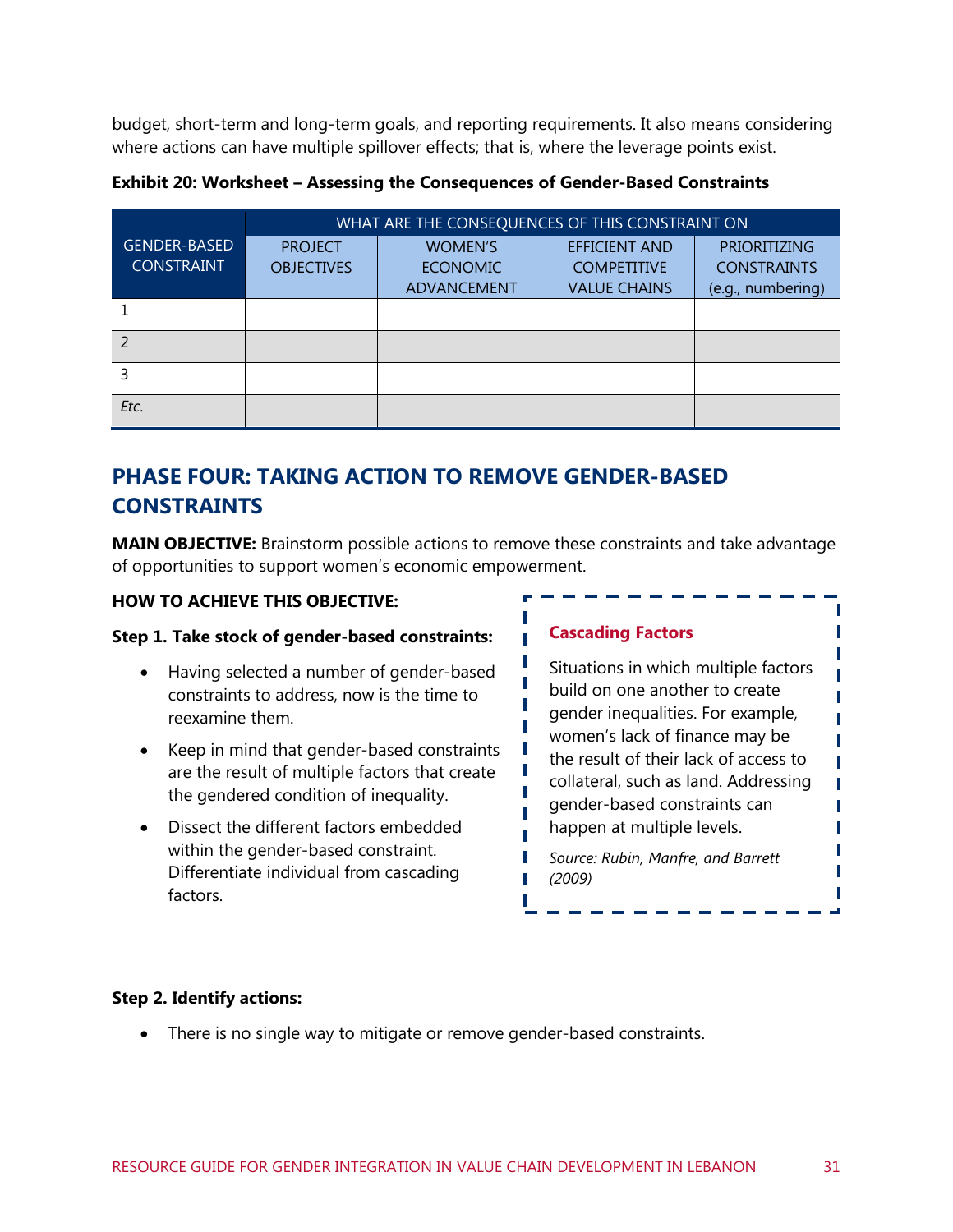budget, short-term and long-term goals, and reporting requirements. It also means considering where actions can have multiple spillover effects; that is, where the leverage points exist.

**Exhibit 20: Worksheet – Assessing the Consequences of Gender-Based Constraints** 

|                     | WHAT ARE THE CONSEQUENCES OF THIS CONSTRAINT ON |                 |                      |                     |
|---------------------|-------------------------------------------------|-----------------|----------------------|---------------------|
| <b>GENDER-BASED</b> | <b>PROJECT</b>                                  | <b>WOMEN'S</b>  | <b>EFFICIENT AND</b> | <b>PRIORITIZING</b> |
| <b>CONSTRAINT</b>   | <b>OBJECTIVES</b>                               | <b>ECONOMIC</b> | <b>COMPETITIVE</b>   | <b>CONSTRAINTS</b>  |
|                     |                                                 | ADVANCEMENT     | <b>VALUE CHAINS</b>  | (e.g., numbering)   |
|                     |                                                 |                 |                      |                     |
|                     |                                                 |                 |                      |                     |
|                     |                                                 |                 |                      |                     |
| Etc.                |                                                 |                 |                      |                     |

## **PHASE FOUR: TAKING ACTION TO REMOVE GENDER-BASED CONSTRAINTS**

**MAIN OBJECTIVE:** Brainstorm possible actions to remove these constraints and take advantage of opportunities to support women's economic empowerment.

#### **HOW TO ACHIEVE THIS OBJECTIVE:**

#### **Step 1. Take stock of gender-based constraints:**

- Having selected a number of gender-based constraints to address, now is the time to reexamine them.
- Keep in mind that gender-based constraints are the result of multiple factors that create the gendered condition of inequality.
- Dissect the different factors embedded within the gender-based constraint. Differentiate individual from cascading factors.

#### **Cascading Factors**

Situations in which multiple factors build on one another to create gender inequalities. For example, women's lack of finance may be the result of their lack of access to collateral, such as land. Addressing gender-based constraints can happen at multiple levels.

П П

П I П T T

П

*Source: Rubin, Manfre, and Barrett (2009)*

#### **Step 2. Identify actions:**

There is no single way to mitigate or remove gender-based constraints.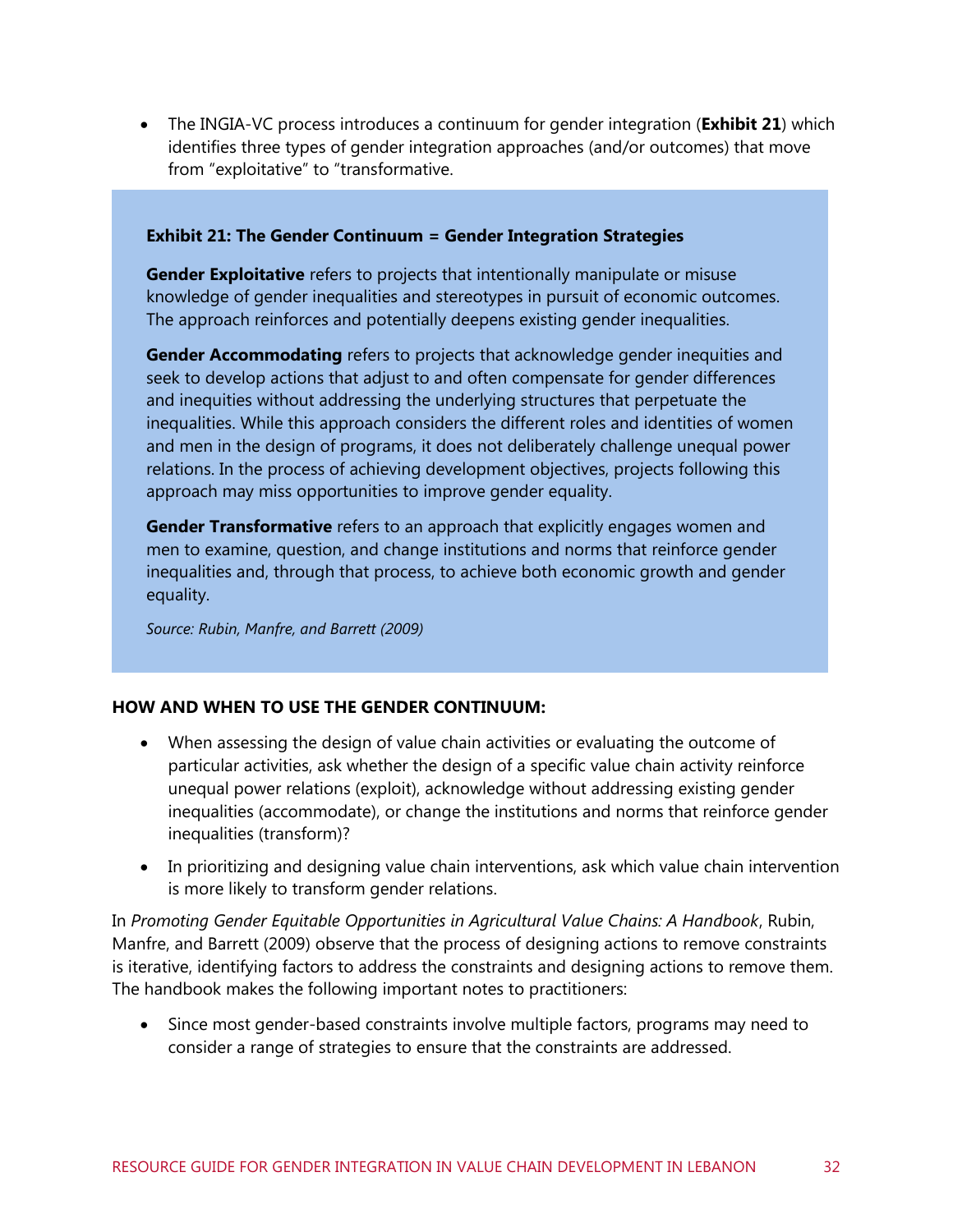The INGIA-VC process introduces a continuum for gender integration (**[Exhibit 21](#page-38-0)**) which identifies three types of gender integration approaches (and/or outcomes) that move from "exploitative" to "transformative.

#### <span id="page-38-0"></span>**Exhibit 21: The Gender Continuum = Gender Integration Strategies**

**Gender Exploitative** refers to projects that intentionally manipulate or misuse knowledge of gender inequalities and stereotypes in pursuit of economic outcomes. The approach reinforces and potentially deepens existing gender inequalities.

**Gender Accommodating** refers to projects that acknowledge gender inequities and seek to develop actions that adjust to and often compensate for gender differences and inequities without addressing the underlying structures that perpetuate the inequalities. While this approach considers the different roles and identities of women and men in the design of programs, it does not deliberately challenge unequal power relations. In the process of achieving development objectives, projects following this approach may miss opportunities to improve gender equality.

**Gender Transformative** refers to an approach that explicitly engages women and men to examine, question, and change institutions and norms that reinforce gender inequalities and, through that process, to achieve both economic growth and gender equality.

*Source: Rubin, Manfre, and Barrett (2009)*

#### **HOW AND WHEN TO USE THE GENDER CONTINUUM:**

- When assessing the design of value chain activities or evaluating the outcome of particular activities, ask whether the design of a specific value chain activity reinforce unequal power relations (exploit), acknowledge without addressing existing gender inequalities (accommodate), or change the institutions and norms that reinforce gender inequalities (transform)?
- In prioritizing and designing value chain interventions, ask which value chain intervention is more likely to transform gender relations.

In *Promoting Gender Equitable Opportunities in Agricultural Value Chains: A Handbook*, Rubin, Manfre, and Barrett (2009) observe that the process of designing actions to remove constraints is iterative, identifying factors to address the constraints and designing actions to remove them. The handbook makes the following important notes to practitioners:

• Since most gender-based constraints involve multiple factors, programs may need to consider a range of strategies to ensure that the constraints are addressed.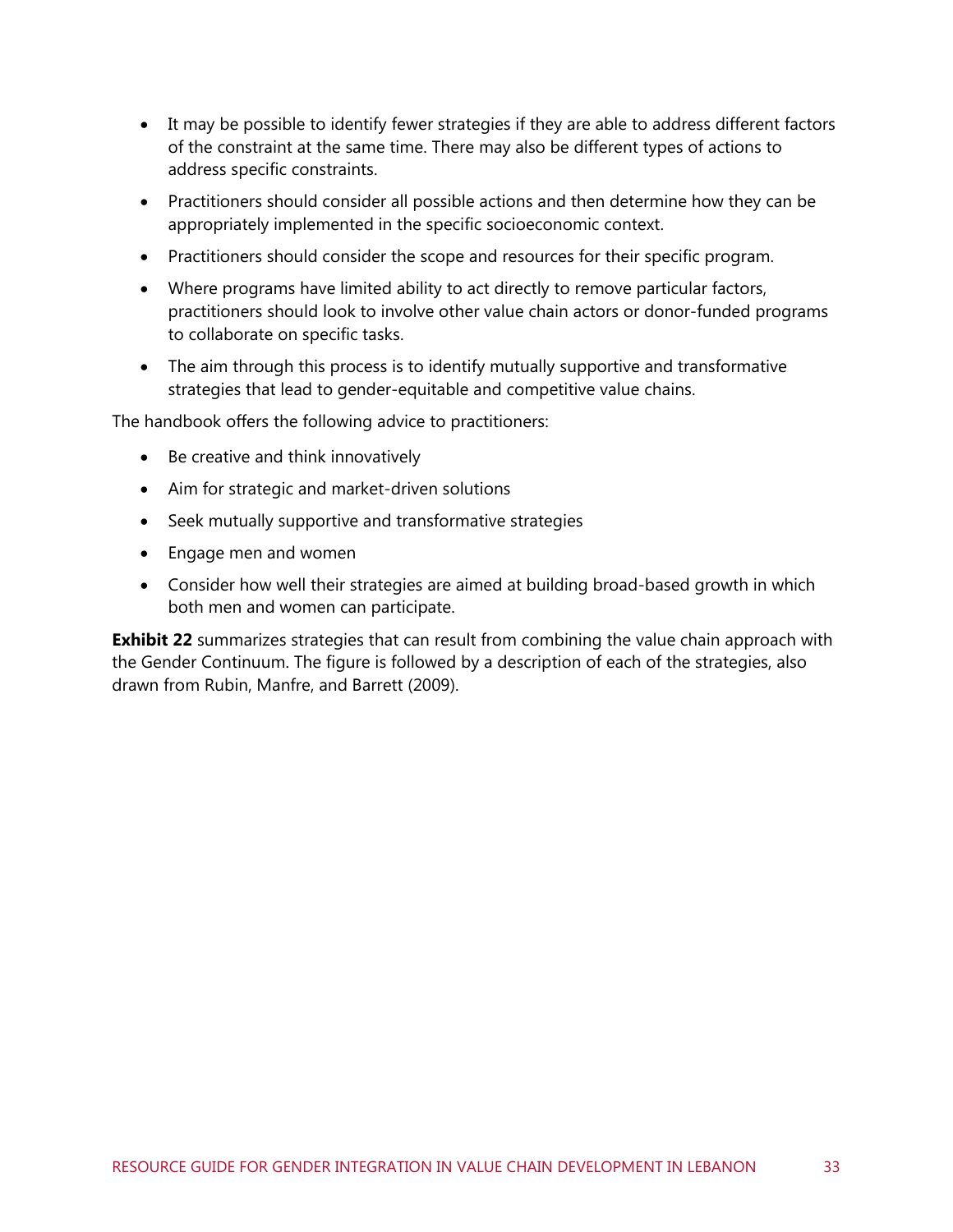- It may be possible to identify fewer strategies if they are able to address different factors of the constraint at the same time. There may also be different types of actions to address specific constraints.
- Practitioners should consider all possible actions and then determine how they can be appropriately implemented in the specific socioeconomic context.
- Practitioners should consider the scope and resources for their specific program.
- Where programs have limited ability to act directly to remove particular factors, practitioners should look to involve other value chain actors or donor-funded programs to collaborate on specific tasks.
- The aim through this process is to identify mutually supportive and transformative strategies that lead to gender-equitable and competitive value chains.

The handbook offers the following advice to practitioners:

- Be creative and think innovatively
- Aim for strategic and market-driven solutions
- Seek mutually supportive and transformative strategies
- Engage men and women
- Consider how well their strategies are aimed at building broad-based growth in which both men and women can participate.

**[Exhibit 22](#page-40-0)** summarizes strategies that can result from combining the value chain approach with the Gender Continuum. The figure is followed by a description of each of the strategies, also drawn from Rubin, Manfre, and Barrett (2009).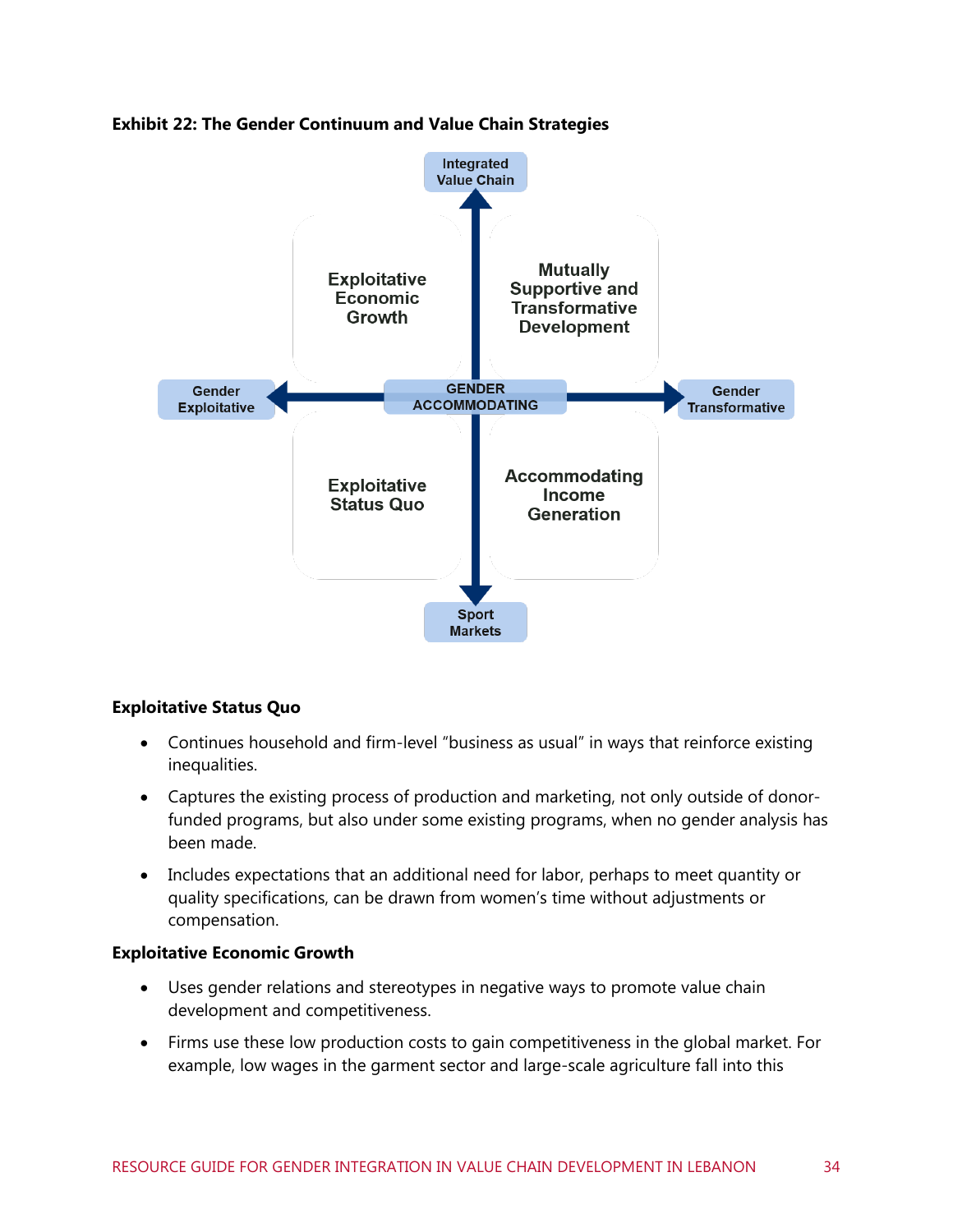

#### <span id="page-40-0"></span>**Exhibit 22: The Gender Continuum and Value Chain Strategies**

#### **Exploitative Status Quo**

- Continues household and firm-level "business as usual" in ways that reinforce existing inequalities.
- Captures the existing process of production and marketing, not only outside of donorfunded programs, but also under some existing programs, when no gender analysis has been made.
- Includes expectations that an additional need for labor, perhaps to meet quantity or quality specifications, can be drawn from women's time without adjustments or compensation.

#### **Exploitative Economic Growth**

- Uses gender relations and stereotypes in negative ways to promote value chain development and competitiveness.
- Firms use these low production costs to gain competitiveness in the global market. For example, low wages in the garment sector and large-scale agriculture fall into this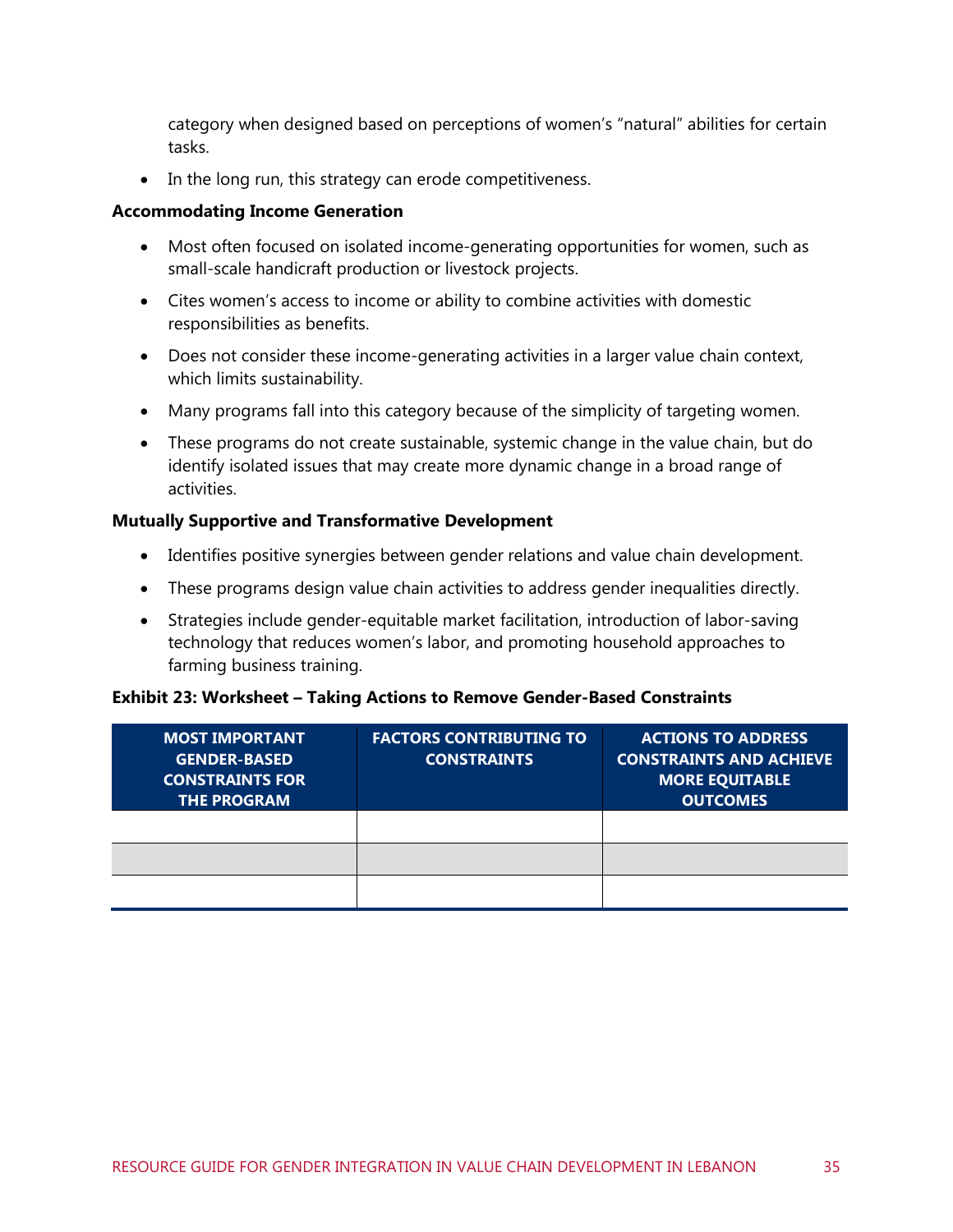category when designed based on perceptions of women's "natural" abilities for certain tasks.

• In the long run, this strategy can erode competitiveness.

#### **Accommodating Income Generation**

- Most often focused on isolated income-generating opportunities for women, such as small-scale handicraft production or livestock projects.
- Cites women's access to income or ability to combine activities with domestic responsibilities as benefits.
- Does not consider these income-generating activities in a larger value chain context, which limits sustainability.
- Many programs fall into this category because of the simplicity of targeting women.
- These programs do not create sustainable, systemic change in the value chain, but do identify isolated issues that may create more dynamic change in a broad range of activities.

#### **Mutually Supportive and Transformative Development**

- Identifies positive synergies between gender relations and value chain development.
- These programs design value chain activities to address gender inequalities directly.
- Strategies include gender-equitable market facilitation, introduction of labor-saving technology that reduces women's labor, and promoting household approaches to farming business training.

#### **Exhibit 23: Worksheet – Taking Actions to Remove Gender-Based Constraints**

| <b>MOST IMPORTANT</b><br><b>GENDER-BASED</b><br><b>CONSTRAINTS FOR</b><br><b>THE PROGRAM</b> | <b>FACTORS CONTRIBUTING TO</b><br><b>CONSTRAINTS</b> | <b>ACTIONS TO ADDRESS</b><br><b>CONSTRAINTS AND ACHIEVE</b><br><b>MORE EQUITABLE</b><br><b>OUTCOMES</b> |
|----------------------------------------------------------------------------------------------|------------------------------------------------------|---------------------------------------------------------------------------------------------------------|
|                                                                                              |                                                      |                                                                                                         |
|                                                                                              |                                                      |                                                                                                         |
|                                                                                              |                                                      |                                                                                                         |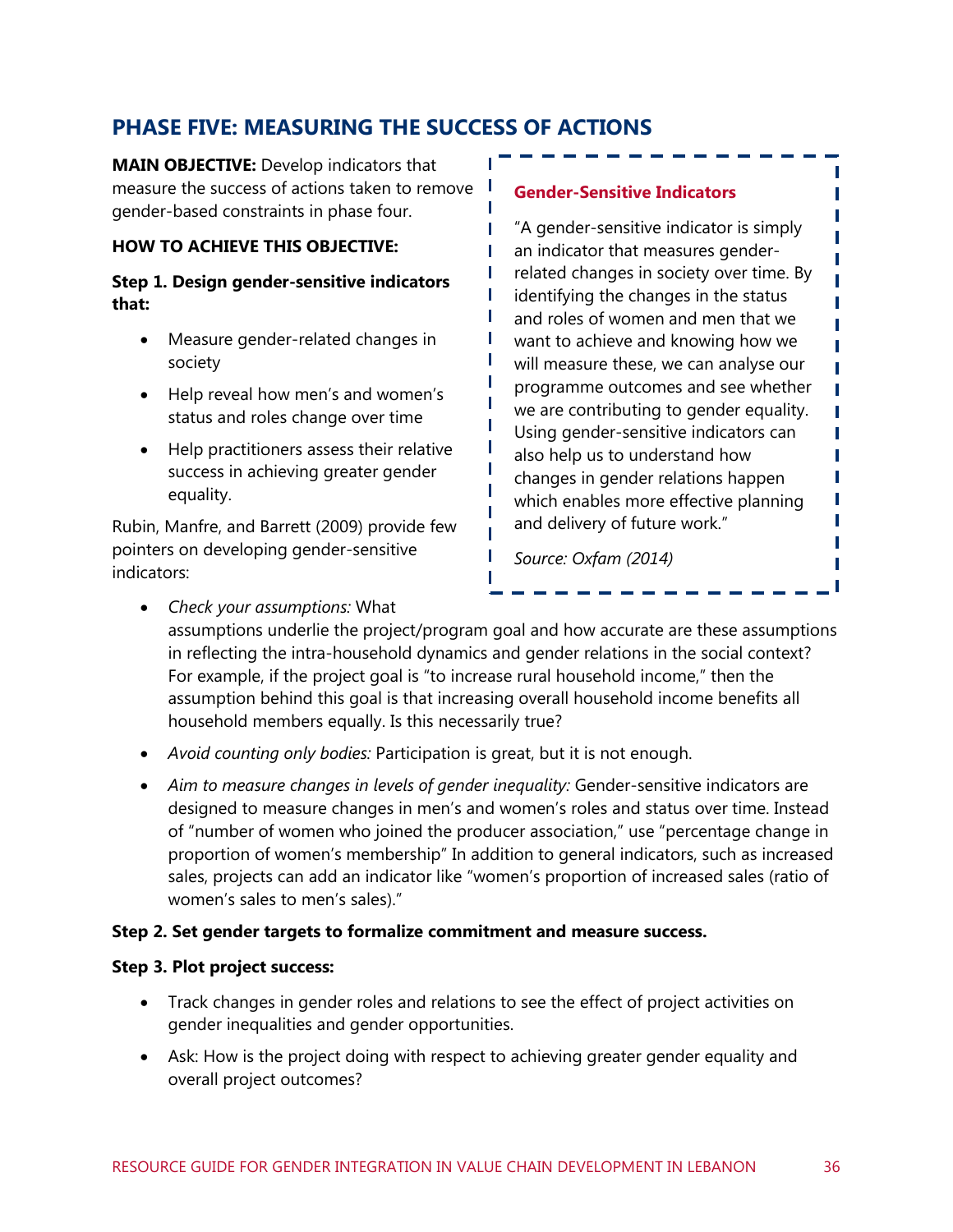## **PHASE FIVE: MEASURING THE SUCCESS OF ACTIONS**

**MAIN OBJECTIVE:** Develop indicators that measure the success of actions taken to remove gender-based constraints in phase four.

#### **HOW TO ACHIEVE THIS OBJECTIVE:**

#### **Step 1. Design gender-sensitive indicators that:**

- Measure gender-related changes in society
- Help reveal how men's and women's status and roles change over time
- Help practitioners assess their relative success in achieving greater gender equality.

Rubin, Manfre, and Barrett (2009) provide few pointers on developing gender-sensitive indicators:

#### **Gender-Sensitive Indicators**

"A gender-sensitive indicator is simply an indicator that measures genderrelated changes in society over time. By identifying the changes in the status and roles of women and men that we want to achieve and knowing how we will measure these, we can analyse our programme outcomes and see whether we are contributing to gender equality. Using gender-sensitive indicators can also help us to understand how changes in gender relations happen which enables more effective planning and delivery of future work."

*Source: Oxfam (2014)*

*Check your assumptions:* What

assumptions underlie the project/program goal and how accurate are these assumptions in reflecting the intra-household dynamics and gender relations in the social context? For example, if the project goal is "to increase rural household income," then the assumption behind this goal is that increasing overall household income benefits all household members equally. Is this necessarily true?

п П

П

п П П П

- *Avoid counting only bodies:* Participation is great, but it is not enough.
- *Aim to measure changes in levels of gender inequality:* Gender-sensitive indicators are designed to measure changes in men's and women's roles and status over time. Instead of "number of women who joined the producer association," use "percentage change in proportion of women's membership" In addition to general indicators, such as increased sales, projects can add an indicator like "women's proportion of increased sales (ratio of women's sales to men's sales)."

#### **Step 2. Set gender targets to formalize commitment and measure success.**

#### **Step 3. Plot project success:**

- Track changes in gender roles and relations to see the effect of project activities on gender inequalities and gender opportunities.
- Ask: How is the project doing with respect to achieving greater gender equality and overall project outcomes?

П

Г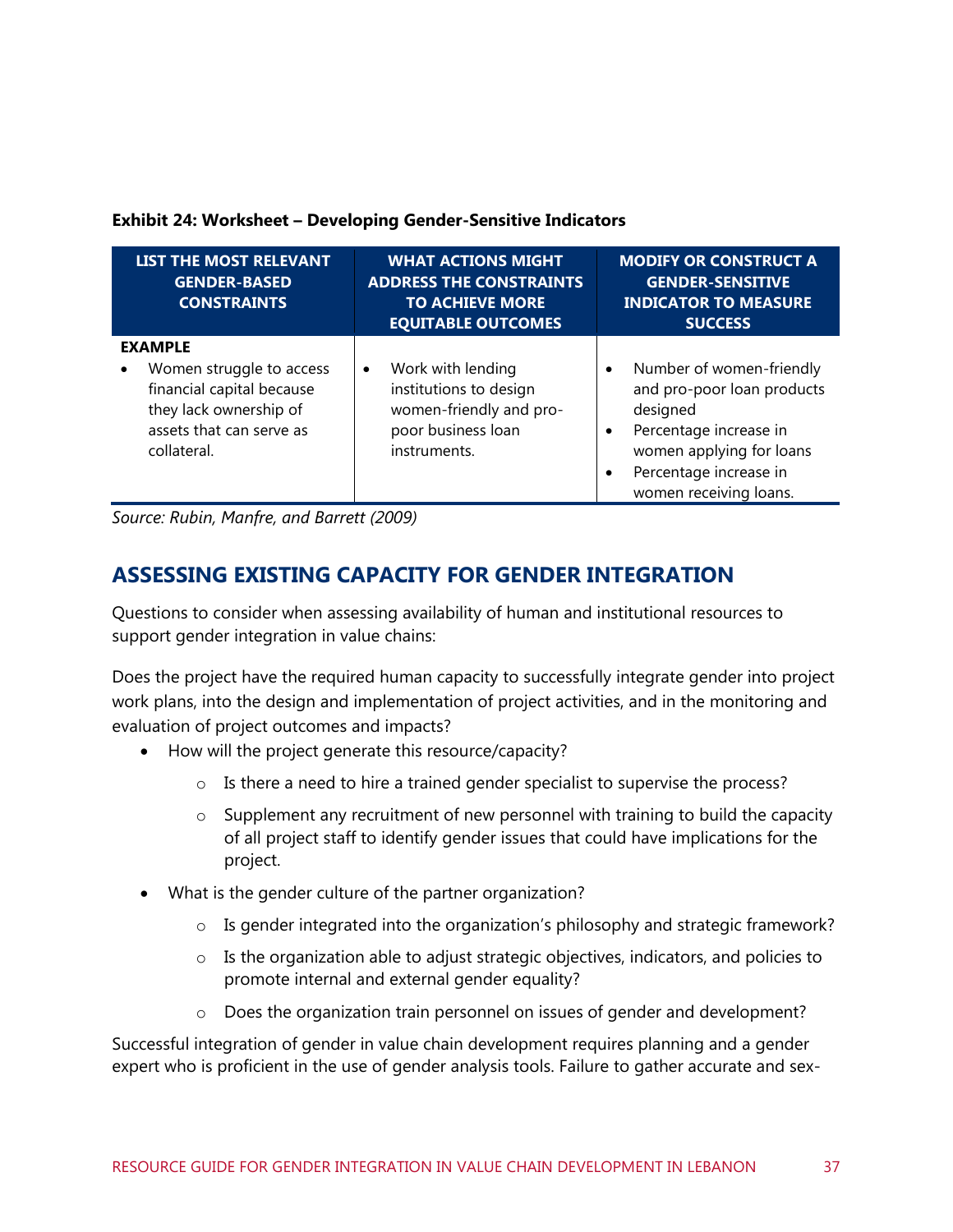#### **Exhibit 24: Worksheet – Developing Gender-Sensitive Indicators**

| <b>LIST THE MOST RELEVANT</b><br><b>GENDER-BASED</b><br><b>CONSTRAINTS</b>                                                                   | <b>WHAT ACTIONS MIGHT</b><br><b>ADDRESS THE CONSTRAINTS</b><br><b>TO ACHIEVE MORE</b><br><b>EQUITABLE OUTCOMES</b> | <b>MODIFY OR CONSTRUCT A</b><br><b>GENDER-SENSITIVE</b><br><b>INDICATOR TO MEASURE</b><br><b>SUCCESS</b>                                                                                            |
|----------------------------------------------------------------------------------------------------------------------------------------------|--------------------------------------------------------------------------------------------------------------------|-----------------------------------------------------------------------------------------------------------------------------------------------------------------------------------------------------|
| <b>EXAMPLE</b><br>Women struggle to access<br>financial capital because<br>they lack ownership of<br>assets that can serve as<br>collateral. | Work with lending<br>٠<br>institutions to design<br>women-friendly and pro-<br>poor business loan<br>instruments.  | Number of women-friendly<br>٠<br>and pro-poor loan products<br>designed<br>Percentage increase in<br>٠<br>women applying for loans<br>Percentage increase in<br>$\bullet$<br>women receiving loans. |

*Source: Rubin, Manfre, and Barrett (2009)*

## **ASSESSING EXISTING CAPACITY FOR GENDER INTEGRATION**

Questions to consider when assessing availability of human and institutional resources to support gender integration in value chains:

Does the project have the required human capacity to successfully integrate gender into project work plans, into the design and implementation of project activities, and in the monitoring and evaluation of project outcomes and impacts?

- How will the project generate this resource/capacity?
	- o Is there a need to hire a trained gender specialist to supervise the process?
	- $\circ$  Supplement any recruitment of new personnel with training to build the capacity of all project staff to identify gender issues that could have implications for the project.
- What is the gender culture of the partner organization?
	- o Is gender integrated into the organization's philosophy and strategic framework?
	- o Is the organization able to adjust strategic objectives, indicators, and policies to promote internal and external gender equality?
	- o Does the organization train personnel on issues of gender and development?

Successful integration of gender in value chain development requires planning and a gender expert who is proficient in the use of gender analysis tools. Failure to gather accurate and sex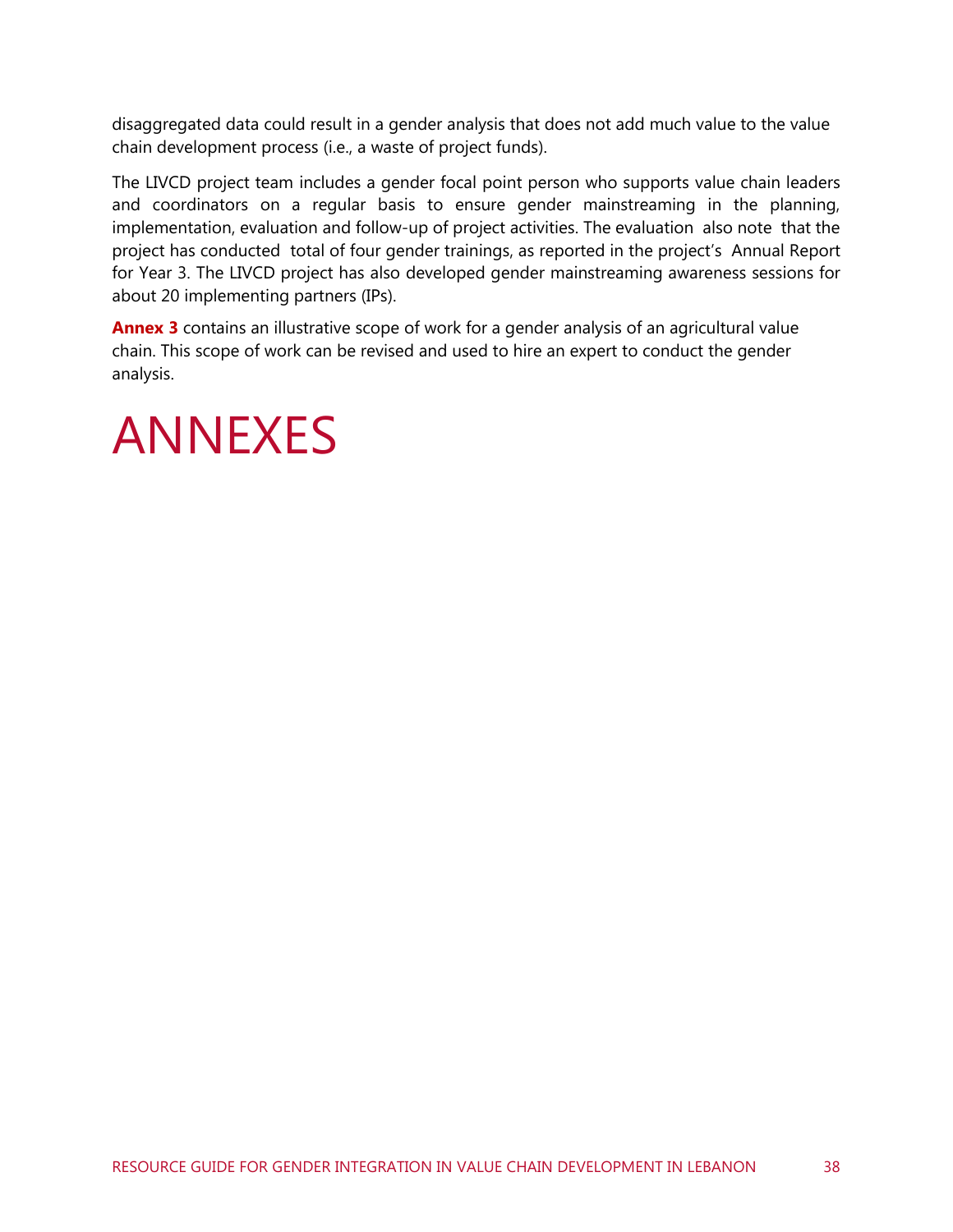disaggregated data could result in a gender analysis that does not add much value to the value chain development process (i.e., a waste of project funds).

The LIVCD project team includes a gender focal point person who supports value chain leaders and coordinators on a regular basis to ensure gender mainstreaming in the planning, implementation, evaluation and follow-up of project activities. The evaluation also note that the project has conducted total of four gender trainings, as reported in the project's Annual Report for Year 3. The LIVCD project has also developed gender mainstreaming awareness sessions for about 20 implementing partners (IPs).

**Annex 3** contains an illustrative scope of work for a gender analysis of an agricultural value chain. This scope of work can be revised and used to hire an expert to conduct the gender analysis.

## <span id="page-44-0"></span>ANNEXES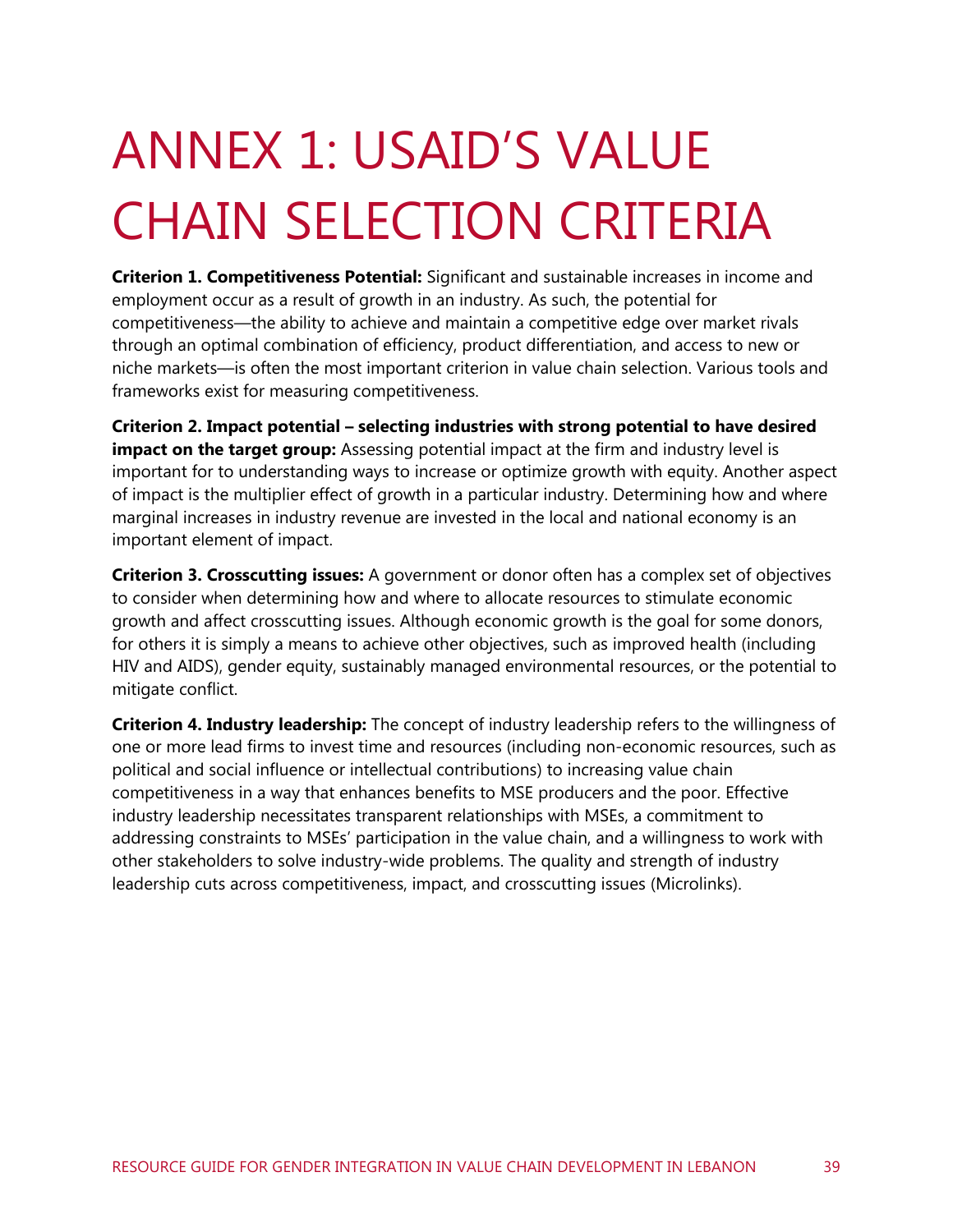# <span id="page-45-0"></span>ANNEX 1: USAID'S VALUE CHAIN SELECTION CRITERIA

**Criterion 1. Competitiveness Potential:** Significant and sustainable increases in income and employment occur as a result of growth in an industry. As such, the potential for competitiveness—the ability to achieve and maintain a competitive edge over market rivals through an optimal combination of efficiency, product differentiation, and access to new or niche markets—is often the most important criterion in value chain selection. Various tools and frameworks exist for measuring competitiveness.

**Criterion 2. Impact potential – selecting industries with strong potential to have desired impact on the target group:** Assessing potential impact at the firm and industry level is important for to understanding ways to increase or optimize growth with equity. Another aspect of impact is the multiplier effect of growth in a particular industry. Determining how and where marginal increases in industry revenue are invested in the local and national economy is an important element of impact.

**Criterion 3. Crosscutting issues:** A government or donor often has a complex set of objectives to consider when determining how and where to allocate resources to stimulate economic growth and affect crosscutting issues. Although economic growth is the goal for some donors, for others it is simply a means to achieve other objectives, such as improved health (including HIV and AIDS), gender equity, sustainably managed environmental resources, or the potential to mitigate conflict.

**Criterion 4. Industry leadership:** The concept of industry leadership refers to the willingness of one or more lead firms to invest time and resources (including non-economic resources, such as political and social influence or intellectual contributions) to increasing value chain competitiveness in a way that enhances benefits to MSE producers and the poor. Effective industry leadership necessitates transparent relationships with MSEs, a commitment to addressing constraints to MSEs' participation in the value chain, and a willingness to work with other stakeholders to solve industry-wide problems. The quality and strength of industry leadership cuts across competitiveness, impact, and crosscutting issues (Microlinks).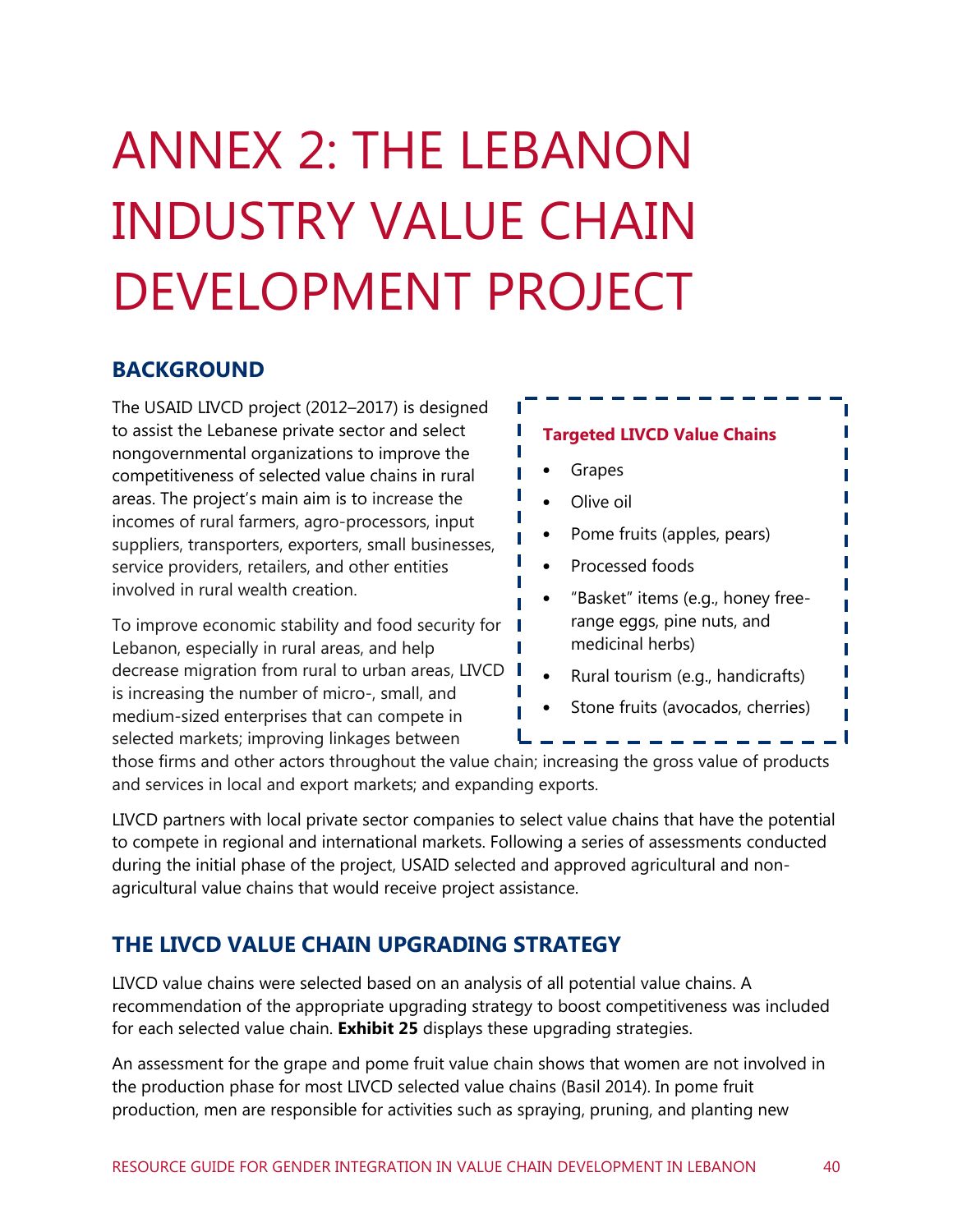## <span id="page-46-0"></span>ANNEX 2: THE LEBANON INDUSTRY VALUE CHAIN DEVELOPMENT PROJECT

### **BACKGROUND**

The USAID LIVCD project (2012–2017) is designed to assist the Lebanese private sector and select nongovernmental organizations to improve the competitiveness of selected value chains in rural areas. The project's main aim is to increase the incomes of rural farmers, agro-processors, input suppliers, transporters, exporters, small businesses, service providers, retailers, and other entities involved in rural wealth creation.

To improve economic stability and food security for Lebanon, especially in rural areas, and help decrease migration from rural to urban areas, LIVCD I is increasing the number of micro-, small, and medium-sized enterprises that can compete in selected markets; improving linkages between

#### **Targeted LIVCD Value Chains**

• Grapes

T Г

Г

T

- Olive oil
- Pome fruits (apples, pears)
- Processed foods
- "Basket" items (e.g., honey freerange eggs, pine nuts, and medicinal herbs)
- Rural tourism (e.g., handicrafts)
- Stone fruits (avocados, cherries)

those firms and other actors throughout the value chain; increasing the gross value of products and services in local and export markets; and expanding exports.

LIVCD partners with local private sector companies to select value chains that have the potential to compete in regional and international markets. Following a series of assessments conducted during the initial phase of the project, USAID selected and approved agricultural and nonagricultural value chains that would receive project assistance.

### **THE LIVCD VALUE CHAIN UPGRADING STRATEGY**

LIVCD value chains were selected based on an analysis of all potential value chains. A recommendation of the appropriate upgrading strategy to boost competitiveness was included for each selected value chain. **[Exhibit 25](#page-48-0)** displays these upgrading strategies.

An assessment for the grape and pome fruit value chain shows that women are not involved in the production phase for most LIVCD selected value chains (Basil 2014). In pome fruit production, men are responsible for activities such as spraying, pruning, and planting new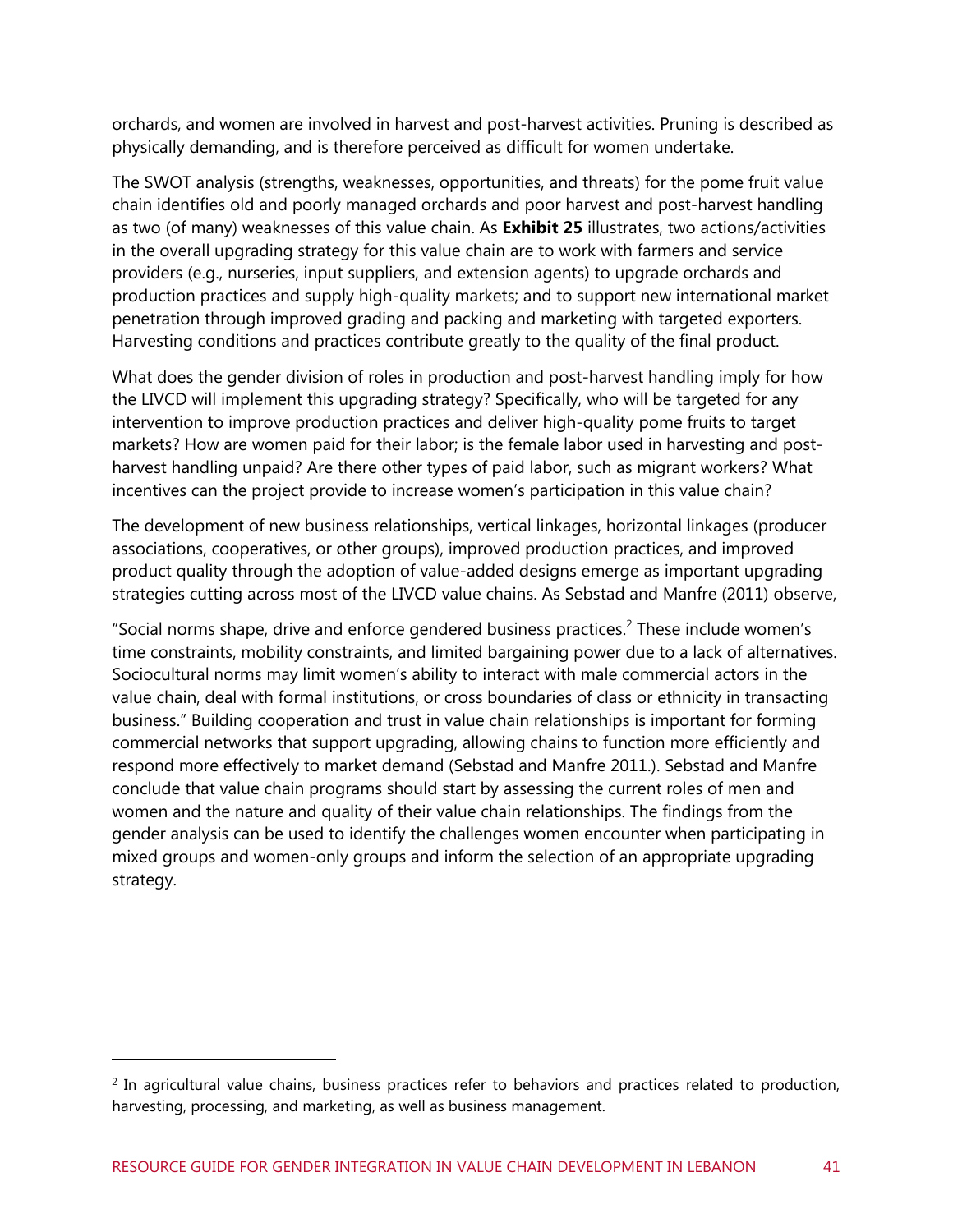orchards, and women are involved in harvest and post-harvest activities. Pruning is described as physically demanding, and is therefore perceived as difficult for women undertake.

The SWOT analysis (strengths, weaknesses, opportunities, and threats) for the pome fruit value chain identifies old and poorly managed orchards and poor harvest and post-harvest handling as two (of many) weaknesses of this value chain. As **[Exhibit 25](#page-48-0)** illustrates, two actions/activities in the overall upgrading strategy for this value chain are to work with farmers and service providers (e.g., nurseries, input suppliers, and extension agents) to upgrade orchards and production practices and supply high-quality markets; and to support new international market penetration through improved grading and packing and marketing with targeted exporters. Harvesting conditions and practices contribute greatly to the quality of the final product.

What does the gender division of roles in production and post-harvest handling imply for how the LIVCD will implement this upgrading strategy? Specifically, who will be targeted for any intervention to improve production practices and deliver high-quality pome fruits to target markets? How are women paid for their labor; is the female labor used in harvesting and postharvest handling unpaid? Are there other types of paid labor, such as migrant workers? What incentives can the project provide to increase women's participation in this value chain?

The development of new business relationships, vertical linkages, horizontal linkages (producer associations, cooperatives, or other groups), improved production practices, and improved product quality through the adoption of value-added designs emerge as important upgrading strategies cutting across most of the LIVCD value chains. As Sebstad and Manfre (2011) observe,

"Social norms shape, drive and enforce gendered business practices.<sup>2</sup> These include women's time constraints, mobility constraints, and limited bargaining power due to a lack of alternatives. Sociocultural norms may limit women's ability to interact with male commercial actors in the value chain, deal with formal institutions, or cross boundaries of class or ethnicity in transacting business." Building cooperation and trust in value chain relationships is important for forming commercial networks that support upgrading, allowing chains to function more efficiently and respond more effectively to market demand (Sebstad and Manfre 2011.). Sebstad and Manfre conclude that value chain programs should start by assessing the current roles of men and women and the nature and quality of their value chain relationships. The findings from the gender analysis can be used to identify the challenges women encounter when participating in mixed groups and women-only groups and inform the selection of an appropriate upgrading strategy.

<sup>&</sup>lt;sup>2</sup> In agricultural value chains, business practices refer to behaviors and practices related to production, harvesting, processing, and marketing, as well as business management.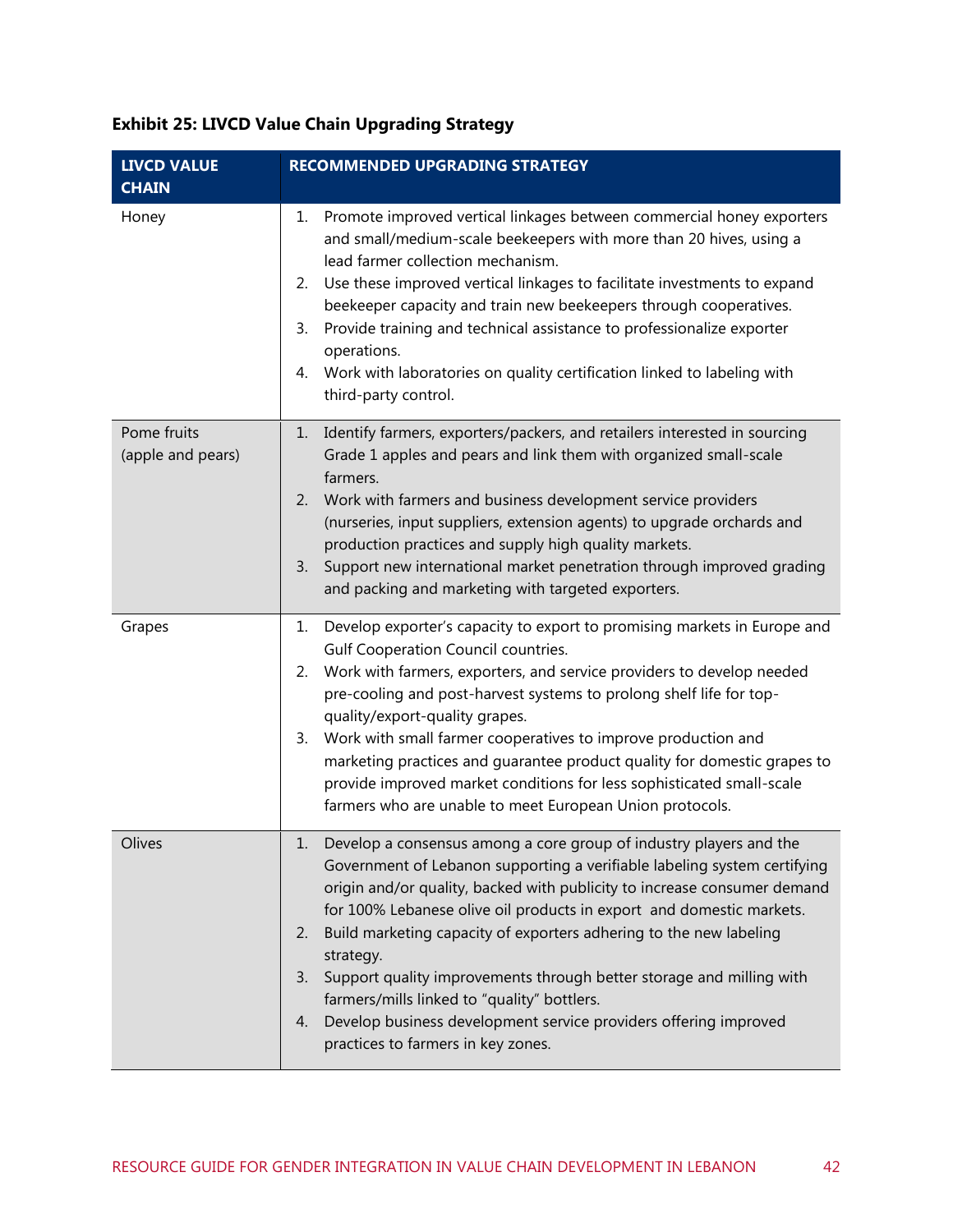#### **LIVCD VALUE CHAIN RECOMMENDED UPGRADING STRATEGY** Honey 1. Promote improved vertical linkages between commercial honey exporters and small/medium-scale beekeepers with more than 20 hives, using a lead farmer collection mechanism. 2. Use these improved vertical linkages to facilitate investments to expand beekeeper capacity and train new beekeepers through cooperatives. 3. Provide training and technical assistance to professionalize exporter operations. 4. Work with laboratories on quality certification linked to labeling with third-party control. Pome fruits (apple and pears) 1. Identify farmers, exporters/packers, and retailers interested in sourcing Grade 1 apples and pears and link them with organized small-scale farmers. 2. Work with farmers and business development service providers (nurseries, input suppliers, extension agents) to upgrade orchards and production practices and supply high quality markets. 3. Support new international market penetration through improved grading and packing and marketing with targeted exporters. Grapes 1. Develop exporter's capacity to export to promising markets in Europe and Gulf Cooperation Council countries. 2. Work with farmers, exporters, and service providers to develop needed pre-cooling and post-harvest systems to prolong shelf life for topquality/export-quality grapes. 3. Work with small farmer cooperatives to improve production and marketing practices and guarantee product quality for domestic grapes to provide improved market conditions for less sophisticated small-scale farmers who are unable to meet European Union protocols. Olives 1. Develop a consensus among a core group of industry players and the Government of Lebanon supporting a verifiable labeling system certifying origin and/or quality, backed with publicity to increase consumer demand for 100% Lebanese olive oil products in export and domestic markets. 2. Build marketing capacity of exporters adhering to the new labeling strategy. 3. Support quality improvements through better storage and milling with farmers/mills linked to "quality" bottlers. 4. Develop business development service providers offering improved practices to farmers in key zones.

#### <span id="page-48-0"></span>**Exhibit 25: LIVCD Value Chain Upgrading Strategy**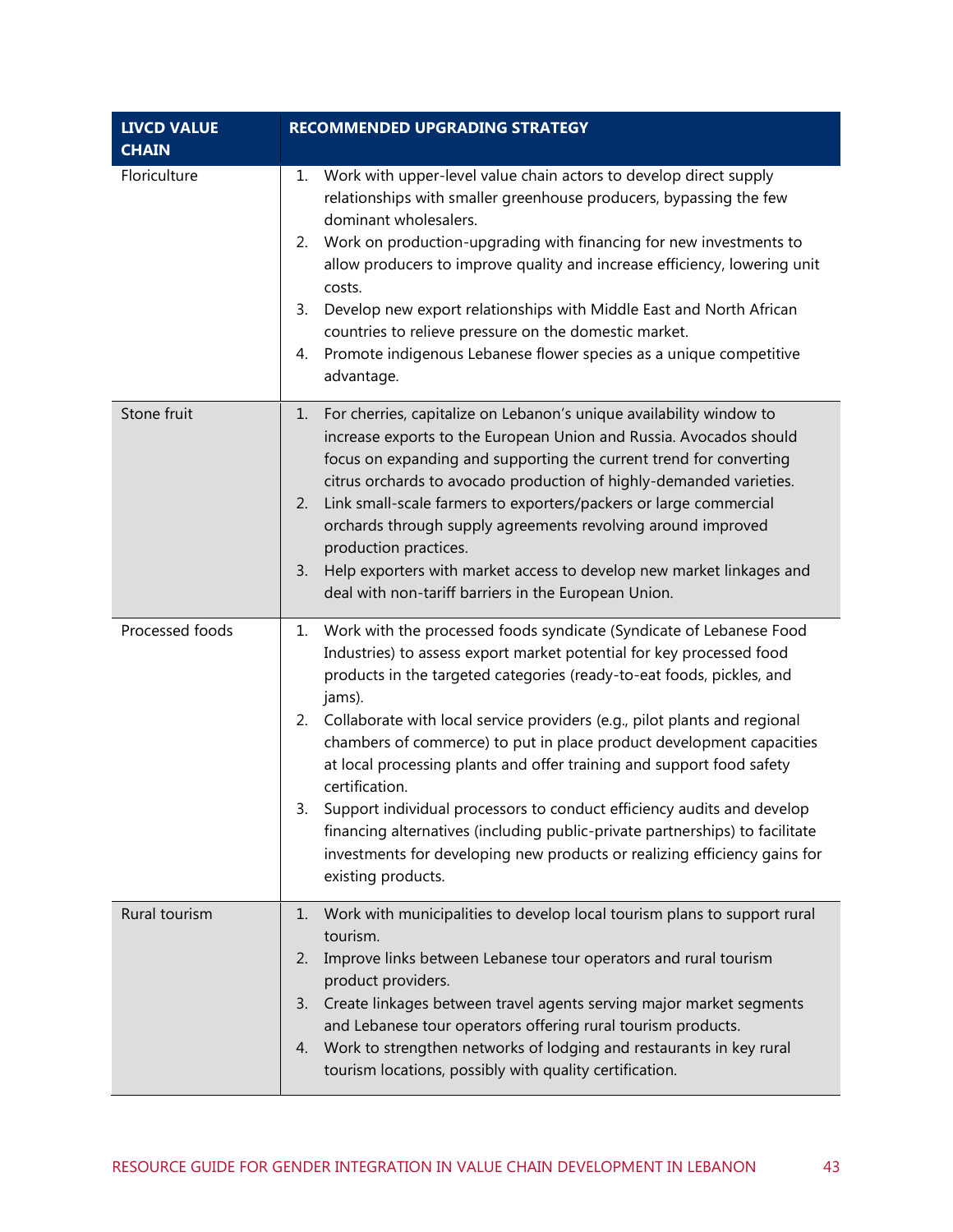| <b>LIVCD VALUE</b><br><b>CHAIN</b> | <b>RECOMMENDED UPGRADING STRATEGY</b>                                                                                                                                                                                                                                                                                                                                                                                                                                                                                                                                                                                                                                                                                                                         |
|------------------------------------|---------------------------------------------------------------------------------------------------------------------------------------------------------------------------------------------------------------------------------------------------------------------------------------------------------------------------------------------------------------------------------------------------------------------------------------------------------------------------------------------------------------------------------------------------------------------------------------------------------------------------------------------------------------------------------------------------------------------------------------------------------------|
| Floriculture                       | Work with upper-level value chain actors to develop direct supply<br>1.<br>relationships with smaller greenhouse producers, bypassing the few<br>dominant wholesalers.<br>Work on production-upgrading with financing for new investments to<br>2.<br>allow producers to improve quality and increase efficiency, lowering unit<br>costs.<br>Develop new export relationships with Middle East and North African<br>3.<br>countries to relieve pressure on the domestic market.<br>Promote indigenous Lebanese flower species as a unique competitive<br>4.<br>advantage.                                                                                                                                                                                     |
| Stone fruit                        | For cherries, capitalize on Lebanon's unique availability window to<br>1.<br>increase exports to the European Union and Russia. Avocados should<br>focus on expanding and supporting the current trend for converting<br>citrus orchards to avocado production of highly-demanded varieties.<br>Link small-scale farmers to exporters/packers or large commercial<br>2.<br>orchards through supply agreements revolving around improved<br>production practices.<br>Help exporters with market access to develop new market linkages and<br>3.<br>deal with non-tariff barriers in the European Union.                                                                                                                                                        |
| Processed foods                    | Work with the processed foods syndicate (Syndicate of Lebanese Food<br>1.<br>Industries) to assess export market potential for key processed food<br>products in the targeted categories (ready-to-eat foods, pickles, and<br>jams).<br>Collaborate with local service providers (e.g., pilot plants and regional<br>2.<br>chambers of commerce) to put in place product development capacities<br>at local processing plants and offer training and support food safety<br>certification.<br>Support individual processors to conduct efficiency audits and develop<br>3.<br>financing alternatives (including public-private partnerships) to facilitate<br>investments for developing new products or realizing efficiency gains for<br>existing products. |
| Rural tourism                      | Work with municipalities to develop local tourism plans to support rural<br>1.<br>tourism.<br>Improve links between Lebanese tour operators and rural tourism<br>2.<br>product providers.<br>Create linkages between travel agents serving major market segments<br>3.<br>and Lebanese tour operators offering rural tourism products.<br>Work to strengthen networks of lodging and restaurants in key rural<br>4.<br>tourism locations, possibly with quality certification.                                                                                                                                                                                                                                                                                |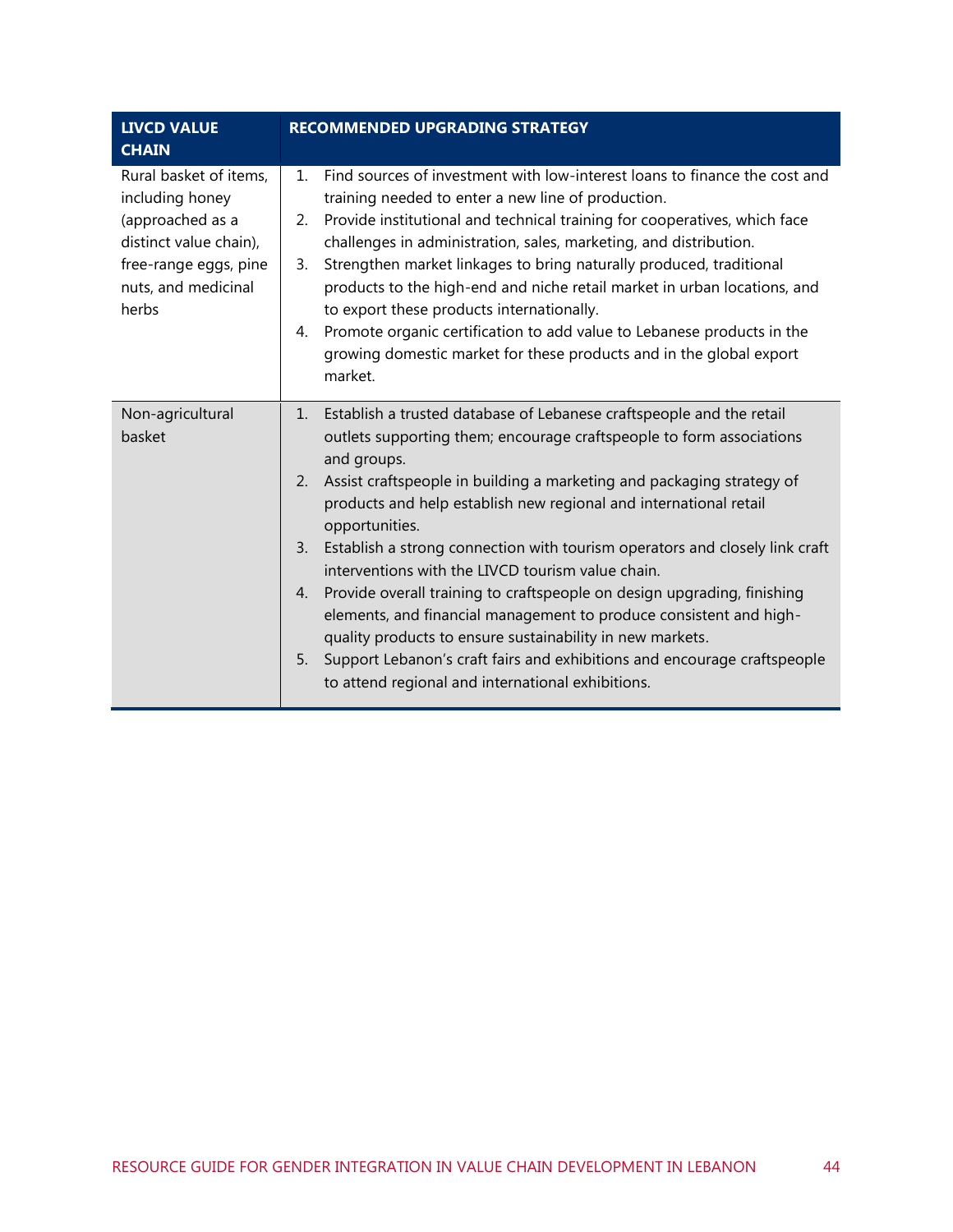| <b>LIVCD VALUE</b><br><b>CHAIN</b>                    | <b>RECOMMENDED UPGRADING STRATEGY</b>                                                                                                                                                                            |
|-------------------------------------------------------|------------------------------------------------------------------------------------------------------------------------------------------------------------------------------------------------------------------|
| Rural basket of items,<br>including honey             | Find sources of investment with low-interest loans to finance the cost and<br>$1_{\cdot}$<br>training needed to enter a new line of production.                                                                  |
| (approached as a<br>distinct value chain),            | Provide institutional and technical training for cooperatives, which face<br>2.<br>challenges in administration, sales, marketing, and distribution.                                                             |
| free-range eggs, pine<br>nuts, and medicinal<br>herbs | Strengthen market linkages to bring naturally produced, traditional<br>3.<br>products to the high-end and niche retail market in urban locations, and<br>to export these products internationally.               |
|                                                       | Promote organic certification to add value to Lebanese products in the<br>4.<br>growing domestic market for these products and in the global export<br>market.                                                   |
| Non-agricultural                                      | 1. Establish a trusted database of Lebanese craftspeople and the retail                                                                                                                                          |
| basket                                                | outlets supporting them; encourage craftspeople to form associations<br>and groups.                                                                                                                              |
|                                                       | Assist craftspeople in building a marketing and packaging strategy of<br>2.<br>products and help establish new regional and international retail<br>opportunities.                                               |
|                                                       | Establish a strong connection with tourism operators and closely link craft<br>3.<br>interventions with the LIVCD tourism value chain.                                                                           |
|                                                       | Provide overall training to craftspeople on design upgrading, finishing<br>4.<br>elements, and financial management to produce consistent and high-<br>quality products to ensure sustainability in new markets. |
|                                                       | Support Lebanon's craft fairs and exhibitions and encourage craftspeople<br>5.<br>to attend regional and international exhibitions.                                                                              |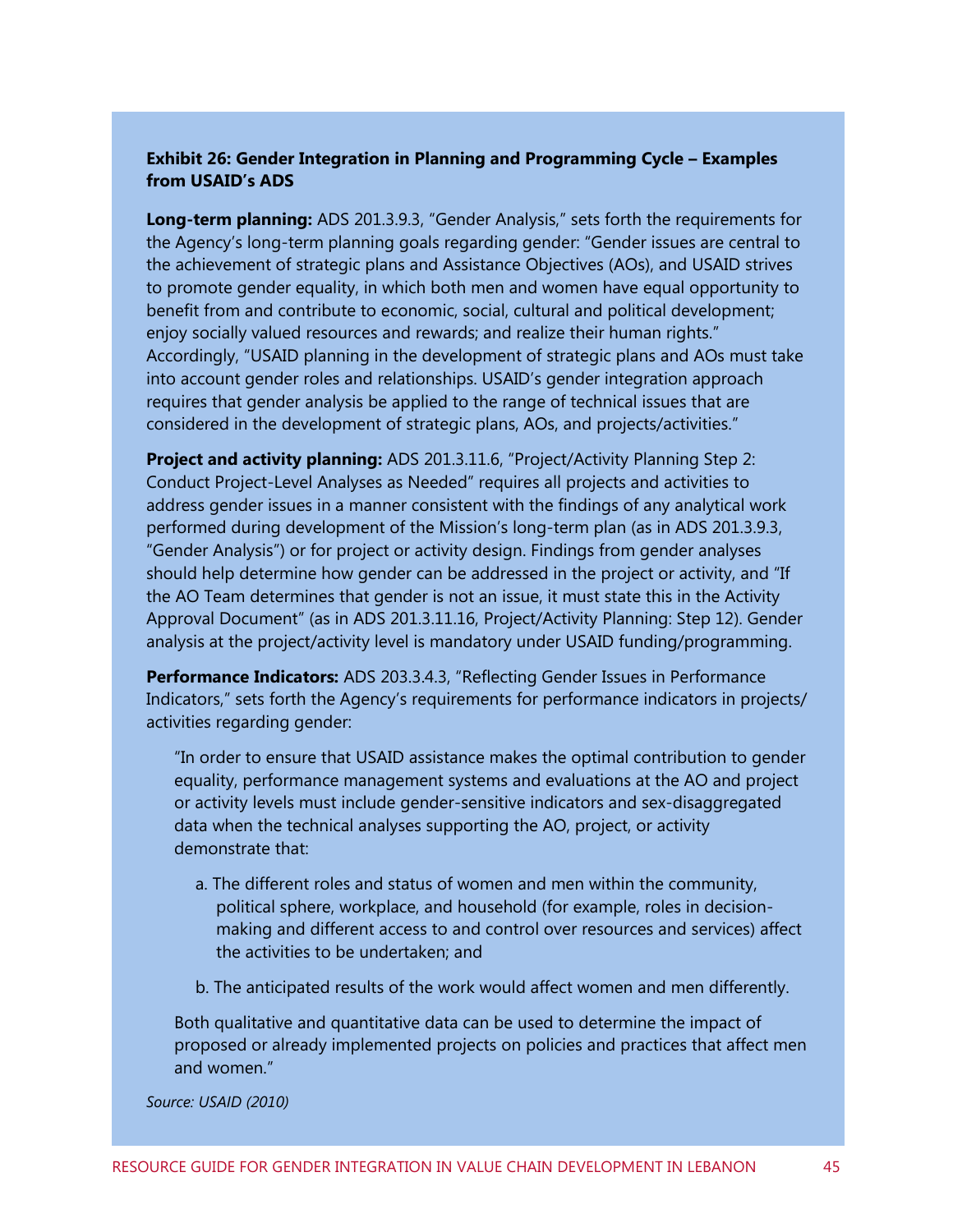#### **Exhibit 26: Gender Integration in Planning and Programming Cycle – Examples from USAID's ADS**

**Long-term planning:** ADS 201.3.9.3, "Gender Analysis," sets forth the requirements for the Agency's long-term planning goals regarding gender: "Gender issues are central to the achievement of strategic plans and Assistance Objectives (AOs), and USAID strives to promote gender equality, in which both men and women have equal opportunity to benefit from and contribute to economic, social, cultural and political development; enjoy socially valued resources and rewards; and realize their human rights." Accordingly, "USAID planning in the development of strategic plans and AOs must take into account gender roles and relationships. USAID's gender integration approach requires that gender analysis be applied to the range of technical issues that are considered in the development of strategic plans, AOs, and projects/activities."

**Project and activity planning:** ADS 201.3.11.6, "Project/Activity Planning Step 2: Conduct Project-Level Analyses as Needed" requires all projects and activities to address gender issues in a manner consistent with the findings of any analytical work performed during development of the Mission's long-term plan (as in ADS 201.3.9.3, "Gender Analysis") or for project or activity design. Findings from gender analyses should help determine how gender can be addressed in the project or activity, and "If the AO Team determines that gender is not an issue, it must state this in the Activity Approval Document" (as in ADS 201.3.11.16, Project/Activity Planning: Step 12). Gender analysis at the project/activity level is mandatory under USAID funding/programming.

**Performance Indicators:** ADS 203.3.4.3, "Reflecting Gender Issues in Performance Indicators," sets forth the Agency's requirements for performance indicators in projects/ activities regarding gender:

"In order to ensure that USAID assistance makes the optimal contribution to gender equality, performance management systems and evaluations at the AO and project or activity levels must include gender-sensitive indicators and sex-disaggregated data when the technical analyses supporting the AO, project, or activity demonstrate that:

- a. The different roles and status of women and men within the community, political sphere, workplace, and household (for example, roles in decisionmaking and different access to and control over resources and services) affect the activities to be undertaken; and
- b. The anticipated results of the work would affect women and men differently.

Both qualitative and quantitative data can be used to determine the impact of proposed or already implemented projects on policies and practices that affect men and women."

*Source: USAID (2010)*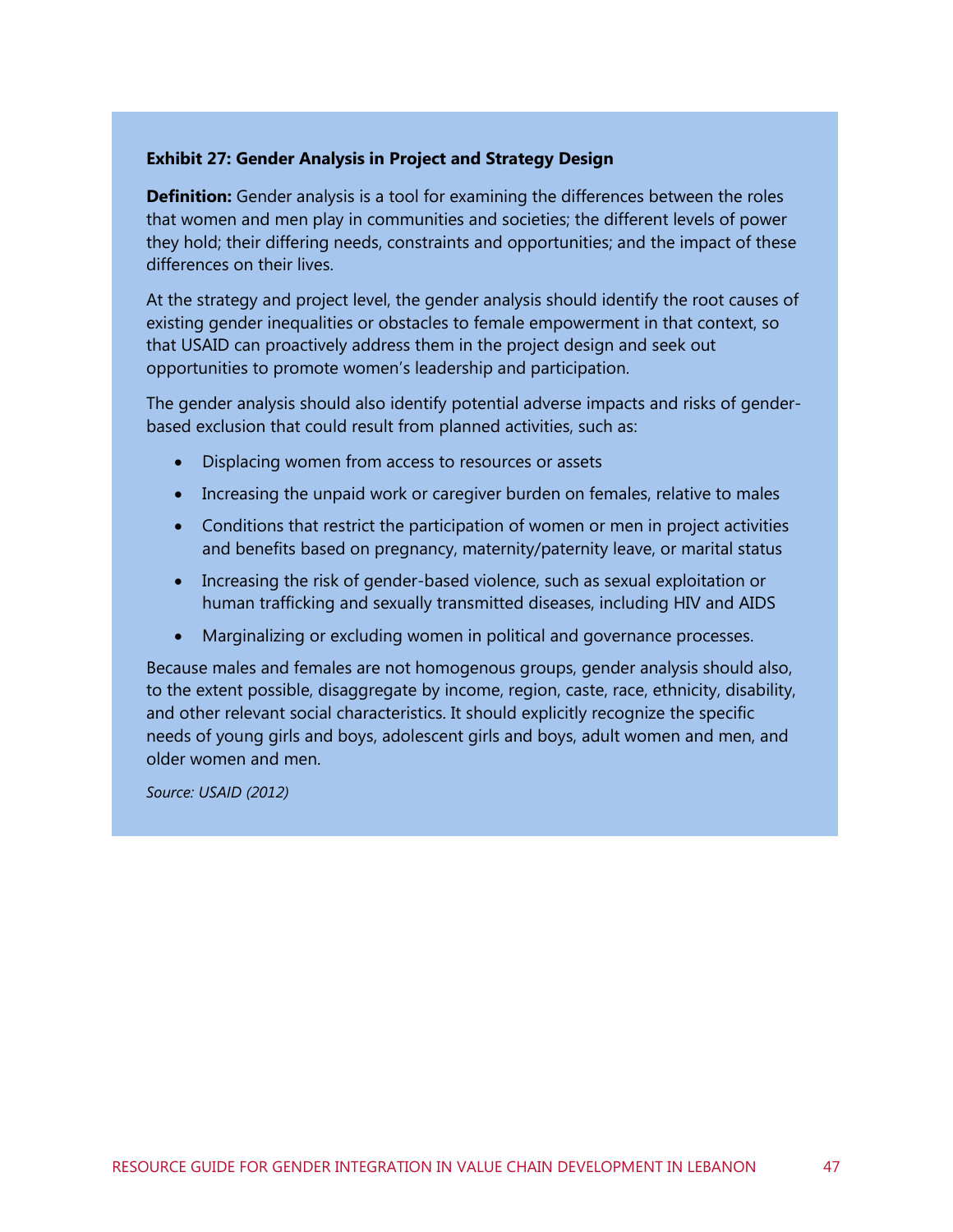#### **Exhibit 27: Gender Analysis in Project and Strategy Design**

**Definition:** Gender analysis is a tool for examining the differences between the roles that women and men play in communities and societies; the different levels of power they hold; their differing needs, constraints and opportunities; and the impact of these differences on their lives.

At the strategy and project level, the gender analysis should identify the root causes of existing gender inequalities or obstacles to female empowerment in that context, so that USAID can proactively address them in the project design and seek out opportunities to promote women's leadership and participation.

The gender analysis should also identify potential adverse impacts and risks of genderbased exclusion that could result from planned activities, such as:

- Displacing women from access to resources or assets
- Increasing the unpaid work or caregiver burden on females, relative to males
- Conditions that restrict the participation of women or men in project activities and benefits based on pregnancy, maternity/paternity leave, or marital status
- Increasing the risk of gender-based violence, such as sexual exploitation or human trafficking and sexually transmitted diseases, including HIV and AIDS
- Marginalizing or excluding women in political and governance processes.

Because males and females are not homogenous groups, gender analysis should also, to the extent possible, disaggregate by income, region, caste, race, ethnicity, disability, and other relevant social characteristics. It should explicitly recognize the specific needs of young girls and boys, adolescent girls and boys, adult women and men, and older women and men.

*Source: USAID (2012)*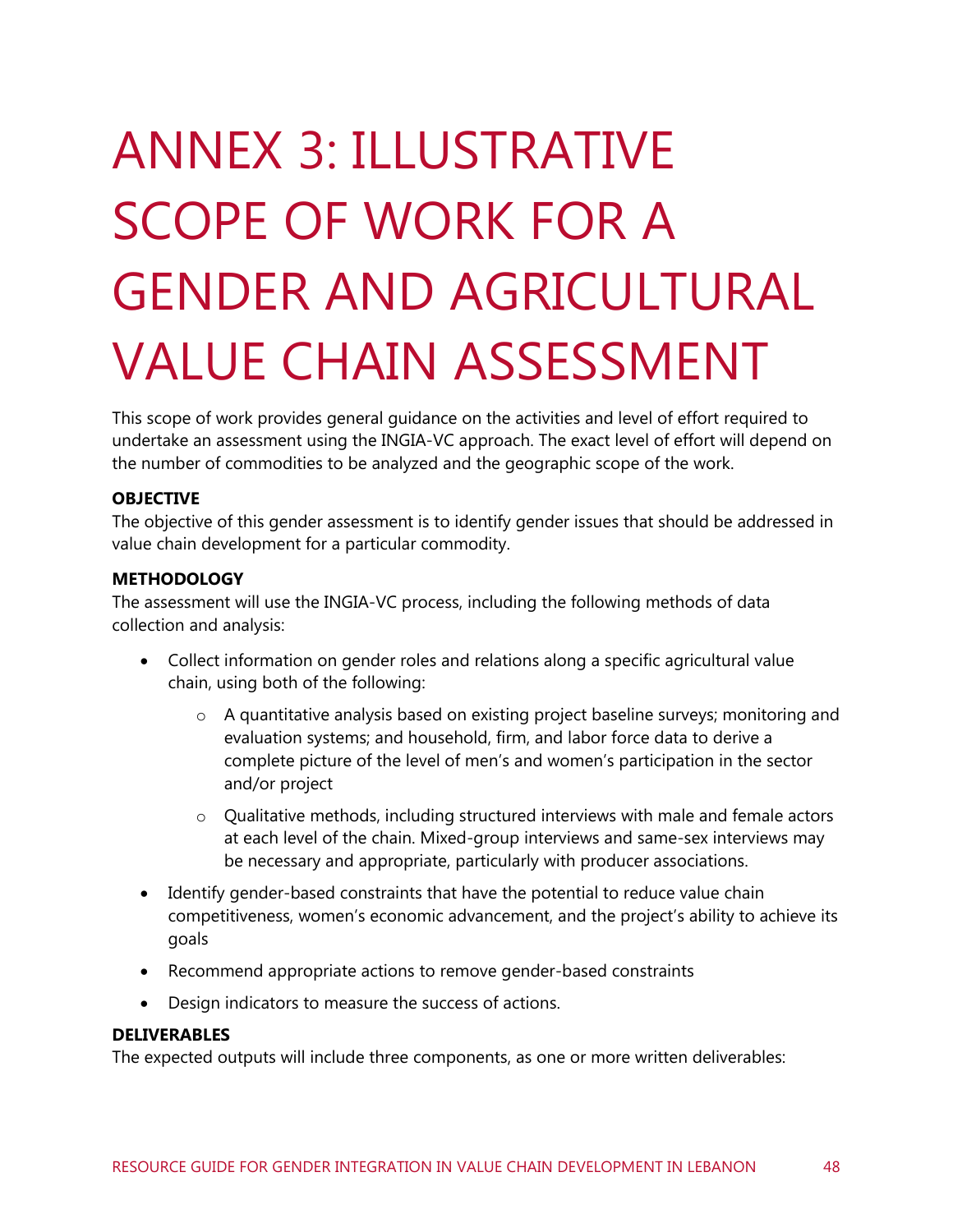# <span id="page-54-0"></span>ANNEX 3: ILLUSTRATIVE SCOPE OF WORK FOR A GENDER AND AGRICULTURAL VALUE CHAIN ASSESSMENT

This scope of work provides general guidance on the activities and level of effort required to undertake an assessment using the INGIA-VC approach. The exact level of effort will depend on the number of commodities to be analyzed and the geographic scope of the work.

#### **OBJECTIVE**

The objective of this gender assessment is to identify gender issues that should be addressed in value chain development for a particular commodity.

#### **METHODOLOGY**

The assessment will use the INGIA-VC process, including the following methods of data collection and analysis:

- Collect information on gender roles and relations along a specific agricultural value chain, using both of the following:
	- $\circ$  A quantitative analysis based on existing project baseline surveys; monitoring and evaluation systems; and household, firm, and labor force data to derive a complete picture of the level of men's and women's participation in the sector and/or project
	- $\circ$  Qualitative methods, including structured interviews with male and female actors at each level of the chain. Mixed-group interviews and same-sex interviews may be necessary and appropriate, particularly with producer associations.
- Identify gender-based constraints that have the potential to reduce value chain competitiveness, women's economic advancement, and the project's ability to achieve its goals
- Recommend appropriate actions to remove gender-based constraints
- Design indicators to measure the success of actions.

#### **DELIVERABLES**

The expected outputs will include three components, as one or more written deliverables: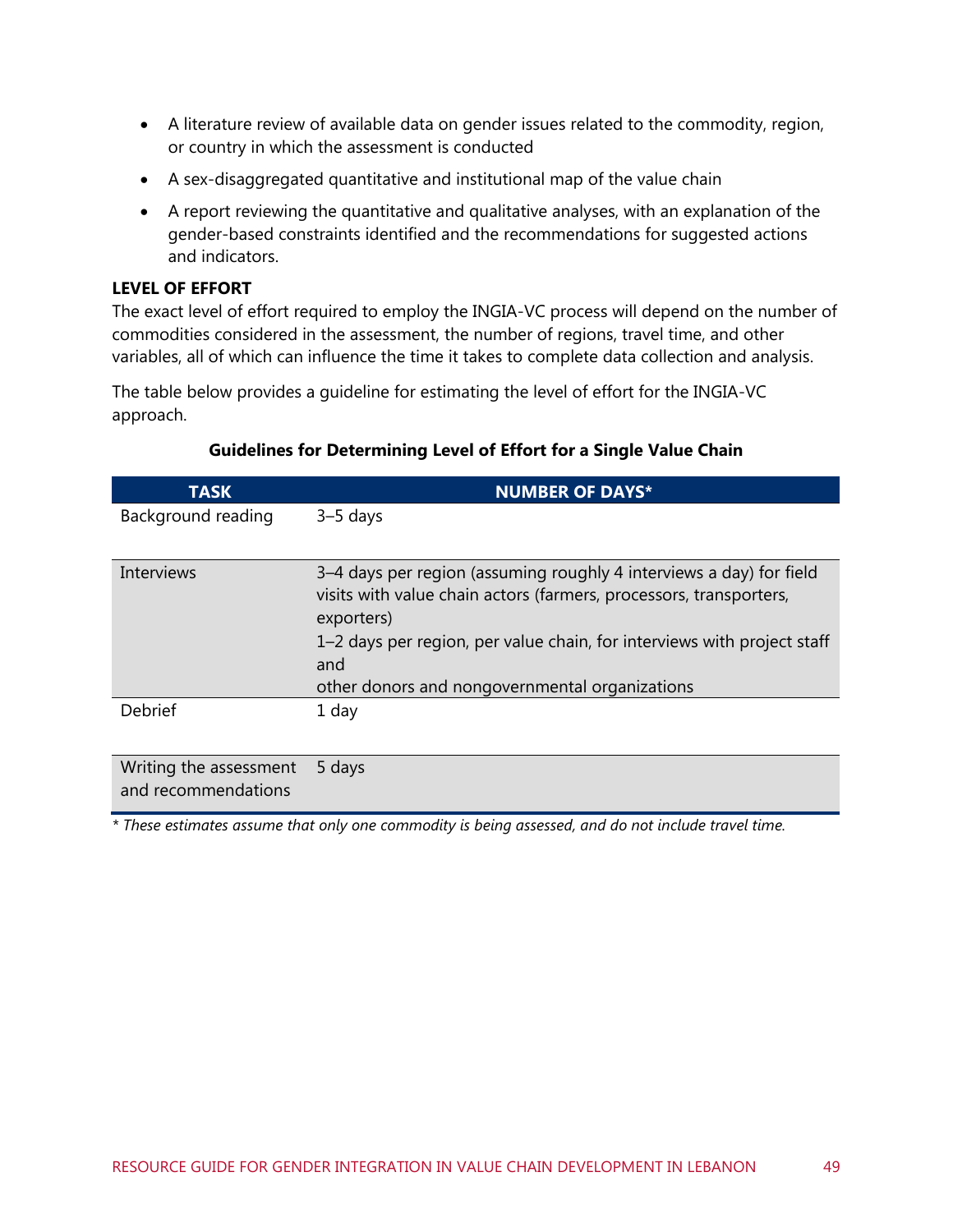- A literature review of available data on gender issues related to the commodity, region, or country in which the assessment is conducted
- A sex-disaggregated quantitative and institutional map of the value chain
- A report reviewing the quantitative and qualitative analyses, with an explanation of the gender-based constraints identified and the recommendations for suggested actions and indicators.

#### **LEVEL OF EFFORT**

Writing the assessment 5 days

and recommendations

The exact level of effort required to employ the INGIA-VC process will depend on the number of commodities considered in the assessment, the number of regions, travel time, and other variables, all of which can influence the time it takes to complete data collection and analysis.

The table below provides a guideline for estimating the level of effort for the INGIA-VC approach.

| <b>TASK</b>        | <b>NUMBER OF DAYS*</b>                                                                                                                                                                                                                                                                      |
|--------------------|---------------------------------------------------------------------------------------------------------------------------------------------------------------------------------------------------------------------------------------------------------------------------------------------|
| Background reading | $3-5$ days                                                                                                                                                                                                                                                                                  |
| Interviews         | 3–4 days per region (assuming roughly 4 interviews a day) for field<br>visits with value chain actors (farmers, processors, transporters,<br>exporters)<br>1–2 days per region, per value chain, for interviews with project staff<br>and<br>other donors and nongovernmental organizations |
| <b>Debrief</b>     | 1 day                                                                                                                                                                                                                                                                                       |

#### **Guidelines for Determining Level of Effort for a Single Value Chain**

*\* These estimates assume that only one commodity is being assessed, and do not include travel time.*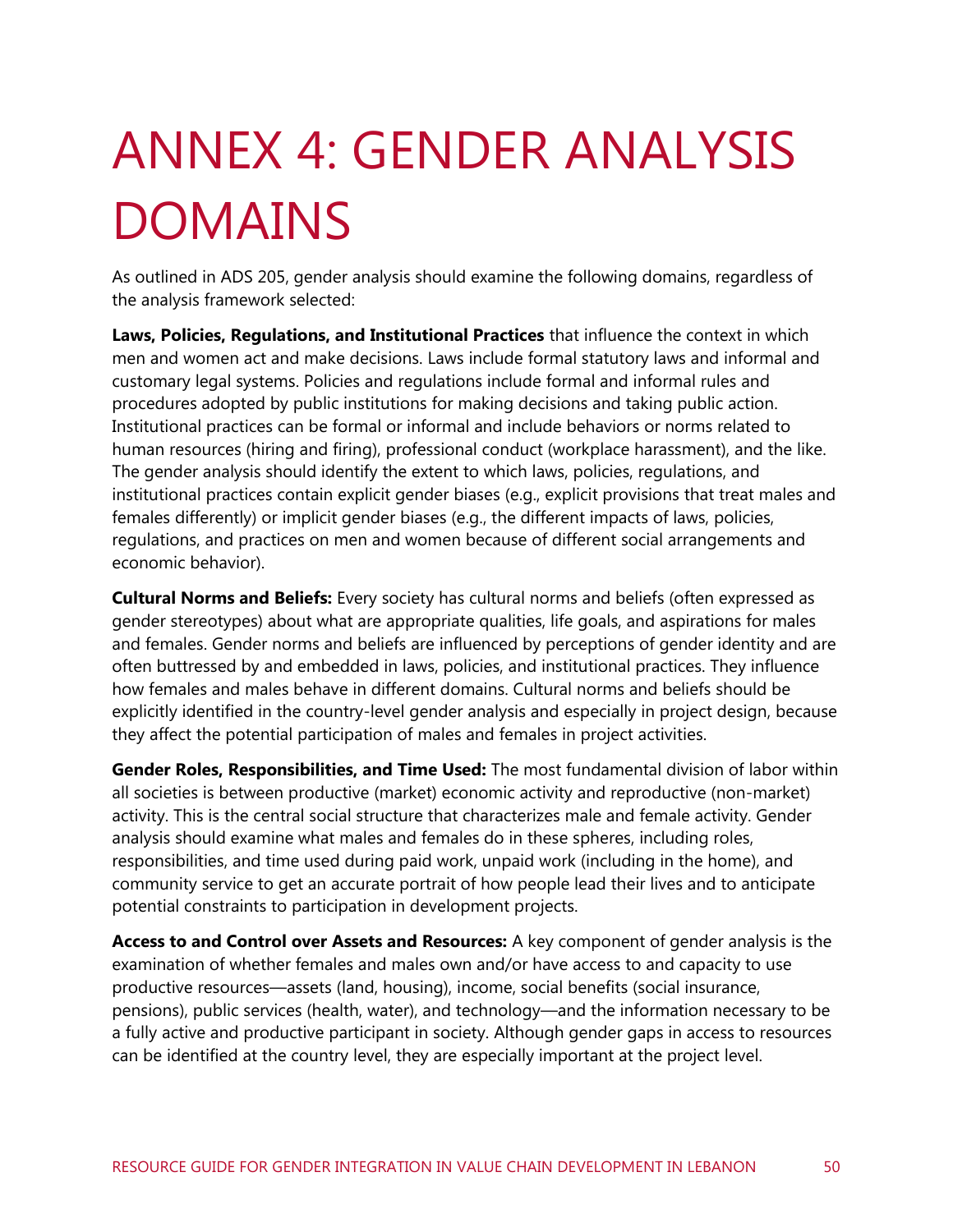## <span id="page-56-0"></span>ANNEX 4: GENDER ANALYSIS DOMAINS

As outlined in ADS 205, gender analysis should examine the following domains, regardless of the analysis framework selected:

**Laws, Policies, Regulations, and Institutional Practices** that influence the context in which men and women act and make decisions. Laws include formal statutory laws and informal and customary legal systems. Policies and regulations include formal and informal rules and procedures adopted by public institutions for making decisions and taking public action. Institutional practices can be formal or informal and include behaviors or norms related to human resources (hiring and firing), professional conduct (workplace harassment), and the like. The gender analysis should identify the extent to which laws, policies, regulations, and institutional practices contain explicit gender biases (e.g., explicit provisions that treat males and females differently) or implicit gender biases (e.g., the different impacts of laws, policies, regulations, and practices on men and women because of different social arrangements and economic behavior).

**Cultural Norms and Beliefs:** Every society has cultural norms and beliefs (often expressed as gender stereotypes) about what are appropriate qualities, life goals, and aspirations for males and females. Gender norms and beliefs are influenced by perceptions of gender identity and are often buttressed by and embedded in laws, policies, and institutional practices. They influence how females and males behave in different domains. Cultural norms and beliefs should be explicitly identified in the country-level gender analysis and especially in project design, because they affect the potential participation of males and females in project activities.

**Gender Roles, Responsibilities, and Time Used:** The most fundamental division of labor within all societies is between productive (market) economic activity and reproductive (non-market) activity. This is the central social structure that characterizes male and female activity. Gender analysis should examine what males and females do in these spheres, including roles, responsibilities, and time used during paid work, unpaid work (including in the home), and community service to get an accurate portrait of how people lead their lives and to anticipate potential constraints to participation in development projects.

**Access to and Control over Assets and Resources:** A key component of gender analysis is the examination of whether females and males own and/or have access to and capacity to use productive resources—assets (land, housing), income, social benefits (social insurance, pensions), public services (health, water), and technology—and the information necessary to be a fully active and productive participant in society. Although gender gaps in access to resources can be identified at the country level, they are especially important at the project level.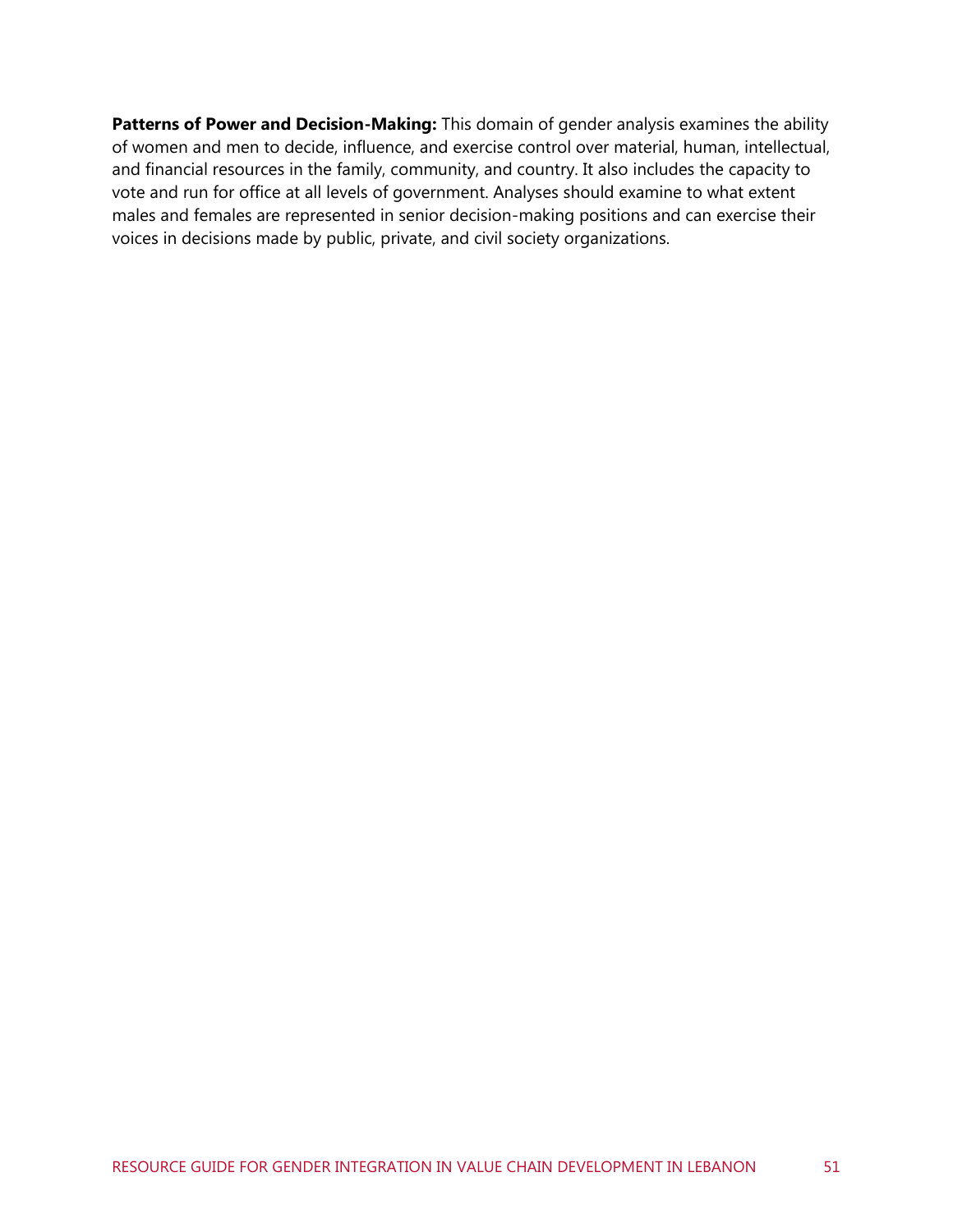Patterns of Power and Decision-Making: This domain of gender analysis examines the ability of women and men to decide, influence, and exercise control over material, human, intellectual, and financial resources in the family, community, and country. It also includes the capacity to vote and run for office at all levels of government. Analyses should examine to what extent males and females are represented in senior decision-making positions and can exercise their voices in decisions made by public, private, and civil society organizations.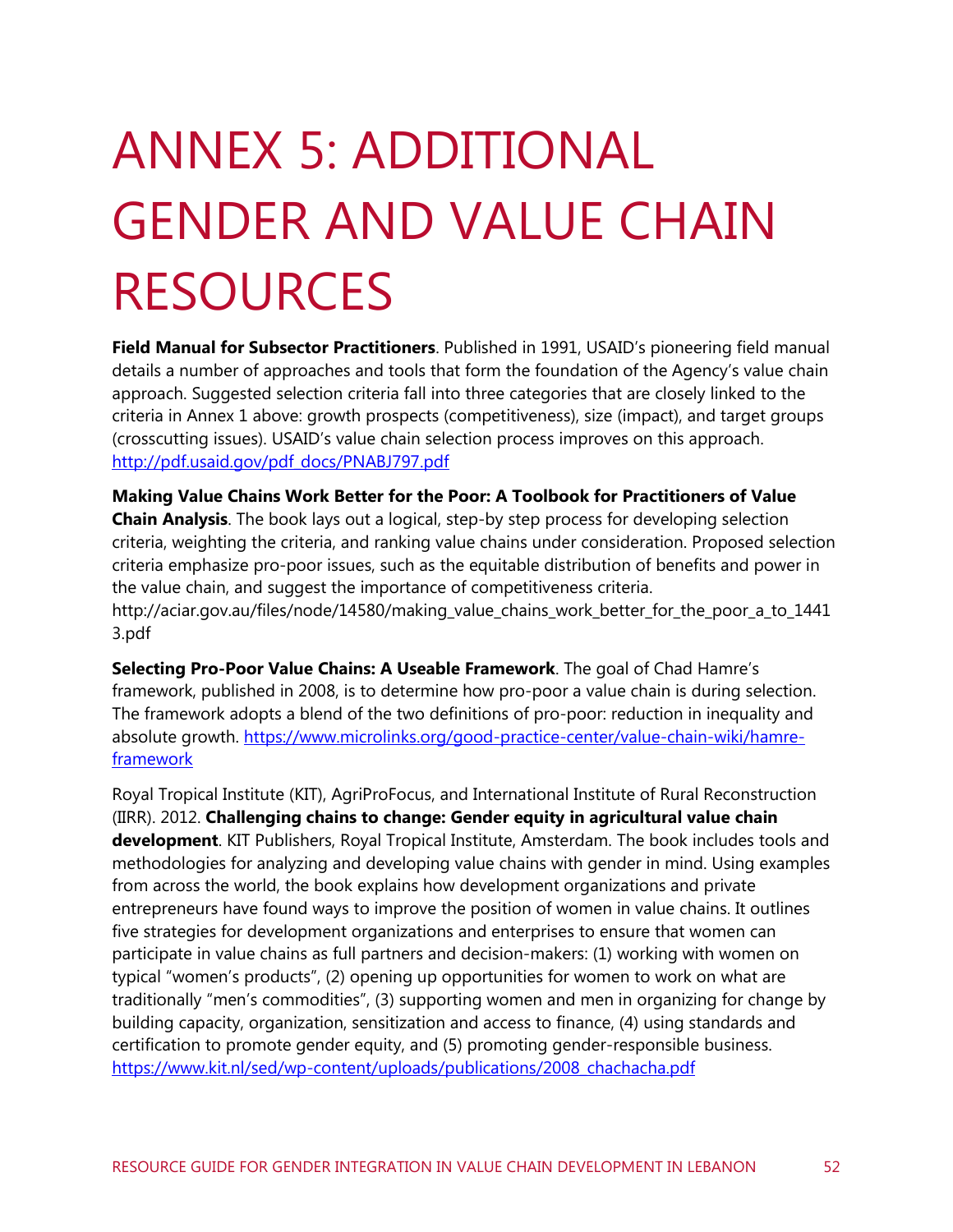# <span id="page-58-0"></span>ANNEX 5: ADDITIONAL GENDER AND VALUE CHAIN RESOURCES

**Field Manual for Subsector Practitioners**. Published in 1991, USAID's pioneering field manual details a number of approaches and tools that form the foundation of the Agency's value chain approach. Suggested selection criteria fall into three categories that are closely linked to the criteria in Annex 1 above: growth prospects (competitiveness), size (impact), and target groups (crosscutting issues). USAID's value chain selection process improves on this approach. [http://pdf.usaid.gov/pdf\\_docs/PNABJ797.pdf](http://pdf.usaid.gov/pdf_docs/PNABJ797.pdf)

**[Making Value Chains Work Better for the Poor: A Toolbook for Practitioners of Value](http://www.markets4poor.org/?name=document&op=viewDetailNews&id=1094&language=english&%5BDVmidandcmidvalueDV%5D&PHPSESSID=da1a433d016db46d80b1af16e860d6cb)  [Chain Analysis](http://www.markets4poor.org/?name=document&op=viewDetailNews&id=1094&language=english&%5BDVmidandcmidvalueDV%5D&PHPSESSID=da1a433d016db46d80b1af16e860d6cb)**. The book lays out a logical, step-by step process for developing selection criteria, weighting the criteria, and ranking value chains under consideration. Proposed selection criteria emphasize pro-poor issues, such as the equitable distribution of benefits and power in the value chain, and suggest the importance of competitiveness criteria. http://aciar.gov.au/files/node/14580/making\_value\_chains\_work\_better\_for\_the\_poor\_a\_to\_1441 3.pdf

**Selecting Pro-Poor Value Chains: A Useable Framework**. The goal of Chad Hamre's framework, published in 2008, is to determine how pro-poor a value chain is during selection. The framework adopts a blend of the two definitions of pro-poor: reduction in inequality and absolute growth. [https://www.microlinks.org/good-practice-center/value-chain-wiki/hamre](https://www.microlinks.org/good-practice-center/value-chain-wiki/hamre-framework)[framework](https://www.microlinks.org/good-practice-center/value-chain-wiki/hamre-framework)

Royal Tropical Institute (KIT), AgriProFocus, and International Institute of Rural Reconstruction (IIRR). 2012. **Challenging chains to change: Gender equity in agricultural value chain development**. KIT Publishers, Royal Tropical Institute, Amsterdam. The book includes tools and methodologies for analyzing and developing value chains with gender in mind. Using examples from across the world, the book explains how development organizations and private entrepreneurs have found ways to improve the position of women in value chains. It outlines five strategies for development organizations and enterprises to ensure that women can participate in value chains as full partners and decision-makers: (1) working with women on typical "women's products", (2) opening up opportunities for women to work on what are traditionally "men's commodities", (3) supporting women and men in organizing for change by building capacity, organization, sensitization and access to finance, (4) using standards and certification to promote gender equity, and (5) promoting gender-responsible business. [https://www.kit.nl/sed/wp-content/uploads/publications/2008\\_chachacha.pdf](https://www.kit.nl/sed/wp-content/uploads/publications/2008_chachacha.pdf)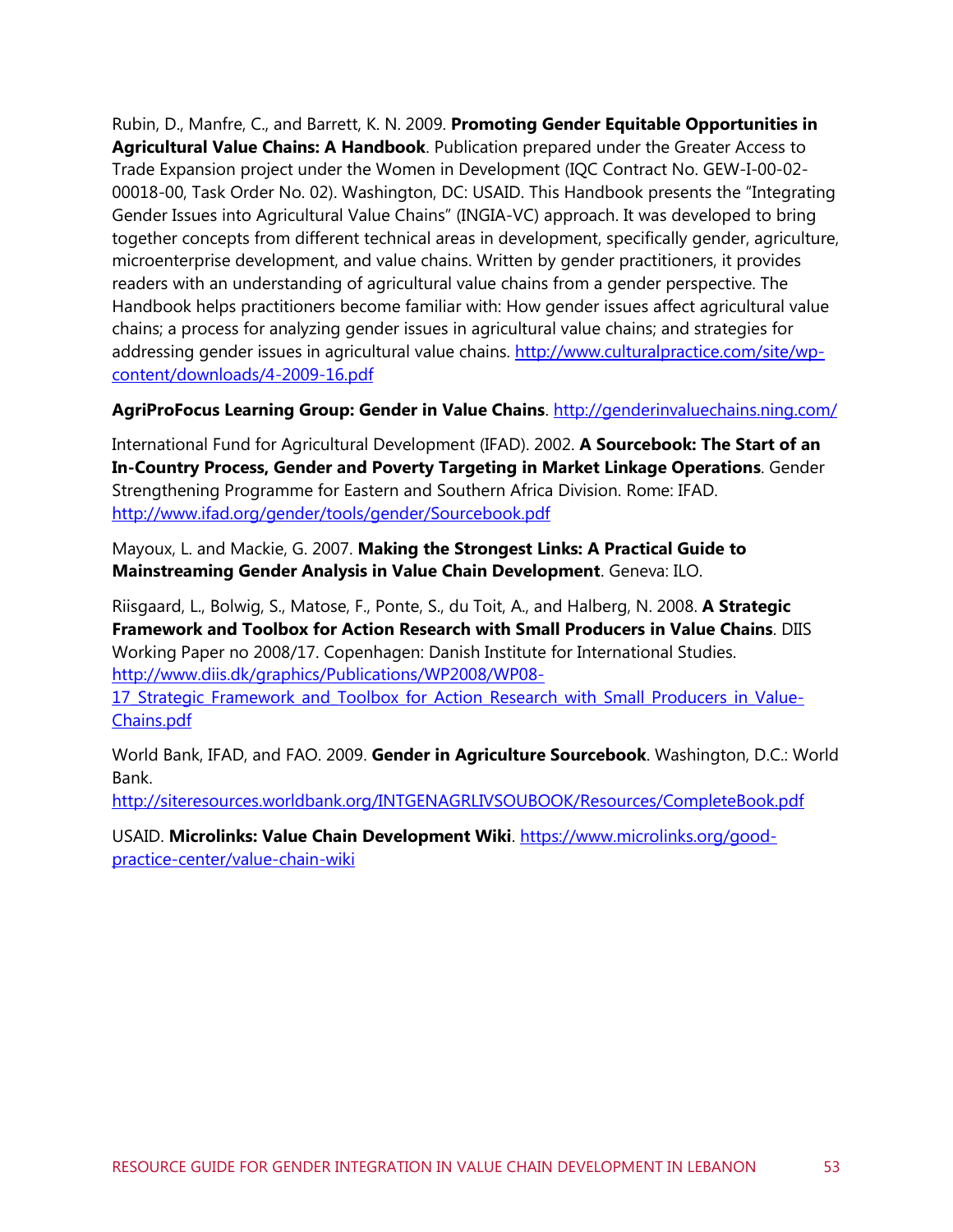Rubin, D., Manfre, C., and Barrett, K. N. 2009. **Promoting Gender Equitable Opportunities in Agricultural Value Chains: A Handbook**. Publication prepared under the Greater Access to Trade Expansion project under the Women in Development (IQC Contract No. GEW-I-00-02- 00018-00, Task Order No. 02). Washington, DC: USAID. This Handbook presents the "Integrating Gender Issues into Agricultural Value Chains" (INGIA-VC) approach. It was developed to bring together concepts from different technical areas in development, specifically gender, agriculture, microenterprise development, and value chains. Written by gender practitioners, it provides readers with an understanding of agricultural value chains from a gender perspective. The Handbook helps practitioners become familiar with: How gender issues affect agricultural value chains; a process for analyzing gender issues in agricultural value chains; and strategies for addressing gender issues in agricultural value chains. [http://www.culturalpractice.com/site/wp](http://www.culturalpractice.com/site/wp-content/downloads/4-2009-16.pdf)[content/downloads/4-2009-16.pdf](http://www.culturalpractice.com/site/wp-content/downloads/4-2009-16.pdf)

#### **AgriProFocus Learning Group: Gender in Value Chains**. <http://genderinvaluechains.ning.com/>

International Fund for Agricultural Development (IFAD). 2002. **A Sourcebook: The Start of an In-Country Process, Gender and Poverty Targeting in Market Linkage Operations**. Gender Strengthening Programme for Eastern and Southern Africa Division. Rome: IFAD. <http://www.ifad.org/gender/tools/gender/Sourcebook.pdf>

Mayoux, L. and Mackie, G. 2007. **Making the Strongest Links: A Practical Guide to Mainstreaming Gender Analysis in Value Chain Development**. Geneva: ILO.

Riisgaard, L., Bolwig, S., Matose, F., Ponte, S., du Toit, A., and Halberg, N. 2008. **A Strategic Framework and Toolbox for Action Research with Small Producers in Value Chains**. DIIS Working Paper no 2008/17. Copenhagen: Danish Institute for International Studies. [http://www.diis.dk/graphics/Publications/WP2008/WP08-](http://www.diis.dk/graphics/Publications/WP2008/WP08-17_Strategic_Framework_and_Toolbox_for_Action_Research_with_Small_Producers_in_Value-Chains.pdf)

17 Strategic Framework and Toolbox for Action Research with Small Producers in Value-[Chains.pdf](http://www.diis.dk/graphics/Publications/WP2008/WP08-17_Strategic_Framework_and_Toolbox_for_Action_Research_with_Small_Producers_in_Value-Chains.pdf)

World Bank, IFAD, and FAO. 2009. **Gender in Agriculture Sourcebook**. Washington, D.C.: World Bank.

<http://siteresources.worldbank.org/INTGENAGRLIVSOUBOOK/Resources/CompleteBook.pdf>

USAID. **Microlinks: Value Chain Development Wiki**. [https://www.microlinks.org/good](https://www.microlinks.org/good-practice-center/value-chain-wiki)[practice-center/value-chain-wiki](https://www.microlinks.org/good-practice-center/value-chain-wiki)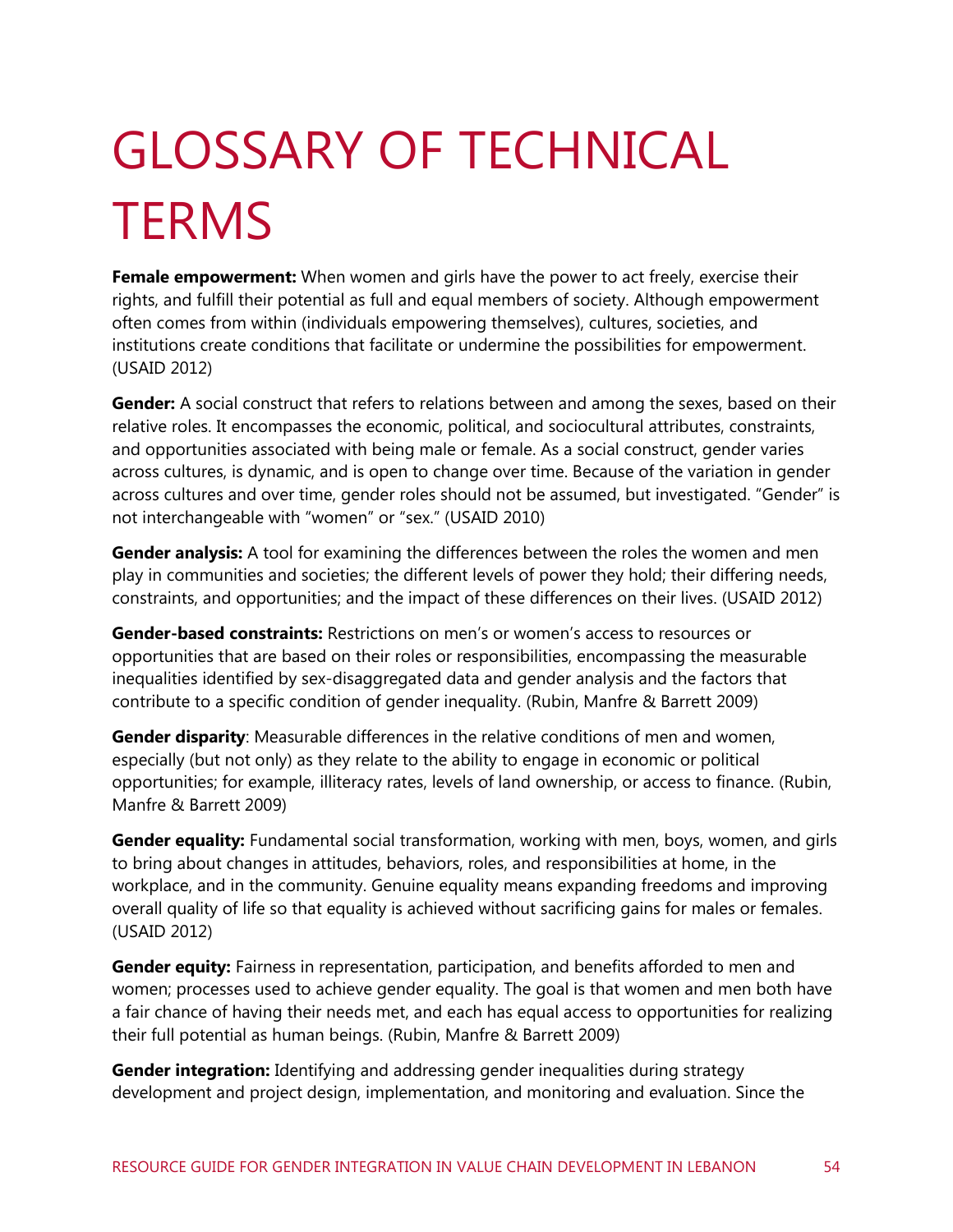# <span id="page-60-0"></span>GLOSSARY OF TECHNICAL **TERMS**

**Female empowerment:** When women and girls have the power to act freely, exercise their rights, and fulfill their potential as full and equal members of society. Although empowerment often comes from within (individuals empowering themselves), cultures, societies, and institutions create conditions that facilitate or undermine the possibilities for empowerment. (USAID 2012)

**Gender:** A social construct that refers to relations between and among the sexes, based on their relative roles. It encompasses the economic, political, and sociocultural attributes, constraints, and opportunities associated with being male or female. As a social construct, gender varies across cultures, is dynamic, and is open to change over time. Because of the variation in gender across cultures and over time, gender roles should not be assumed, but investigated. "Gender" is not interchangeable with "women" or "sex." (USAID 2010)

**Gender analysis:** A tool for examining the differences between the roles the women and men play in communities and societies; the different levels of power they hold; their differing needs, constraints, and opportunities; and the impact of these differences on their lives. (USAID 2012)

**Gender-based constraints:** Restrictions on men's or women's access to resources or opportunities that are based on their roles or responsibilities, encompassing the measurable inequalities identified by sex-disaggregated data and gender analysis and the factors that contribute to a specific condition of gender inequality. (Rubin, Manfre & Barrett 2009)

**Gender disparity**: Measurable differences in the relative conditions of men and women, especially (but not only) as they relate to the ability to engage in economic or political opportunities; for example, illiteracy rates, levels of land ownership, or access to finance. (Rubin, Manfre & Barrett 2009)

**Gender equality:** Fundamental social transformation, working with men, boys, women, and girls to bring about changes in attitudes, behaviors, roles, and responsibilities at home, in the workplace, and in the community. Genuine equality means expanding freedoms and improving overall quality of life so that equality is achieved without sacrificing gains for males or females. (USAID 2012)

**Gender equity:** Fairness in representation, participation, and benefits afforded to men and women; processes used to achieve gender equality. The goal is that women and men both have a fair chance of having their needs met, and each has equal access to opportunities for realizing their full potential as human beings. (Rubin, Manfre & Barrett 2009)

**Gender integration:** Identifying and addressing gender inequalities during strategy development and project design, implementation, and monitoring and evaluation. Since the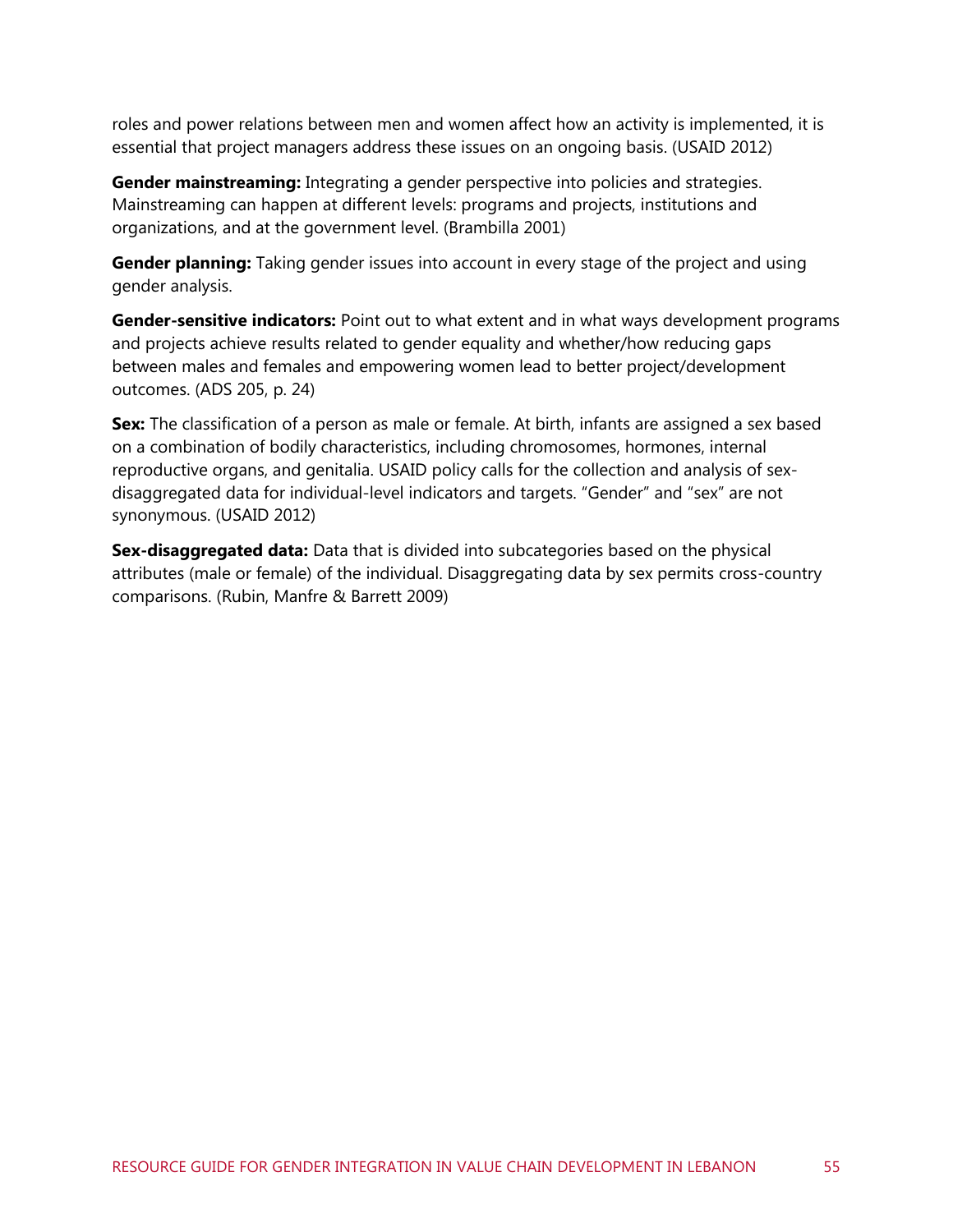roles and power relations between men and women affect how an activity is implemented, it is essential that project managers address these issues on an ongoing basis. (USAID 2012)

**Gender mainstreaming:** Integrating a gender perspective into policies and strategies. Mainstreaming can happen at different levels: programs and projects, institutions and organizations, and at the government level. (Brambilla 2001)

**Gender planning:** Taking gender issues into account in every stage of the project and using gender analysis.

**Gender-sensitive indicators:** Point out to what extent and in what ways development programs and projects achieve results related to gender equality and whether/how reducing gaps between males and females and empowering women lead to better project/development outcomes. (ADS 205, p. 24)

**Sex:** The classification of a person as male or female. At birth, infants are assigned a sex based on a combination of bodily characteristics, including chromosomes, hormones, internal reproductive organs, and genitalia. USAID policy calls for the collection and analysis of sexdisaggregated data for individual-level indicators and targets. "Gender" and "sex" are not synonymous. (USAID 2012)

**Sex-disaggregated data:** Data that is divided into subcategories based on the physical attributes (male or female) of the individual. Disaggregating data by sex permits cross-country comparisons. (Rubin, Manfre & Barrett 2009)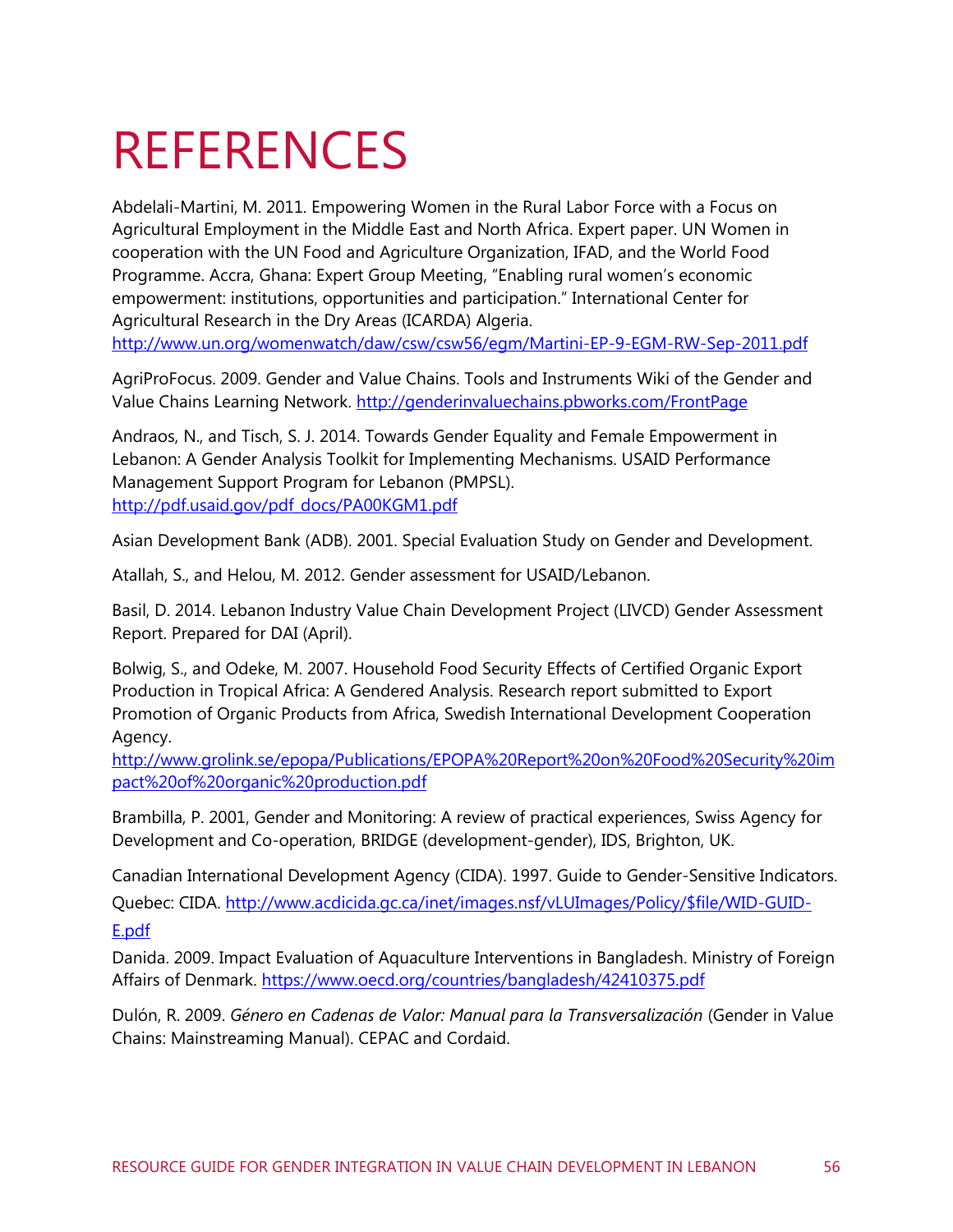## <span id="page-62-0"></span>REFERENCES

Abdelali-Martini, M. 2011. Empowering Women in the Rural Labor Force with a Focus on Agricultural Employment in the Middle East and North Africa. Expert paper. UN Women in cooperation with the UN Food and Agriculture Organization, IFAD, and the World Food Programme. Accra, Ghana: Expert Group Meeting, "Enabling rural women's economic empowerment: institutions, opportunities and participation." International Center for Agricultural Research in the Dry Areas (ICARDA) Algeria.

<http://www.un.org/womenwatch/daw/csw/csw56/egm/Martini-EP-9-EGM-RW-Sep-2011.pdf>

AgriProFocus. 2009. Gender and Value Chains. Tools and Instruments Wiki of the Gender and Value Chains Learning Network. <http://genderinvaluechains.pbworks.com/FrontPage>

Andraos, N., and Tisch, S. J. 2014. Towards Gender Equality and Female Empowerment in Lebanon: A Gender Analysis Toolkit for Implementing Mechanisms. USAID Performance Management Support Program for Lebanon (PMPSL). [http://pdf.usaid.gov/pdf\\_docs/PA00KGM1.pdf](http://pdf.usaid.gov/pdf_docs/PA00KGM1.pdf)

Asian Development Bank (ADB). 2001. Special Evaluation Study on Gender and Development.

Atallah, S., and Helou, M. 2012. Gender assessment for USAID/Lebanon.

Basil, D. 2014. Lebanon Industry Value Chain Development Project (LIVCD) Gender Assessment Report. Prepared for DAI (April).

Bolwig, S., and Odeke, M. 2007. Household Food Security Effects of Certified Organic Export Production in Tropical Africa: A Gendered Analysis. Research report submitted to Export Promotion of Organic Products from Africa, Swedish International Development Cooperation Agency.

[http://www.grolink.se/epopa/Publications/EPOPA%20Report%20on%20Food%20Security%20im](http://www.grolink.se/epopa/Publications/EPOPA%20Report%20on%20Food%20Security%20impact%20of%20organic%20production.pdf) [pact%20of%20organic%20production.pdf](http://www.grolink.se/epopa/Publications/EPOPA%20Report%20on%20Food%20Security%20impact%20of%20organic%20production.pdf)

Brambilla, P. 2001, Gender and Monitoring: A review of practical experiences, Swiss Agency for Development and Co-operation, BRIDGE (development-gender), IDS, Brighton, UK.

Canadian International Development Agency (CIDA). 1997. Guide to Gender-Sensitive Indicators. Quebec: CIDA. [http://www.acdicida.gc.ca/inet/images.nsf/vLUImages/Policy/\\$file/WID-GUID-](http://www.acdicida.gc.ca/inet/images.nsf/vLUImages/Policy/$file/WID-GUID-E.pdf)

[E.pdf](http://www.acdicida.gc.ca/inet/images.nsf/vLUImages/Policy/$file/WID-GUID-E.pdf)

Danida. 2009. Impact Evaluation of Aquaculture Interventions in Bangladesh. Ministry of Foreign Affairs of Denmark. <https://www.oecd.org/countries/bangladesh/42410375.pdf>

Dulón, R. 2009. *Género en Cadenas de Valor: Manual para la Transversalización* (Gender in Value Chains: Mainstreaming Manual). CEPAC and Cordaid.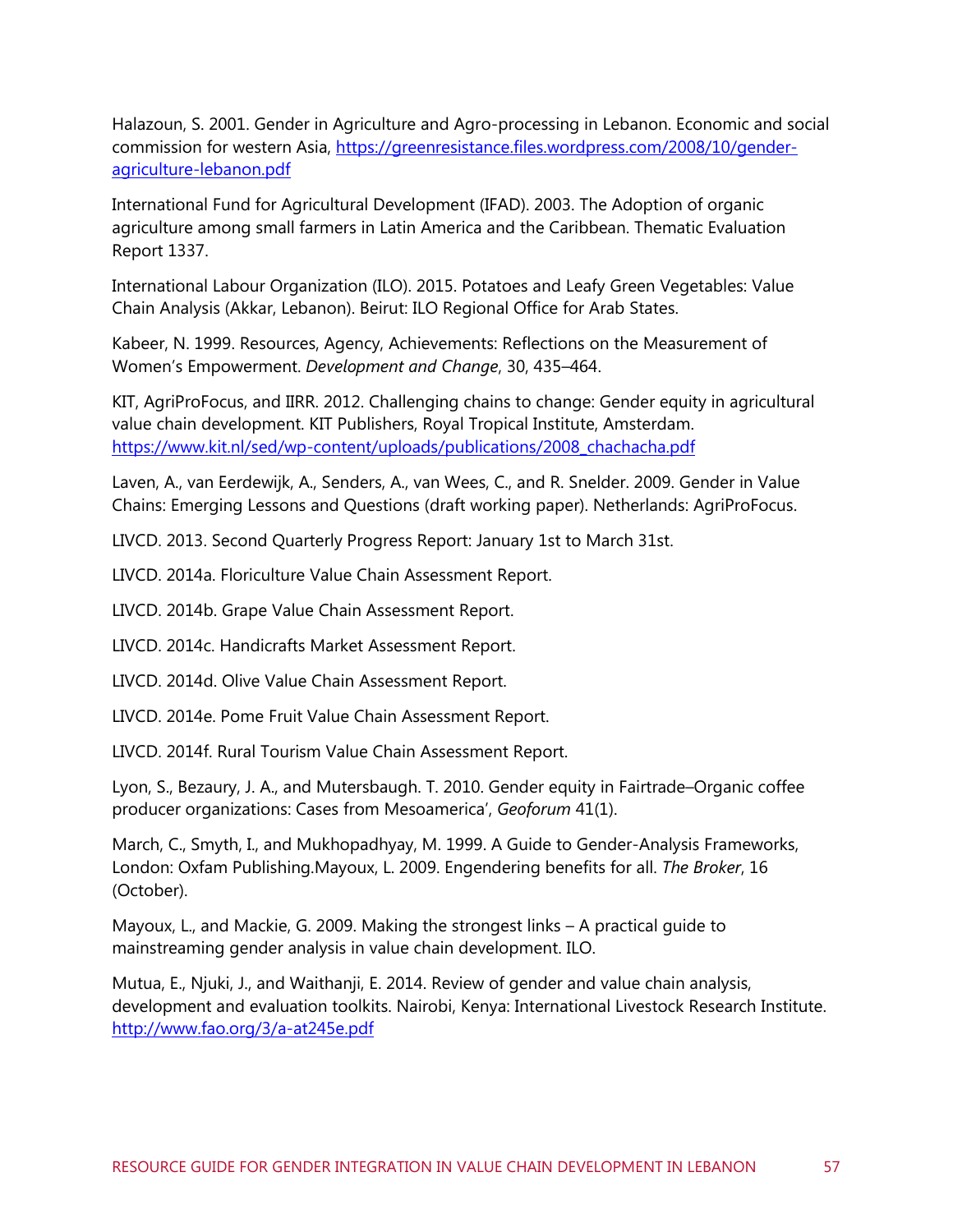Halazoun, S. 2001. Gender in Agriculture and Agro-processing in Lebanon. Economic and social commission for western Asia, [https://greenresistance.files.wordpress.com/2008/10/gender](https://greenresistance.files.wordpress.com/2008/10/gender-agriculture-lebanon.pdf)[agriculture-lebanon.pdf](https://greenresistance.files.wordpress.com/2008/10/gender-agriculture-lebanon.pdf)

International Fund for Agricultural Development (IFAD). 2003. The Adoption of organic agriculture among small farmers in Latin America and the Caribbean. Thematic Evaluation Report 1337.

International Labour Organization (ILO). 2015. Potatoes and Leafy Green Vegetables: Value Chain Analysis (Akkar, Lebanon). Beirut: ILO Regional Office for Arab States.

Kabeer, N. 1999. Resources, Agency, Achievements: Reflections on the Measurement of Women's Empowerment. *Development and Change*, 30, 435–464.

KIT, AgriProFocus, and IIRR. 2012. Challenging chains to change: Gender equity in agricultural value chain development. KIT Publishers, Royal Tropical Institute, Amsterdam. [https://www.kit.nl/sed/wp-content/uploads/publications/2008\\_chachacha.pdf](https://www.kit.nl/sed/wp-content/uploads/publications/2008_chachacha.pdf)

Laven, A., van Eerdewijk, A., Senders, A., van Wees, C., and R. Snelder. 2009. Gender in Value Chains: Emerging Lessons and Questions (draft working paper). Netherlands: AgriProFocus.

LIVCD. 2013. Second Quarterly Progress Report: January 1st to March 31st.

LIVCD. 2014a. Floriculture Value Chain Assessment Report.

LIVCD. 2014b. Grape Value Chain Assessment Report.

LIVCD. 2014c. Handicrafts Market Assessment Report.

LIVCD. 2014d. Olive Value Chain Assessment Report.

LIVCD. 2014e. Pome Fruit Value Chain Assessment Report.

LIVCD. 2014f. Rural Tourism Value Chain Assessment Report.

Lyon, S., Bezaury, J. A., and Mutersbaugh. T. 2010. Gender equity in Fairtrade–Organic coffee producer organizations: Cases from Mesoamerica', *Geoforum* 41(1).

March, C., Smyth, I., and Mukhopadhyay, M. 1999. A Guide to Gender-Analysis Frameworks, London: Oxfam Publishing.Mayoux, L. 2009. Engendering benefits for all. *The Broker*, 16 (October).

Mayoux, L., and Mackie, G. 2009. Making the strongest links – A practical guide to mainstreaming gender analysis in value chain development. ILO.

Mutua, E., Njuki, J., and Waithanji, E. 2014. Review of gender and value chain analysis, development and evaluation toolkits. Nairobi, Kenya: International Livestock Research Institute. <http://www.fao.org/3/a-at245e.pdf>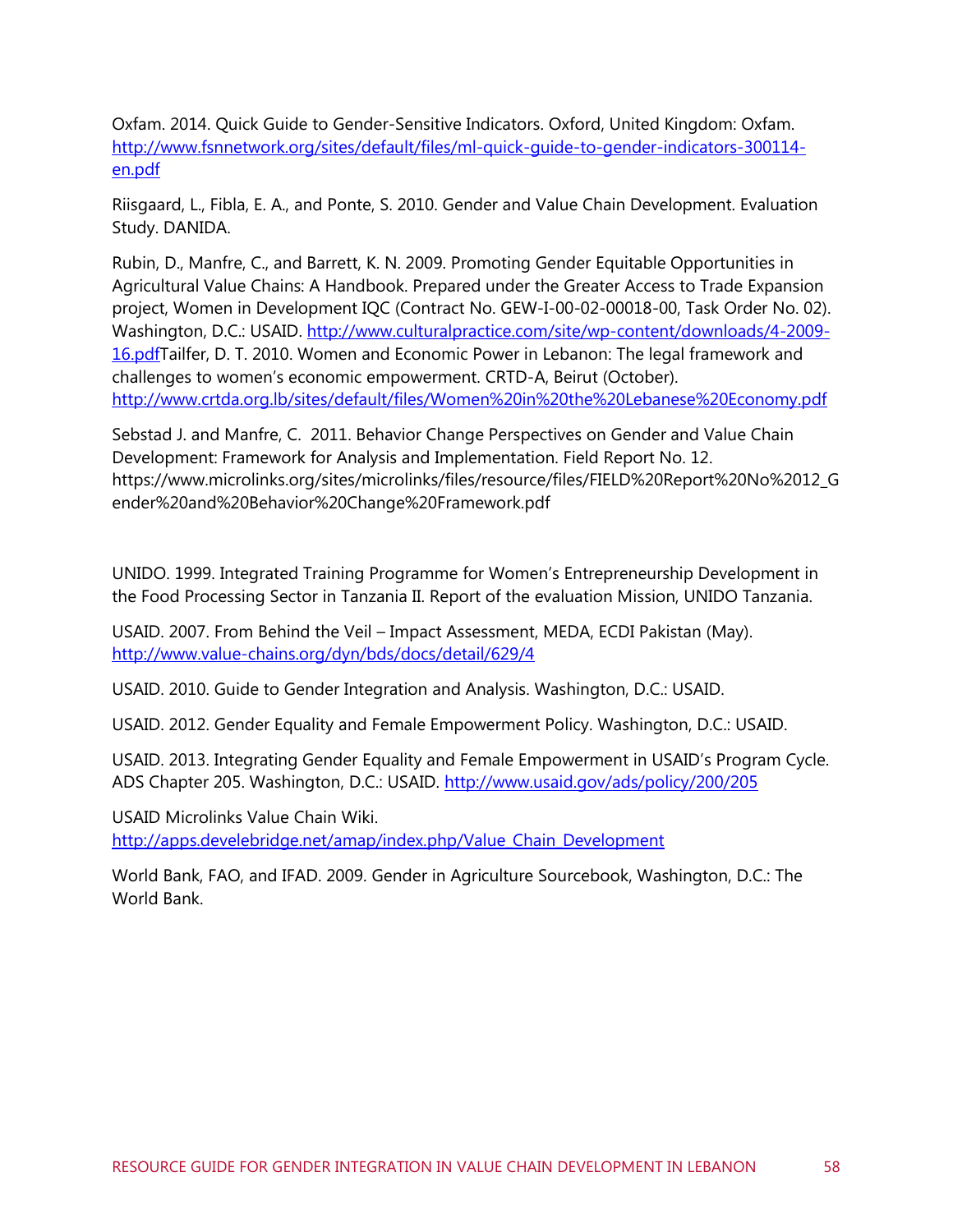Oxfam. 2014. Quick Guide to Gender-Sensitive Indicators. Oxford, United Kingdom: Oxfam. [http://www.fsnnetwork.org/sites/default/files/ml-quick-guide-to-gender-indicators-300114](http://www.fsnnetwork.org/sites/default/files/ml-quick-guide-to-gender-indicators-300114-en.pdf) [en.pdf](http://www.fsnnetwork.org/sites/default/files/ml-quick-guide-to-gender-indicators-300114-en.pdf)

Riisgaard, L., Fibla, E. A., and Ponte, S. 2010. Gender and Value Chain Development. Evaluation Study. DANIDA.

Rubin, D., Manfre, C., and Barrett, K. N. 2009. Promoting Gender Equitable Opportunities in Agricultural Value Chains: A Handbook. Prepared under the Greater Access to Trade Expansion project, Women in Development IQC (Contract No. GEW-I-00-02-00018-00, Task Order No. 02). Washington, D.C.: USAID. [http://www.culturalpractice.com/site/wp-content/downloads/4-2009-](http://www.culturalpractice.com/site/wp-content/downloads/4-2009-16.pdf) [16.pdfT](http://www.culturalpractice.com/site/wp-content/downloads/4-2009-16.pdf)ailfer, D. T. 2010. Women and Economic Power in Lebanon: The legal framework and challenges to women's economic empowerment. CRTD-A, Beirut (October). <http://www.crtda.org.lb/sites/default/files/Women%20in%20the%20Lebanese%20Economy.pdf>

Sebstad J. and Manfre, C. 2011. Behavior Change Perspectives on Gender and Value Chain Development: Framework for Analysis and Implementation. Field Report No. 12. https://www.microlinks.org/sites/microlinks/files/resource/files/FIELD%20Report%20No%2012\_G ender%20and%20Behavior%20Change%20Framework.pdf

UNIDO. 1999. Integrated Training Programme for Women's Entrepreneurship Development in the Food Processing Sector in Tanzania II. Report of the evaluation Mission, UNIDO Tanzania.

USAID. 2007. From Behind the Veil – Impact Assessment, MEDA, ECDI Pakistan (May). <http://www.value-chains.org/dyn/bds/docs/detail/629/4>

USAID. 2010. Guide to Gender Integration and Analysis. Washington, D.C.: USAID.

USAID. 2012. Gender Equality and Female Empowerment Policy. Washington, D.C.: USAID.

USAID. 2013. Integrating Gender Equality and Female Empowerment in USAID's Program Cycle. ADS Chapter 205. Washington, D.C.: USAID. <http://www.usaid.gov/ads/policy/200/205>

USAID Microlinks Value Chain Wiki. [http://apps.develebridge.net/amap/index.php/Value\\_Chain\\_Development](http://apps.develebridge.net/amap/index.php/Value_Chain_Development)

World Bank, FAO, and IFAD. 2009. Gender in Agriculture Sourcebook, Washington, D.C.: The World Bank.